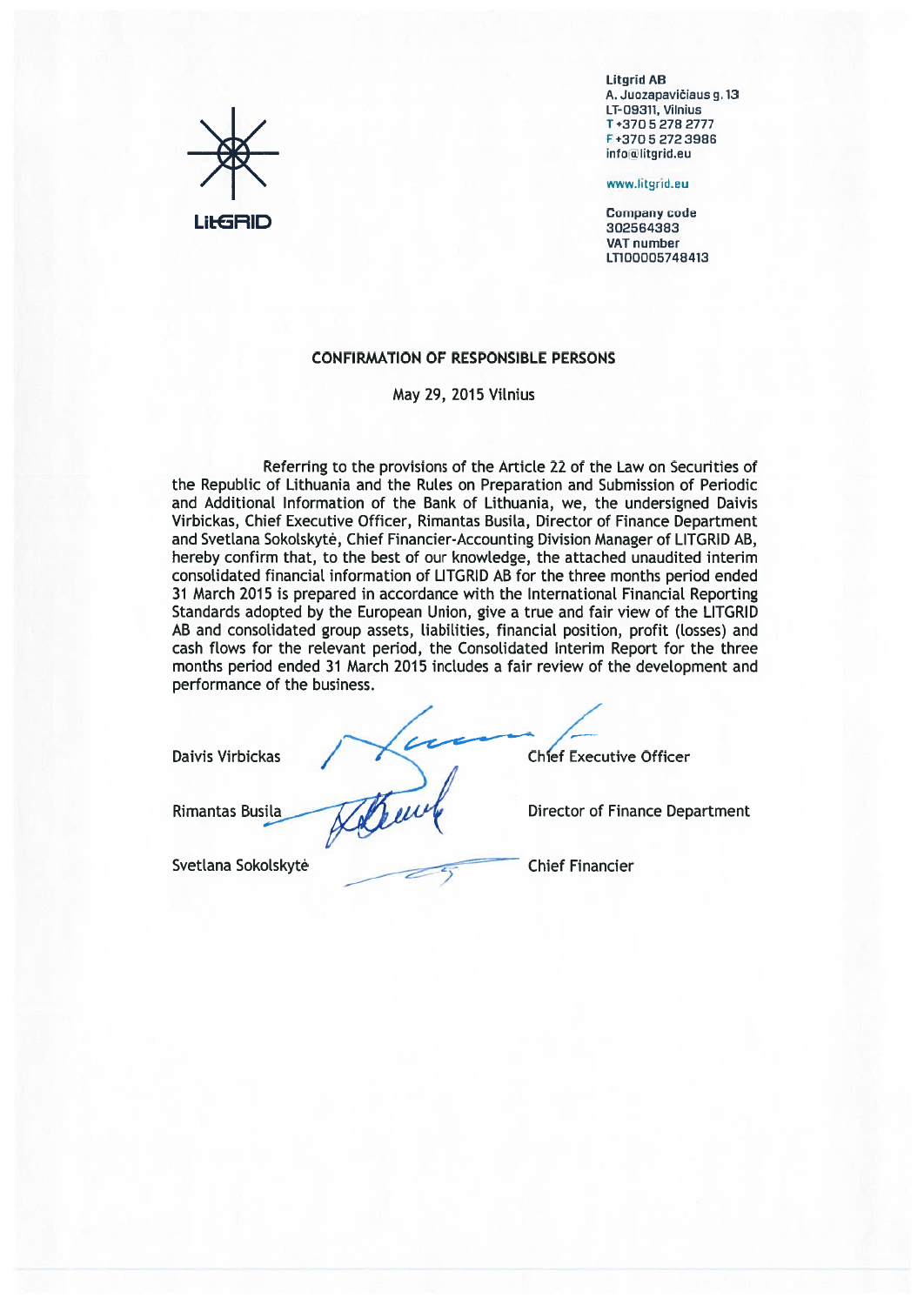

**Litarid AB** A. Juozapavičiaus g. 13 LT-09311, Vilnius T+37052782777 F+37052723986 info@litgrid.eu

www.litgrid.eu

**Company code** 302564383 VAT number LT100005748413

## **CONFIRMATION OF RESPONSIBLE PERSONS**

May 29, 2015 Vilnius

Referring to the provisions of the Article 22 of the Law on Securities of the Republic of Lithuania and the Rules on Preparation and Submission of Periodic and Additional Information of the Bank of Lithuania, we, the undersigned Daivis Virbickas, Chief Executive Officer, Rimantas Busila, Director of Finance Department and Svetlana Sokolskytė, Chief Financier-Accounting Division Manager of LITGRID AB, hereby confirm that, to the best of our knowledge, the attached unaudited interim consolidated financial information of LITGRID AB for the three months period ended 31 March 2015 is prepared in accordance with the International Financial Reporting Standards adopted by the European Union, give a true and fair view of the LITGRID AB and consolidated group assets, liabilities, financial position, profit (losses) and cash flows for the relevant period, the Consolidated Interim Report for the three months period ended 31 March 2015 includes a fair review of the development and performance of the business.

This

**Daivis Virbickas** 

Rimantas Busila

Svetlana Sokolskytė

**Chief Executive Officer** 

**Director of Finance Department** 

**Chief Financier**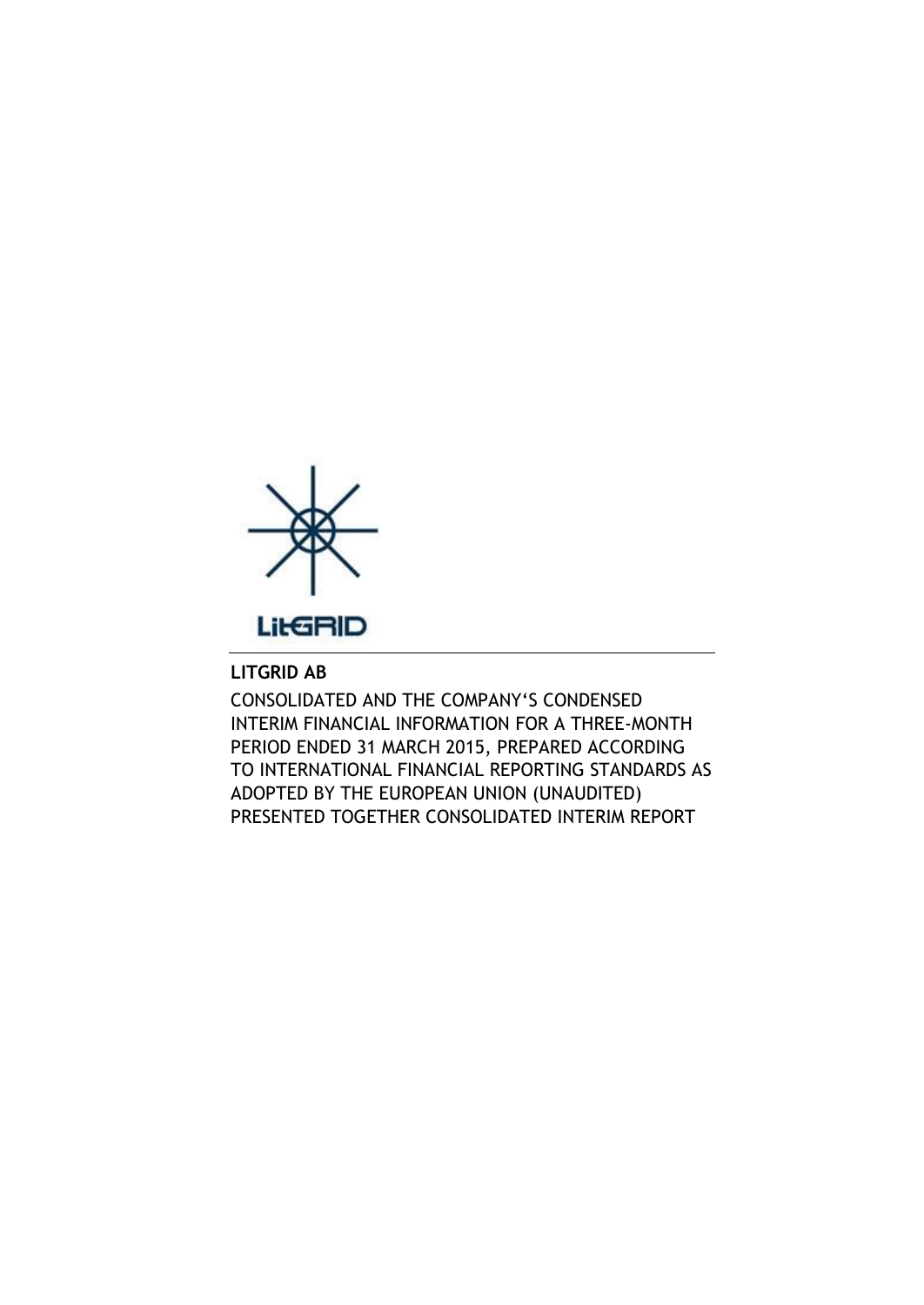

# **LITGRID AB**

CONSOLIDATED AND THE COMPANY'S CONDENSED INTERIM FINANCIAL INFORMATION FOR A THREE-MONTH PERIOD ENDED 31 MARCH 2015, PREPARED ACCORDING TO INTERNATIONAL FINANCIAL REPORTING STANDARDS AS ADOPTED BY THE EUROPEAN UNION (UNAUDITED) PRESENTED TOGETHER CONSOLIDATED INTERIM REPORT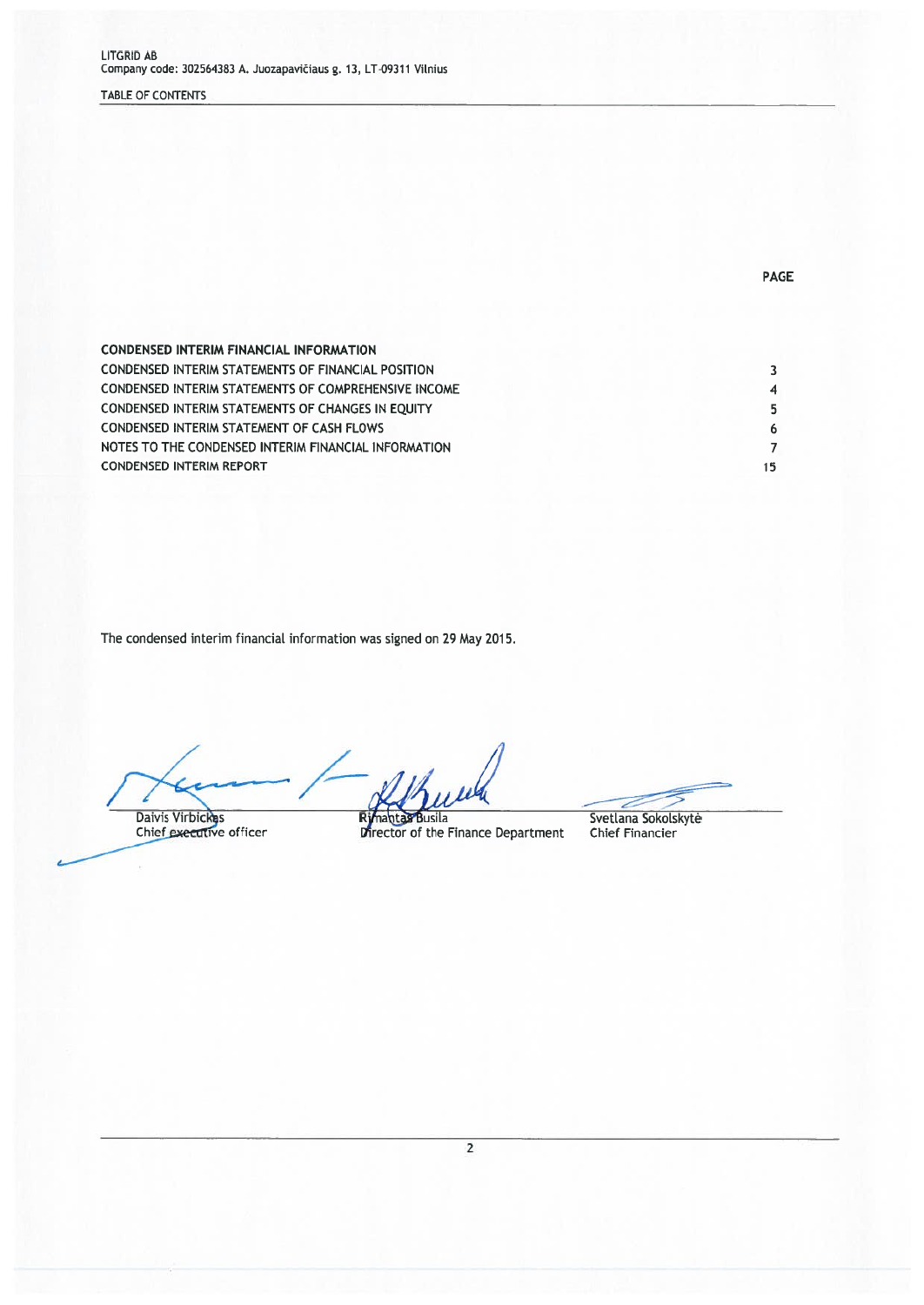## TABLE OF CONTENTS

| <b>CONDENSED INTERIM FINANCIAL INFORMATION</b>            |    |
|-----------------------------------------------------------|----|
| <b>CONDENSED INTERIM STATEMENTS OF FINANCIAL POSITION</b> |    |
| CONDENSED INTERIM STATEMENTS OF COMPREHENSIVE INCOME      |    |
| CONDENSED INTERIM STATEMENTS OF CHANGES IN EQUITY         |    |
| <b>CONDENSED INTERIM STATEMENT OF CASH FLOWS</b>          |    |
| NOTES TO THE CONDENSED INTERIM FINANCIAL INFORMATION      |    |
| <b>CONDENSED INTERIM REPORT</b>                           | 15 |

The condensed interim financial information was signed on 29 May 2015.

Daivis Virbickes<br>Chief executive officer

Rimantas Busila<br>Director of the Finance Department

**PAGE** 

Svetlana Sokolskytė<br>Chief Financier

 $\overline{2}$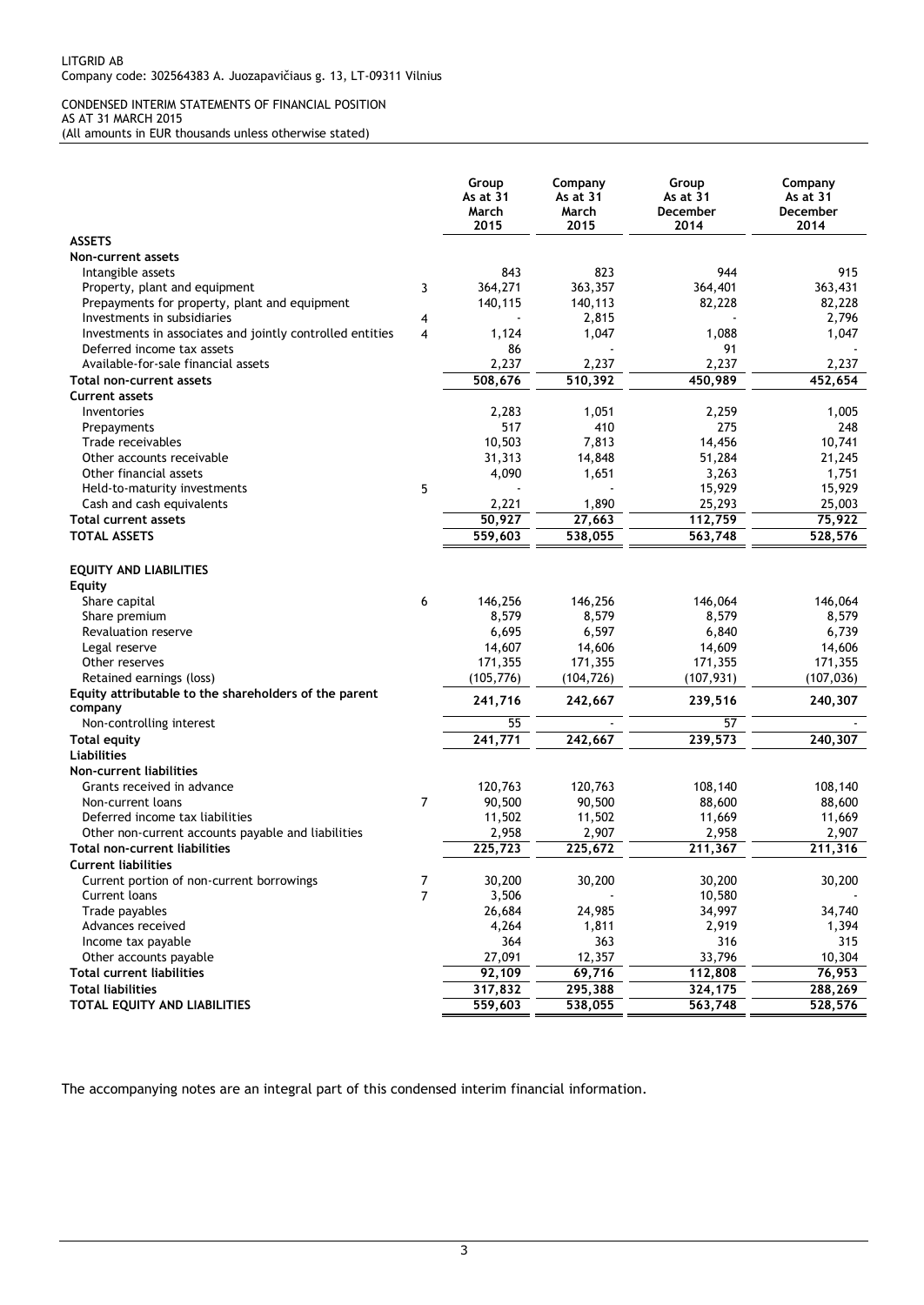#### CONDENSED INTERIM STATEMENTS OF FINANCIAL POSITION AS AT 31 MARCH 2015 (All amounts in EUR thousands unless otherwise stated)

|                                                              |                | Group<br>As at 31<br>March<br>2015 | Company<br>As at 31<br>March<br>2015 | Group<br>As at 31<br>December<br>2014 | Company<br>As at 31<br>December<br>2014 |
|--------------------------------------------------------------|----------------|------------------------------------|--------------------------------------|---------------------------------------|-----------------------------------------|
| <b>ASSETS</b>                                                |                |                                    |                                      |                                       |                                         |
| Non-current assets                                           |                |                                    |                                      |                                       |                                         |
| Intangible assets                                            |                | 843                                | 823                                  | 944                                   | 915                                     |
| Property, plant and equipment                                | 3              | 364,271                            | 363,357                              | 364,401                               | 363,431                                 |
| Prepayments for property, plant and equipment                |                | 140,115                            | 140,113                              | 82,228                                | 82,228                                  |
| Investments in subsidiaries                                  | 4              |                                    | 2,815                                |                                       | 2,796                                   |
| Investments in associates and jointly controlled entities    | 4              | 1,124                              | 1,047                                | 1,088                                 | 1,047                                   |
| Deferred income tax assets                                   |                | 86                                 |                                      | 91                                    |                                         |
| Available-for-sale financial assets                          |                | 2,237                              | 2,237                                | 2,237                                 | 2,237                                   |
| Total non-current assets                                     |                | 508,676                            | 510,392                              | 450,989                               | 452,654                                 |
| <b>Current assets</b>                                        |                |                                    |                                      |                                       |                                         |
| Inventories                                                  |                | 2,283                              | 1,051                                | 2,259                                 | 1,005                                   |
| Prepayments                                                  |                | 517                                | 410                                  | 275                                   | 248                                     |
| Trade receivables                                            |                | 10,503                             | 7,813                                | 14,456                                | 10,741                                  |
| Other accounts receivable                                    |                | 31,313                             | 14,848                               | 51,284                                | 21,245                                  |
| Other financial assets                                       |                | 4,090                              | 1,651                                | 3,263                                 | 1,751                                   |
| Held-to-maturity investments                                 | 5              |                                    |                                      | 15,929                                | 15,929                                  |
| Cash and cash equivalents                                    |                | 2,221                              | 1,890                                | 25,293                                | 25,003                                  |
| <b>Total current assets</b>                                  |                | 50,927                             | 27,663                               | 112,759                               | 75,922                                  |
| <b>TOTAL ASSETS</b>                                          |                | 559.603                            | 538,055                              | 563,748                               | 528,576                                 |
| <b>EQUITY AND LIABILITIES</b><br>Equity                      |                |                                    |                                      |                                       |                                         |
| Share capital                                                | 6              | 146,256                            | 146,256                              | 146,064                               | 146,064                                 |
| Share premium                                                |                | 8,579                              | 8,579                                | 8,579                                 | 8,579                                   |
| Revaluation reserve                                          |                | 6,695                              | 6,597                                | 6,840                                 | 6,739                                   |
| Legal reserve                                                |                | 14,607                             | 14,606                               | 14,609                                | 14,606                                  |
| Other reserves                                               |                | 171,355                            | 171,355                              | 171,355                               | 171,355                                 |
| Retained earnings (loss)                                     |                | (105, 776)                         | (104, 726)                           | (107, 931)                            | (107, 036)                              |
| Equity attributable to the shareholders of the parent        |                | 241,716                            | 242,667                              | 239,516                               | 240,307                                 |
| company                                                      |                |                                    |                                      |                                       |                                         |
| Non-controlling interest                                     |                | 55                                 |                                      | 57                                    |                                         |
| <b>Total equity</b>                                          |                | 241,771                            | 242,667                              | 239,573                               | 240,307                                 |
| <b>Liabilities</b>                                           |                |                                    |                                      |                                       |                                         |
| Non-current liabilities                                      |                |                                    |                                      |                                       |                                         |
| Grants received in advance                                   |                | 120,763                            | 120,763                              | 108,140                               | 108,140                                 |
| Non-current loans                                            | $\overline{7}$ | 90,500                             | 90,500                               | 88,600                                | 88,600                                  |
| Deferred income tax liabilities                              |                | 11,502                             | 11,502                               | 11,669                                | 11,669                                  |
| Other non-current accounts payable and liabilities           |                | 2,958                              | 2,907                                | 2,958                                 | 2,907                                   |
| Total non-current liabilities                                |                | 225,723                            | 225,672                              | 211,367                               | 211,316                                 |
| <b>Current liabilities</b>                                   |                |                                    |                                      |                                       |                                         |
| Current portion of non-current borrowings                    | 7              | 30,200                             | 30,200                               | 30,200                                | 30,200                                  |
| Current loans                                                | $\overline{7}$ | 3,506                              |                                      | 10,580                                |                                         |
| Trade payables                                               |                | 26,684                             | 24,985                               | 34,997                                | 34,740                                  |
| Advances received                                            |                | 4,264                              | 1,811                                | 2,919                                 | 1,394                                   |
| Income tax payable                                           |                | 364                                | 363                                  | 316                                   | 315                                     |
| Other accounts payable                                       |                | 27,091<br>$\frac{1}{92,109}$       | 12,357                               | 33,796                                | 10,304                                  |
| <b>Total current liabilities</b><br><b>Total liabilities</b> |                |                                    | 69,716                               | 112,808<br>324,175                    | 76,953                                  |
|                                                              |                | 317,832                            | 295,388                              |                                       | 288,269                                 |
| TOTAL EQUITY AND LIABILITIES                                 |                | 559,603                            | 538,055                              | 563,748                               | 528,576                                 |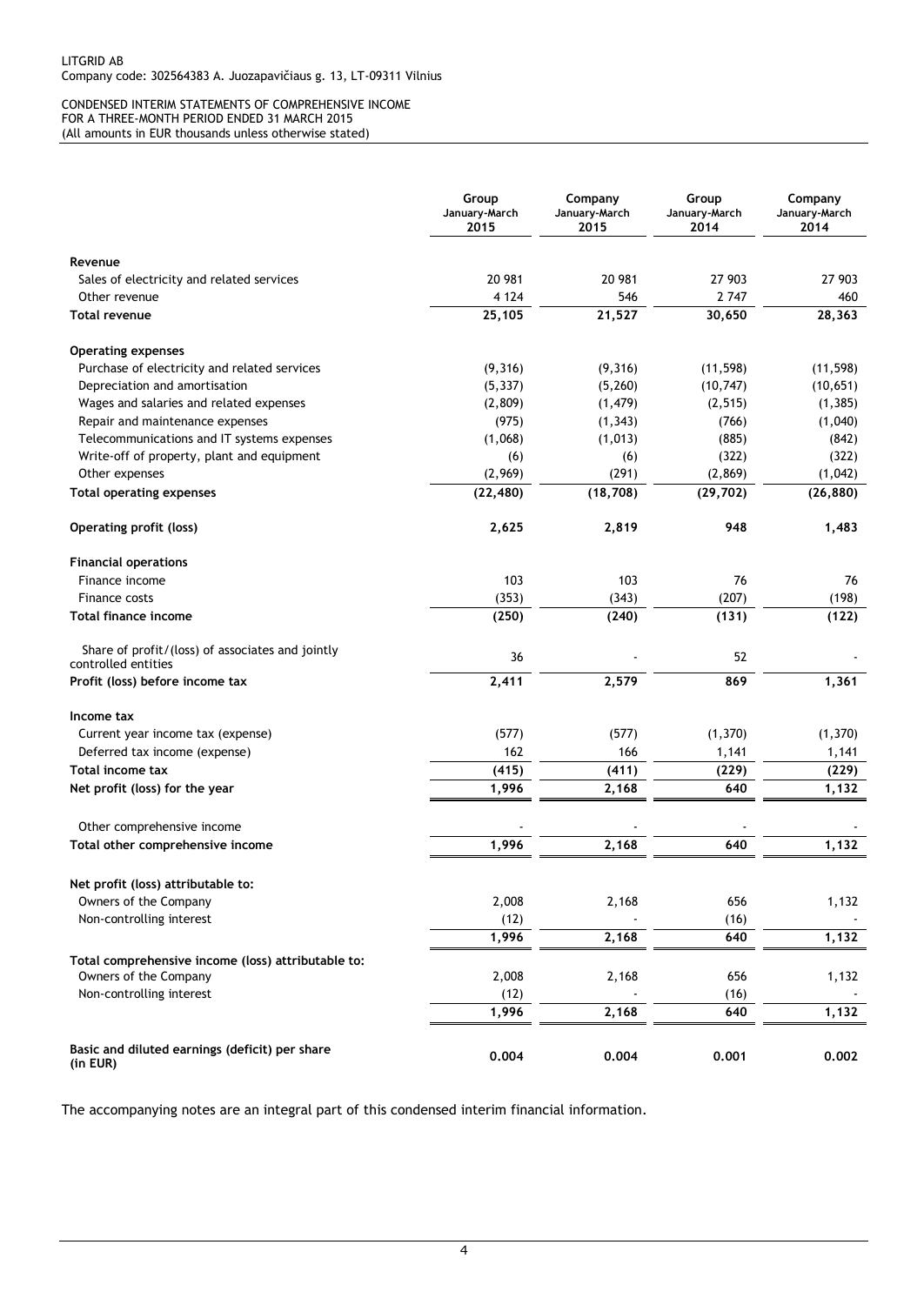#### CONDENSED INTERIM STATEMENTS OF COMPREHENSIVE INCOME FOR A THREE-MONTH PERIOD ENDED 31 MARCH 2015 (All amounts in EUR thousands unless otherwise stated)

|                                                            | Group<br>January-March<br>2015 | Company<br>January-March<br>2015 | Group<br>January-March<br>2014 | Company<br>January-March<br>2014 |
|------------------------------------------------------------|--------------------------------|----------------------------------|--------------------------------|----------------------------------|
| Revenue                                                    |                                |                                  |                                |                                  |
| Sales of electricity and related services                  | 20 981                         | 20 981                           | 27 903                         | 27 903                           |
| Other revenue                                              | 4 1 2 4                        | 546                              | 2 7 4 7                        | 460                              |
| <b>Total revenue</b>                                       | 25,105                         | 21,527                           | 30,650                         | 28,363                           |
| <b>Operating expenses</b>                                  |                                |                                  |                                |                                  |
| Purchase of electricity and related services               | (9,316)                        | (9,316)                          | (11, 598)                      | (11, 598)                        |
| Depreciation and amortisation                              | (5, 337)                       | (5,260)                          | (10, 747)                      | (10, 651)                        |
| Wages and salaries and related expenses                    | (2,809)                        | (1, 479)                         | (2, 515)                       | (1, 385)                         |
| Repair and maintenance expenses                            | (975)                          | (1, 343)                         | (766)                          | (1,040)                          |
| Telecommunications and IT systems expenses                 | (1,068)                        | (1, 013)                         | (885)                          | (842)                            |
| Write-off of property, plant and equipment                 | (6)                            | (6)                              | (322)                          | (322)                            |
| Other expenses                                             | (2,969)                        | (291)                            | (2, 869)                       | (1,042)                          |
| <b>Total operating expenses</b>                            | (22, 480)                      | (18, 708)                        | (29, 702)                      | (26, 880)                        |
| <b>Operating profit (loss)</b>                             | 2,625                          | 2,819                            | 948                            | 1,483                            |
| <b>Financial operations</b>                                |                                |                                  |                                |                                  |
| Finance income                                             | 103                            | 103                              | 76                             | 76                               |
| Finance costs                                              | (353)                          | (343)                            | (207)                          | (198)                            |
| <b>Total finance income</b>                                | (250)                          | (240)                            | (131)                          | (122)                            |
| Share of profit/(loss) of associates and jointly           | 36                             |                                  | 52                             |                                  |
| controlled entities                                        |                                |                                  |                                |                                  |
| Profit (loss) before income tax                            | 2,411                          | 2,579                            | 869                            | 1,361                            |
| Income tax                                                 |                                |                                  |                                |                                  |
| Current year income tax (expense)                          | (577)                          | (577)                            | (1, 370)                       | (1, 370)                         |
| Deferred tax income (expense)                              | 162                            | 166                              | 1,141                          | 1,141                            |
| <b>Total income tax</b>                                    | (415)                          | (411)                            | (229)                          | (229)                            |
| Net profit (loss) for the year                             | 1,996                          | 2,168                            | 640                            | 1,132                            |
| Other comprehensive income                                 |                                |                                  |                                |                                  |
| Total other comprehensive income                           | 1,996                          | 2,168                            | 640                            | 1,132                            |
| Net profit (loss) attributable to:                         |                                |                                  |                                |                                  |
| Owners of the Company                                      | 2,008                          | 2,168                            | 656                            | 1,132                            |
| Non-controlling interest                                   | (12)                           |                                  | (16)                           |                                  |
|                                                            | 1,996                          | 2,168                            | 640                            | 1,132                            |
| Total comprehensive income (loss) attributable to:         |                                |                                  |                                |                                  |
| Owners of the Company                                      | 2,008                          | 2,168                            | 656                            | 1,132                            |
| Non-controlling interest                                   | (12)                           |                                  | (16)                           |                                  |
|                                                            | 1,996                          | 2,168                            | 640                            | 1,132                            |
| Basic and diluted earnings (deficit) per share<br>(in EUR) | 0.004                          | 0.004                            | 0.001                          | 0.002                            |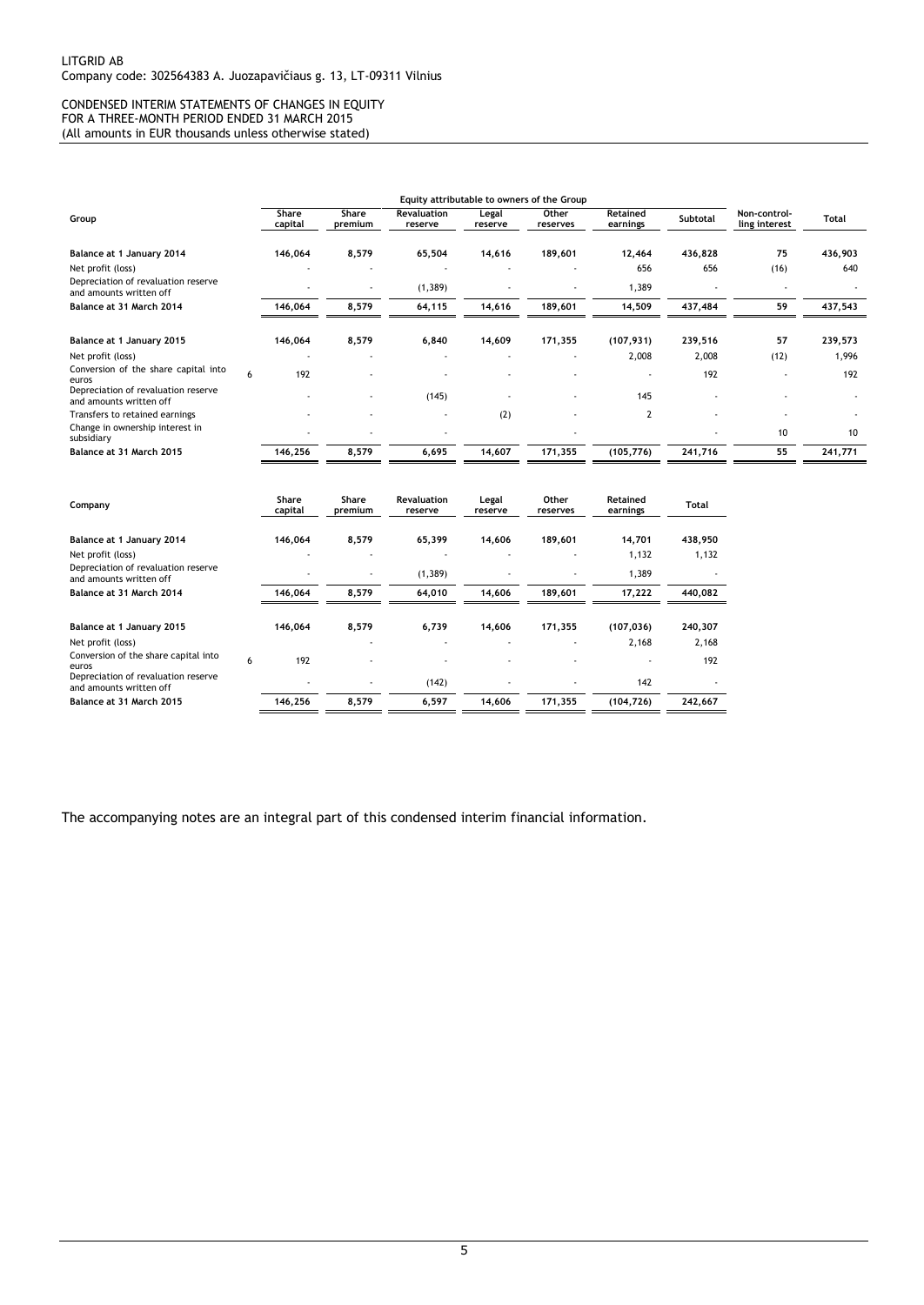#### CONDENSED INTERIM STATEMENTS OF CHANGES IN EQUITY FOR A THREE-MONTH PERIOD ENDED 31 MARCH 2015 (All amounts in EUR thousands unless otherwise stated)

|                                                                |   |                  |                  |                               |                          | Equity attributable to owners of the Group |                          |          |                               |              |
|----------------------------------------------------------------|---|------------------|------------------|-------------------------------|--------------------------|--------------------------------------------|--------------------------|----------|-------------------------------|--------------|
| Group                                                          |   | Share<br>capital | Share<br>premium | <b>Revaluation</b><br>reserve | Legal<br>reserve         | Other<br>reserves                          | Retained<br>earnings     | Subtotal | Non-control-<br>ling interest | <b>Total</b> |
|                                                                |   |                  |                  |                               |                          |                                            |                          |          |                               |              |
| Balance at 1 January 2014                                      |   | 146,064          | 8,579            | 65,504                        | 14,616                   | 189,601                                    | 12,464                   | 436,828  | 75                            | 436,903      |
| Net profit (loss)                                              |   | ٠                |                  | $\overline{\phantom{a}}$      | $\overline{\phantom{a}}$ | $\qquad \qquad \blacksquare$               | 656                      | 656      | (16)                          | 640          |
| Depreciation of revaluation reserve<br>and amounts written off |   |                  |                  | (1, 389)                      |                          |                                            | 1,389                    |          |                               |              |
| Balance at 31 March 2014                                       |   | 146,064          | 8,579            | 64,115                        | 14,616                   | 189,601                                    | 14,509                   | 437,484  | 59                            | 437,543      |
|                                                                |   |                  | 8,579            |                               | 14,609                   | 171,355                                    | (107, 931)               |          | 57                            | 239,573      |
| Balance at 1 January 2015                                      |   | 146,064          |                  | 6,840                         |                          |                                            |                          | 239,516  |                               |              |
| Net profit (loss)                                              |   | $\blacksquare$   |                  |                               |                          |                                            | 2,008                    | 2,008    | (12)                          | 1,996        |
| Conversion of the share capital into<br>euros                  | 6 | 192              |                  |                               |                          |                                            | $\overline{\phantom{a}}$ | 192      |                               | 192          |
| Depreciation of revaluation reserve<br>and amounts written off |   |                  |                  | (145)                         |                          |                                            | 145                      |          |                               |              |
| Transfers to retained earnings                                 |   |                  |                  |                               | (2)                      |                                            | $\overline{2}$           |          |                               |              |
| Change in ownership interest in<br>subsidiary                  |   | ٠                |                  |                               |                          |                                            |                          |          | 10                            | 10           |
| Balance at 31 March 2015                                       |   | 146,256          | 8,579            | 6,695                         | 14,607                   | 171,355                                    | (105, 776)               | 241,716  | 55                            | 241,771      |
|                                                                |   |                  |                  |                               |                          |                                            |                          |          |                               |              |

| Company                                                        |   | Share<br>capital | <b>Share</b><br>premium      | <b>Revaluation</b><br>reserve | Legal<br>reserve | Other<br>reserves | Retained<br>earnings | Total   |
|----------------------------------------------------------------|---|------------------|------------------------------|-------------------------------|------------------|-------------------|----------------------|---------|
| Balance at 1 January 2014                                      |   | 146,064          | 8,579                        | 65,399                        | 14.606           | 189,601           | 14,701               | 438,950 |
| Net profit (loss)                                              |   |                  | $\overline{a}$               |                               |                  |                   | 1,132                | 1,132   |
| Depreciation of revaluation reserve<br>and amounts written off |   |                  | $\qquad \qquad \blacksquare$ | (1, 389)                      |                  |                   | 1,389                |         |
| Balance at 31 March 2014                                       |   | 146,064          | 8.579                        | 64.010                        | 14.606           | 189.601           | 17,222               | 440,082 |
| Balance at 1 January 2015                                      |   | 146,064          | 8,579                        | 6,739                         | 14,606           | 171,355           | (107, 036)           | 240,307 |
| Net profit (loss)                                              |   |                  |                              |                               |                  |                   | 2,168                | 2,168   |
| Conversion of the share capital into<br>euros                  | 6 | 192              |                              |                               |                  |                   |                      | 192     |
| Depreciation of revaluation reserve<br>and amounts written off |   |                  | $\qquad \qquad \blacksquare$ | (142)                         |                  |                   | 142                  |         |
| Balance at 31 March 2015                                       |   | 146,256          | 8,579                        | 6,597                         | 14.606           | 171,355           | (104, 726)           | 242,667 |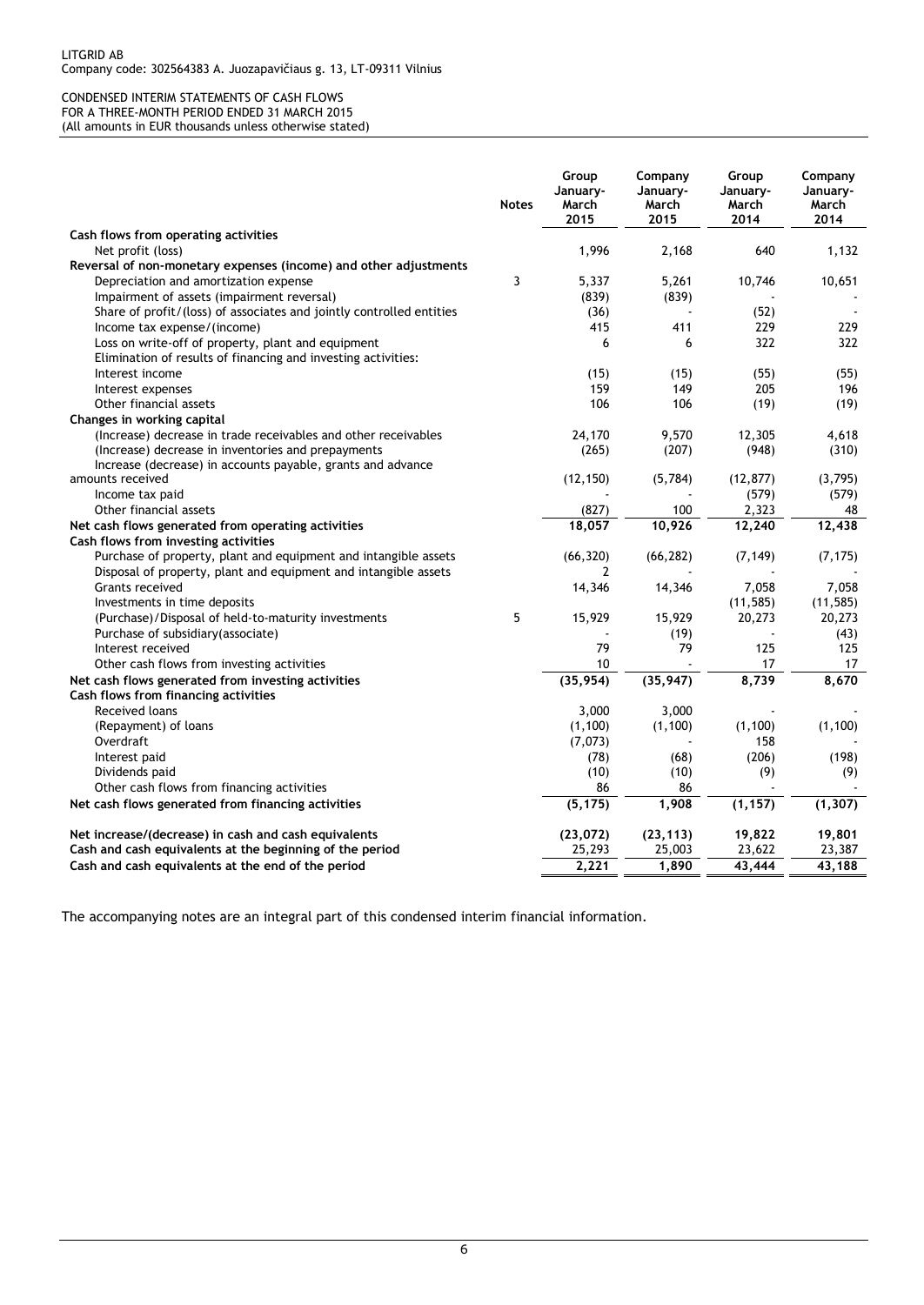#### CONDENSED INTERIM STATEMENTS OF CASH FLOWS FOR A THREE-MONTH PERIOD ENDED 31 MARCH 2015 (All amounts in EUR thousands unless otherwise stated)

| Cash flows from operating activities<br>1,996<br>640<br>Net profit (loss)<br>2,168<br>Reversal of non-monetary expenses (income) and other adjustments |                                       | <b>Notes</b> | Group<br>January-<br>March<br>2015 | Company<br>January-<br>March<br>2015 | Group<br>January-<br>March<br>2014 | Company<br>January-<br>March<br>2014 |
|--------------------------------------------------------------------------------------------------------------------------------------------------------|---------------------------------------|--------------|------------------------------------|--------------------------------------|------------------------------------|--------------------------------------|
|                                                                                                                                                        |                                       |              |                                    |                                      |                                    |                                      |
|                                                                                                                                                        |                                       |              |                                    |                                      |                                    | 1,132                                |
|                                                                                                                                                        |                                       |              |                                    |                                      |                                    |                                      |
|                                                                                                                                                        | Depreciation and amortization expense | 3            | 5,337                              | 5,261                                | 10,746                             | 10,651                               |
| Impairment of assets (impairment reversal)<br>(839)<br>(839)                                                                                           |                                       |              |                                    |                                      |                                    |                                      |
| Share of profit/(loss) of associates and jointly controlled entities<br>(52)<br>(36)                                                                   |                                       |              |                                    |                                      |                                    |                                      |
| 415<br>411<br>229<br>Income tax expense/(income)                                                                                                       |                                       |              |                                    |                                      |                                    | 229                                  |
| 322<br>Loss on write-off of property, plant and equipment<br>6<br>6                                                                                    |                                       |              |                                    |                                      |                                    | 322                                  |
| Elimination of results of financing and investing activities:                                                                                          |                                       |              |                                    |                                      |                                    |                                      |
| (15)<br>(15)<br>(55)<br>Interest income                                                                                                                |                                       |              |                                    |                                      |                                    | (55)                                 |
| 205<br>159<br>149<br>Interest expenses                                                                                                                 |                                       |              |                                    |                                      |                                    | 196                                  |
| 106<br>106<br>(19)<br>Other financial assets                                                                                                           |                                       |              |                                    |                                      |                                    | (19)                                 |
| Changes in working capital                                                                                                                             |                                       |              |                                    |                                      |                                    |                                      |
| (Increase) decrease in trade receivables and other receivables<br>24,170<br>9,570<br>12,305                                                            |                                       |              |                                    |                                      |                                    | 4,618                                |
| (Increase) decrease in inventories and prepayments<br>(265)<br>(207)<br>(948)                                                                          |                                       |              |                                    |                                      |                                    | (310)                                |
| Increase (decrease) in accounts payable, grants and advance<br>(5,784)<br>(12, 877)<br>amounts received                                                |                                       |              |                                    |                                      |                                    | (3,795)                              |
| (12, 150)<br>(579)<br>Income tax paid                                                                                                                  |                                       |              |                                    |                                      |                                    | (579)                                |
| 2,323<br>Other financial assets<br>(827)<br>100                                                                                                        |                                       |              |                                    |                                      |                                    | 48                                   |
| 18,057<br>10,926<br>Net cash flows generated from operating activities<br>12,240                                                                       |                                       |              |                                    |                                      |                                    | 12,438                               |
| Cash flows from investing activities                                                                                                                   |                                       |              |                                    |                                      |                                    |                                      |
| (66, 320)<br>(66, 282)<br>Purchase of property, plant and equipment and intangible assets<br>(7, 149)                                                  |                                       |              |                                    |                                      |                                    | (7, 175)                             |
| Disposal of property, plant and equipment and intangible assets<br>2                                                                                   |                                       |              |                                    |                                      |                                    |                                      |
| Grants received<br>7,058<br>14,346<br>14,346                                                                                                           |                                       |              |                                    |                                      |                                    | 7,058                                |
| (11, 585)<br>Investments in time deposits                                                                                                              |                                       |              |                                    |                                      |                                    | (11, 585)                            |
| 5<br>15,929<br>20,273<br>(Purchase)/Disposal of held-to-maturity investments<br>15,929                                                                 |                                       |              |                                    |                                      |                                    | 20,273                               |
| Purchase of subsidiary (associate)<br>(19)                                                                                                             |                                       |              |                                    |                                      |                                    | (43)                                 |
| 79<br>Interest received<br>79<br>125                                                                                                                   |                                       |              |                                    |                                      |                                    | 125                                  |
| 10<br>Other cash flows from investing activities<br>17                                                                                                 |                                       |              |                                    |                                      |                                    | 17                                   |
| (35, 954)<br>(35, 947)<br>8,739<br>Net cash flows generated from investing activities                                                                  |                                       |              |                                    |                                      |                                    | 8,670                                |
| Cash flows from financing activities                                                                                                                   |                                       |              |                                    |                                      |                                    |                                      |
| <b>Received loans</b><br>3,000<br>3,000                                                                                                                |                                       |              |                                    |                                      |                                    |                                      |
| (1, 100)<br>(1, 100)<br>(Repayment) of loans<br>(1, 100)                                                                                               |                                       |              |                                    |                                      |                                    | (1, 100)                             |
| Overdraft<br>(7,073)<br>158                                                                                                                            |                                       |              |                                    |                                      |                                    |                                      |
| (78)<br>(68)<br>(206)<br>Interest paid                                                                                                                 |                                       |              |                                    |                                      |                                    | (198)                                |
| (10)<br>(10)<br>(9)<br>Dividends paid                                                                                                                  |                                       |              |                                    |                                      |                                    | (9)                                  |
| Other cash flows from financing activities<br>86<br>86                                                                                                 |                                       |              |                                    |                                      |                                    |                                      |
| (5, 175)<br>1,908<br>(1, 157)<br>Net cash flows generated from financing activities                                                                    |                                       |              |                                    |                                      |                                    | (1, 307)                             |
|                                                                                                                                                        |                                       |              |                                    |                                      |                                    |                                      |
| (23, 072)<br>(23, 113)<br>19,822<br>Net increase/(decrease) in cash and cash equivalents                                                               |                                       |              |                                    |                                      |                                    | 19,801                               |
| Cash and cash equivalents at the beginning of the period<br>25,293<br>25,003<br>23,622                                                                 |                                       |              |                                    |                                      |                                    | 23,387                               |
| 2,221<br>1,890<br>43,444<br>Cash and cash equivalents at the end of the period                                                                         |                                       |              |                                    |                                      |                                    | 43,188                               |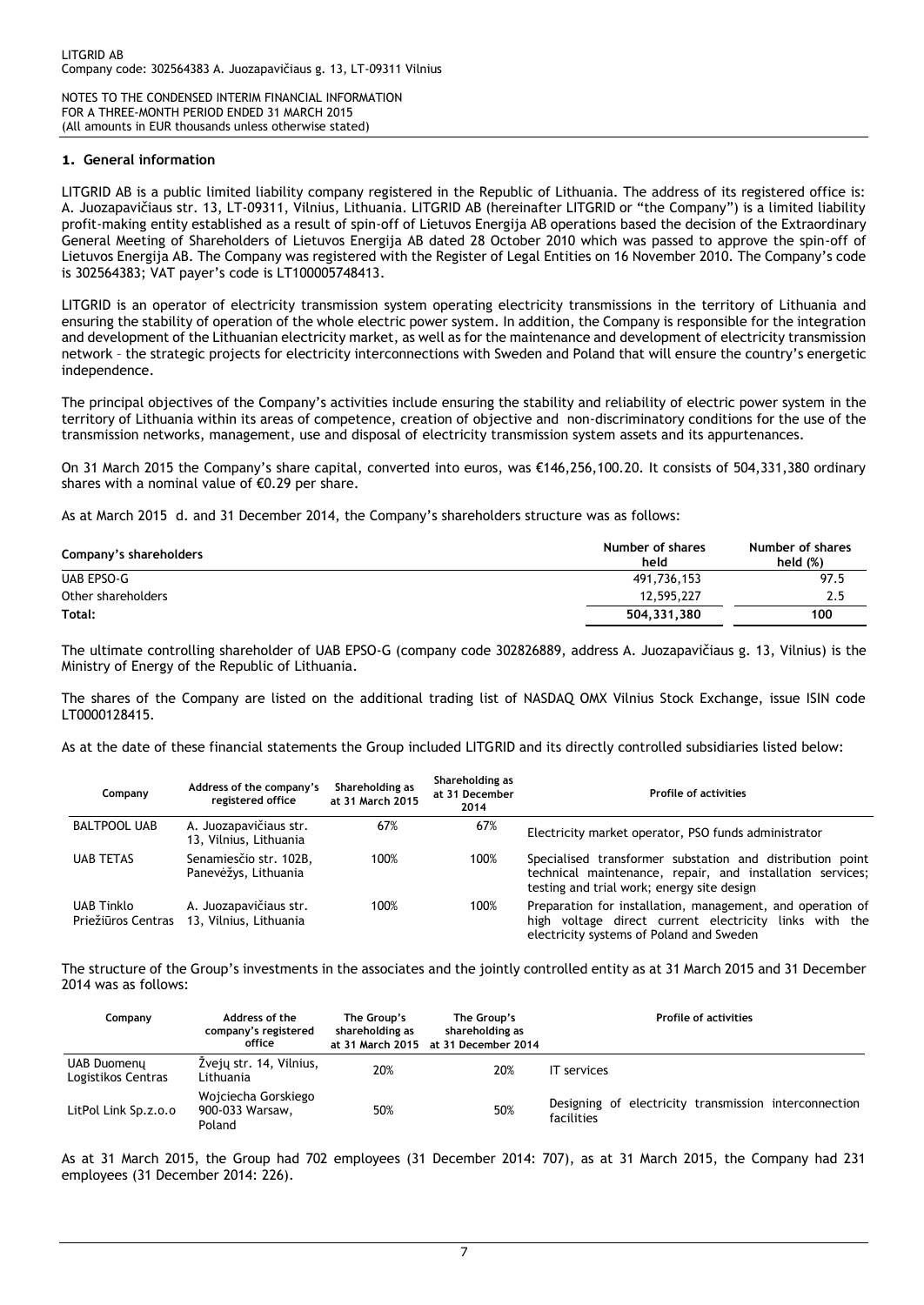#### **1. General information**

LITGRID AB is a public limited liability company registered in the Republic of Lithuania. The address of its registered office is: A. Juozapavičiaus str. 13, LT-09311, Vilnius, Lithuania. LITGRID AB (hereinafter LITGRID or "the Company") is a limited liability profit-making entity established as a result of spin-off of Lietuvos Energija AB operations based the decision of the Extraordinary General Meeting of Shareholders of Lietuvos Energija AB dated 28 October 2010 which was passed to approve the spin-off of Lietuvos Energija AB. The Company was registered with the Register of Legal Entities on 16 November 2010. The Company's code is 302564383; VAT payer's code is LT100005748413.

LITGRID is an operator of electricity transmission system operating electricity transmissions in the territory of Lithuania and ensuring the stability of operation of the whole electric power system. In addition, the Company is responsible for the integration and development of the Lithuanian electricity market, as well as for the maintenance and development of electricity transmission network – the strategic projects for electricity interconnections with Sweden and Poland that will ensure the country's energetic independence.

The principal objectives of the Company's activities include ensuring the stability and reliability of electric power system in the territory of Lithuania within its areas of competence, creation of objective and non-discriminatory conditions for the use of the transmission networks, management, use and disposal of electricity transmission system assets and its appurtenances.

On 31 March 2015 the Company's share capital, converted into euros, was €146,256,100.20. It consists of 504,331,380 ordinary shares with a nominal value of  $\epsilon$ 0.29 per share.

As at March 2015 d. and 31 December 2014, the Company's shareholders structure was as follows:

| Company's shareholders | Number of shares<br>held | Number of shares<br>held $(\%)$ |
|------------------------|--------------------------|---------------------------------|
| UAB EPSO-G             | 491,736,153              | 97.5                            |
| Other shareholders     | 12,595,227               | 2.5                             |
| Total:                 | 504.331.380              | 100                             |

The ultimate controlling shareholder of UAB EPSO-G (company code 302826889, address A. Juozapavičiaus g. 13, Vilnius) is the Ministry of Energy of the Republic of Lithuania.

The shares of the Company are listed on the additional trading list of NASDAQ OMX Vilnius Stock Exchange, issue ISIN code LT0000128415.

As at the date of these financial statements the Group included LITGRID and its directly controlled subsidiaries listed below:

| Company                                 | Address of the company's<br>registered office    | Shareholding as<br>at 31 March 2015 | Shareholding as<br>at 31 December<br>2014 | <b>Profile of activities</b>                                                                                                                                         |
|-----------------------------------------|--------------------------------------------------|-------------------------------------|-------------------------------------------|----------------------------------------------------------------------------------------------------------------------------------------------------------------------|
| <b>BALTPOOL UAB</b>                     | A. Juozapavičiaus str.<br>13, Vilnius, Lithuania | 67%                                 | 67%                                       | Electricity market operator, PSO funds administrator                                                                                                                 |
| <b>UAB TETAS</b>                        | Senamiesčio str. 102B,<br>Panevėžys, Lithuania   | 100%                                | 100%                                      | Specialised transformer substation and distribution point<br>technical maintenance, repair, and installation services;<br>testing and trial work; energy site design |
| <b>UAB Tinklo</b><br>Priežiūros Centras | A. Juozapavičiaus str.<br>13, Vilnius, Lithuania | 100%                                | 100%                                      | Preparation for installation, management, and operation of<br>high voltage direct current electricity links with the<br>electricity systems of Poland and Sweden     |

The structure of the Group's investments in the associates and the jointly controlled entity as at 31 March 2015 and 31 December 2014 was as follows:

| Company                           | Address of the<br>company's registered<br>office | The Group's<br>shareholding as | The Group's<br>shareholding as<br>at 31 March 2015 at 31 December 2014 | <b>Profile of activities</b>                                        |
|-----------------------------------|--------------------------------------------------|--------------------------------|------------------------------------------------------------------------|---------------------------------------------------------------------|
| UAB Duomeny<br>Logistikos Centras | Žvejų str. 14, Vilnius,<br>Lithuania             | 20%                            | 20%                                                                    | <b>IT</b> services                                                  |
| LitPol Link Sp.z.o.o              | Wojciecha Gorskiego<br>900-033 Warsaw,<br>Poland | 50%                            | 50%                                                                    | Designing of electricity transmission interconnection<br>facilities |

As at 31 March 2015, the Group had 702 employees (31 December 2014: 707), as at 31 March 2015, the Company had 231 employees (31 December 2014: 226).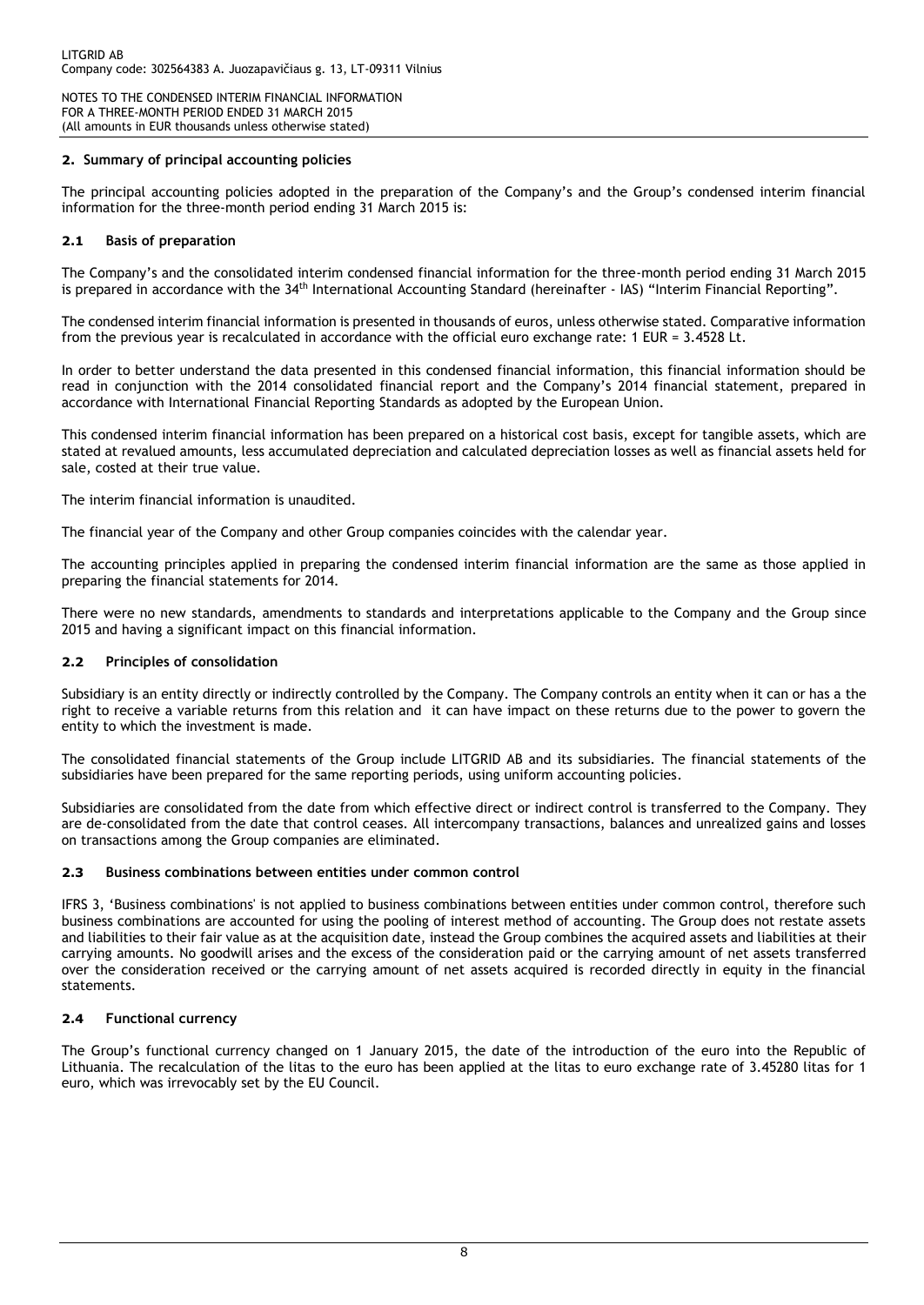## **2. Summary of principal accounting policies**

The principal accounting policies adopted in the preparation of the Company's and the Group's condensed interim financial information for the three-month period ending 31 March 2015 is:

#### **2.1 Basis of preparation**

The Company's and the consolidated interim condensed financial information for the three-month period ending 31 March 2015 is prepared in accordance with the 34th International Accounting Standard (hereinafter - IAS) "Interim Financial Reporting".

The condensed interim financial information is presented in thousands of euros, unless otherwise stated. Comparative information from the previous year is recalculated in accordance with the official euro exchange rate: 1 EUR = 3.4528 Lt.

In order to better understand the data presented in this condensed financial information, this financial information should be read in conjunction with the 2014 consolidated financial report and the Company's 2014 financial statement, prepared in accordance with International Financial Reporting Standards as adopted by the European Union.

This condensed interim financial information has been prepared on a historical cost basis, except for tangible assets, which are stated at revalued amounts, less accumulated depreciation and calculated depreciation losses as well as financial assets held for sale, costed at their true value.

The interim financial information is unaudited.

The financial year of the Company and other Group companies coincides with the calendar year.

The accounting principles applied in preparing the condensed interim financial information are the same as those applied in preparing the financial statements for 2014.

There were no new standards, amendments to standards and interpretations applicable to the Company and the Group since 2015 and having a significant impact on this financial information.

## **2.2 Principles of consolidation**

Subsidiary is an entity directly or indirectly controlled by the Company. The Company controls an entity when it can or has a the right to receive a variable returns from this relation and it can have impact on these returns due to the power to govern the entity to which the investment is made.

The consolidated financial statements of the Group include LITGRID AB and its subsidiaries. The financial statements of the subsidiaries have been prepared for the same reporting periods, using uniform accounting policies.

Subsidiaries are consolidated from the date from which effective direct or indirect control is transferred to the Company. They are de-consolidated from the date that control ceases. All intercompany transactions, balances and unrealized gains and losses on transactions among the Group companies are eliminated.

#### **2.3 Business combinations between entities under common control**

IFRS 3, 'Business combinations' is not applied to business combinations between entities under common control, therefore such business combinations are accounted for using the pooling of interest method of accounting. The Group does not restate assets and liabilities to their fair value as at the acquisition date, instead the Group combines the acquired assets and liabilities at their carrying amounts. No goodwill arises and the excess of the consideration paid or the carrying amount of net assets transferred over the consideration received or the carrying amount of net assets acquired is recorded directly in equity in the financial statements.

## **2.4 Functional currency**

The Group's functional currency changed on 1 January 2015, the date of the introduction of the euro into the Republic of Lithuania. The recalculation of the litas to the euro has been applied at the litas to euro exchange rate of 3.45280 litas for 1 euro, which was irrevocably set by the EU Council.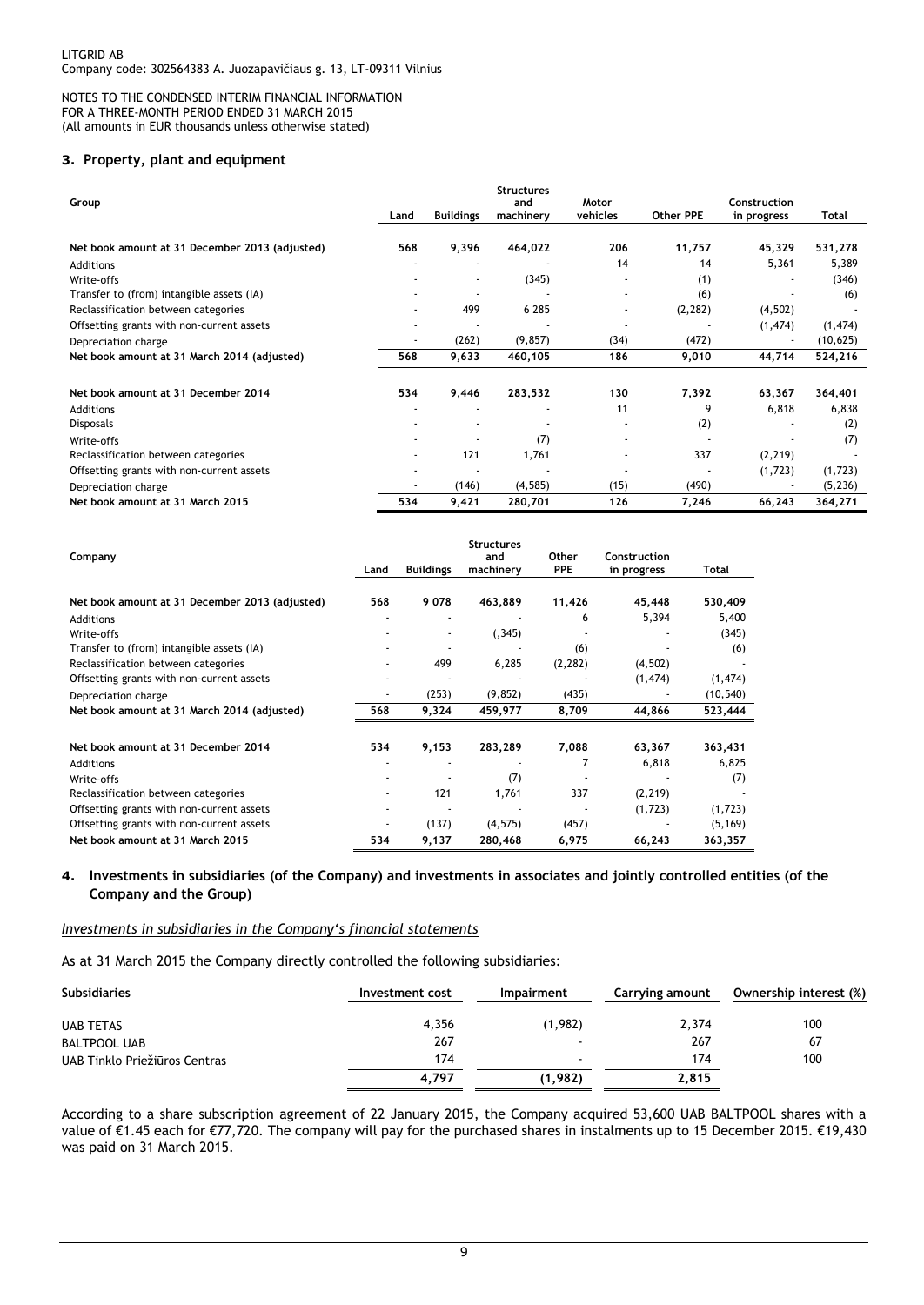#### **3. Property, plant and equipment**

| Group                                          |                          |                          | <b>Structures</b><br>and | Motor                    |           | Construction |           |
|------------------------------------------------|--------------------------|--------------------------|--------------------------|--------------------------|-----------|--------------|-----------|
|                                                | Land                     | <b>Buildings</b>         | machinery                | vehicles                 | Other PPE | in progress  | Total     |
| Net book amount at 31 December 2013 (adjusted) | 568                      | 9,396                    | 464,022                  | 206                      | 11,757    | 45,329       | 531,278   |
| Additions                                      |                          |                          |                          | 14                       | 14        | 5,361        | 5,389     |
| Write-offs                                     |                          | $\overline{\phantom{a}}$ | (345)                    |                          | (1)       |              | (346)     |
| Transfer to (from) intangible assets (IA)      |                          |                          |                          | ٠                        | (6)       |              | (6)       |
| Reclassification between categories            |                          | 499                      | 6 2 8 5                  | $\overline{\phantom{a}}$ | (2, 282)  | (4, 502)     |           |
| Offsetting grants with non-current assets      |                          |                          |                          | $\overline{\phantom{a}}$ |           | (1, 474)     | (1, 474)  |
| Depreciation charge                            |                          | (262)                    | (9, 857)                 | (34)                     | (472)     |              | (10, 625) |
| Net book amount at 31 March 2014 (adjusted)    | 568                      | 9,633                    | 460,105                  | 186                      | 9,010     | 44,714       | 524,216   |
|                                                |                          |                          |                          |                          |           |              |           |
| Net book amount at 31 December 2014            | 534                      | 9,446                    | 283,532                  | 130                      | 7,392     | 63,367       | 364,401   |
| Additions                                      |                          |                          |                          | 11                       | 9         | 6,818        | 6,838     |
| <b>Disposals</b>                               |                          |                          |                          | ٠                        | (2)       |              | (2)       |
| Write-offs                                     |                          |                          | (7)                      | ٠                        |           |              | (7)       |
| Reclassification between categories            | $\overline{\phantom{a}}$ | 121                      | 1,761                    | ٠                        | 337       | (2, 219)     |           |
| Offsetting grants with non-current assets      |                          |                          |                          |                          |           | (1,723)      | (1,723)   |
| Depreciation charge                            |                          | (146)                    | (4, 585)                 | (15)                     | (490)     |              | (5, 236)  |
| Net book amount at 31 March 2015               | 534                      | 9,421                    | 280,701                  | 126                      | 7,246     | 66,243       | 364,271   |

| Company                                        | Land | <b>Buildings</b>         | <b>Structures</b><br>and<br>machinery | Other<br><b>PPE</b> | Construction<br>in progress | Total     |
|------------------------------------------------|------|--------------------------|---------------------------------------|---------------------|-----------------------------|-----------|
|                                                |      |                          |                                       |                     |                             |           |
| Net book amount at 31 December 2013 (adjusted) | 568  | 9078                     | 463,889                               | 11,426              | 45,448                      | 530,409   |
| <b>Additions</b>                               |      |                          |                                       | 6                   | 5,394                       | 5,400     |
| Write-offs                                     |      | $\overline{\phantom{a}}$ | (.345)                                |                     |                             | (345)     |
| Transfer to (from) intangible assets (IA)      |      |                          |                                       | (6)                 |                             | (6)       |
| Reclassification between categories            |      | 499                      | 6,285                                 | (2, 282)            | (4, 502)                    |           |
| Offsetting grants with non-current assets      |      |                          |                                       |                     | (1, 474)                    | (1, 474)  |
| Depreciation charge                            |      | (253)                    | (9, 852)                              | (435)               |                             | (10, 540) |
| Net book amount at 31 March 2014 (adjusted)    | 568  | 9,324                    | 459,977                               | 8,709               | 44,866                      | 523,444   |
| Net book amount at 31 December 2014            | 534  | 9,153                    | 283,289                               | 7,088               | 63,367                      | 363,431   |
| Additions                                      |      |                          |                                       |                     | 6,818                       | 6,825     |
| Write-offs                                     |      |                          | (7)                                   |                     |                             | (7)       |
| Reclassification between categories            |      | 121                      | 1,761                                 | 337                 | (2, 219)                    |           |
| Offsetting grants with non-current assets      |      |                          |                                       |                     | (1,723)                     | (1, 723)  |
| Offsetting grants with non-current assets      |      | (137)                    | (4, 575)                              | (457)               |                             | (5, 169)  |
| Net book amount at 31 March 2015               | 534  | 9,137                    | 280,468                               | 6,975               | 66,243                      | 363,357   |

#### **4. Investments in subsidiaries (of the Company) and investments in associates and jointly controlled entities (of the Company and the Group)**

#### *Investments in subsidiaries in the Company's financial statements*

As at 31 March 2015 the Company directly controlled the following subsidiaries:

| <b>Subsidiaries</b>           | Investment cost | <b>Impairment</b>        | Carrying amount | Ownership interest (%) |
|-------------------------------|-----------------|--------------------------|-----------------|------------------------|
| <b>UAB TETAS</b>              | 4,356           | (1,982)                  | 2,374           | 100                    |
| <b>BALTPOOL UAB</b>           | 267             | $\overline{\phantom{0}}$ | 267             | 67                     |
| UAB Tinklo Priežiūros Centras | 174             | $\overline{\phantom{a}}$ | 174             | 100                    |
|                               | 4,797           | (1,982)                  | 2,815           |                        |

According to a share subscription agreement of 22 January 2015, the Company acquired 53,600 UAB BALTPOOL shares with a value of €1.45 each for €77,720. The company will pay for the purchased shares in instalments up to 15 December 2015. €19,430 was paid on 31 March 2015.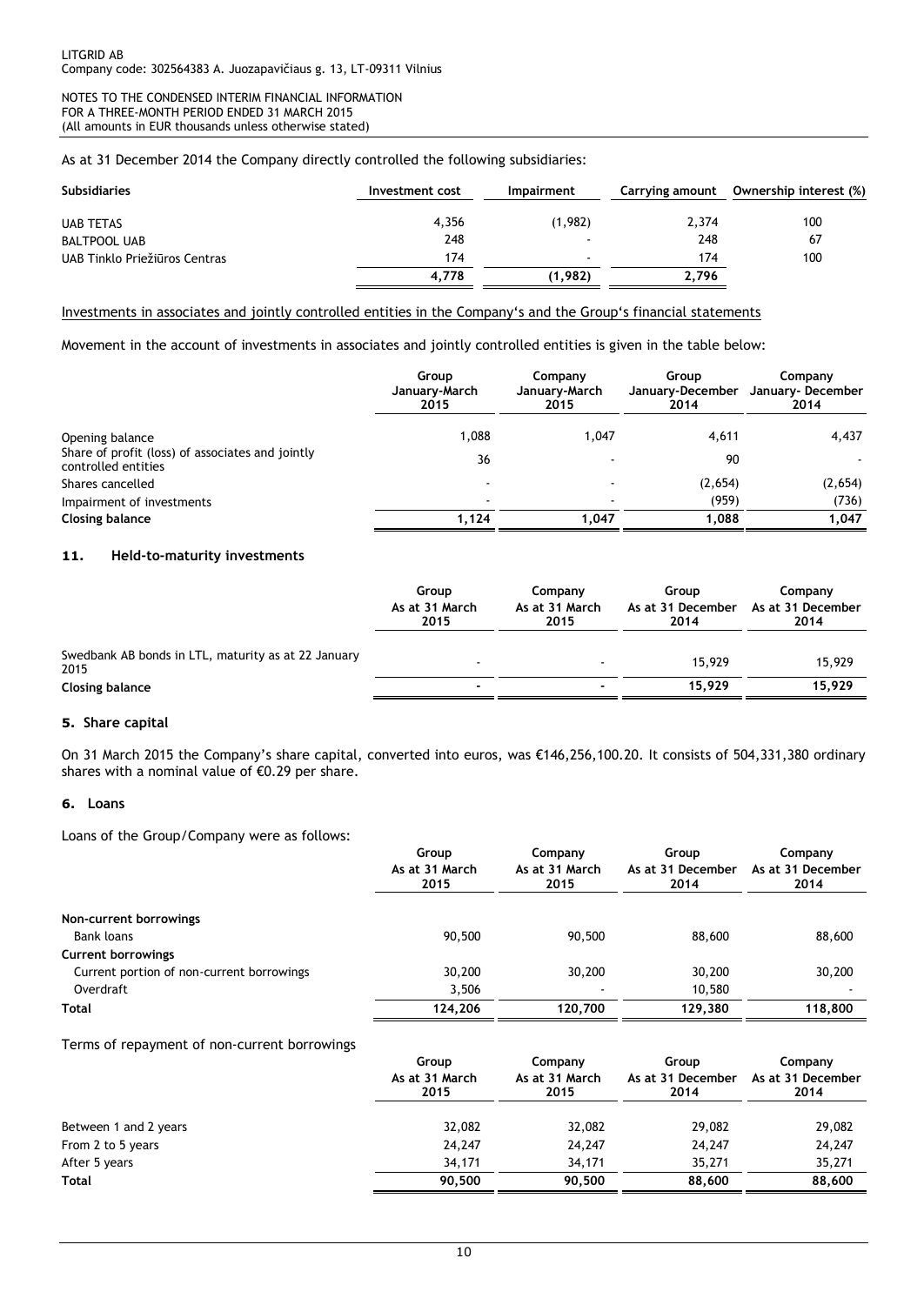As at 31 December 2014 the Company directly controlled the following subsidiaries:

| <b>Subsidiaries</b>           | Investment cost | Impairment               | Carrying amount | Ownership interest (%) |
|-------------------------------|-----------------|--------------------------|-----------------|------------------------|
| <b>UAB TETAS</b>              | 4.356           | (1,982)                  | 2.374           | 100                    |
| <b>BALTPOOL UAB</b>           | 248             |                          | 248             | 67                     |
| UAB Tinklo Priežiūros Centras | 174             | $\overline{\phantom{a}}$ | 174             | 100                    |
|                               | 4.778           | (1,982)                  | 2,796           |                        |

#### Investments in associates and jointly controlled entities in the Company's and the Group's financial statements

Movement in the account of investments in associates and jointly controlled entities is given in the table below:

|                                                                         | Group<br>January-March<br>2015 | Company<br>January-March<br>2015 | Group<br>January-December<br>2014 | Company<br>January-December<br>2014 |
|-------------------------------------------------------------------------|--------------------------------|----------------------------------|-----------------------------------|-------------------------------------|
| Opening balance                                                         | 1.088                          | 1.047                            | 4,611                             | 4,437                               |
| Share of profit (loss) of associates and jointly<br>controlled entities | 36                             |                                  | 90                                |                                     |
| Shares cancelled                                                        | $\overline{\phantom{a}}$       |                                  | (2,654)                           | (2,654)                             |
| Impairment of investments                                               | $\overline{\phantom{a}}$       |                                  | (959)                             | (736)                               |
| <b>Closing balance</b>                                                  | 1,124                          | 1.047                            | 1,088                             | 1.047                               |

## **11. Held-to-maturity investments**

|                                                             | Group<br>As at 31 March<br>2015 | Company<br>As at 31 March<br>2015 | Group<br>As at 31 December<br>2014 | Company<br>As at 31 December<br>2014 |
|-------------------------------------------------------------|---------------------------------|-----------------------------------|------------------------------------|--------------------------------------|
| Swedbank AB bonds in LTL, maturity as at 22 January<br>2015 |                                 |                                   | 15,929                             | 15,929                               |
| <b>Closing balance</b>                                      |                                 |                                   | 15.929                             | 15,929                               |

#### **5. Share capital**

On 31 March 2015 the Company's share capital, converted into euros, was €146,256,100.20. It consists of 504,331,380 ordinary shares with a nominal value of €0.29 per share.

#### **6. Loans**

Loans of the Group/Company were as follows:

|                                           | Group<br>As at 31 March<br>2015 | Company<br>As at 31 March<br>2015 | Group<br>As at 31 December<br>2014 | Company<br>As at 31 December<br>2014 |
|-------------------------------------------|---------------------------------|-----------------------------------|------------------------------------|--------------------------------------|
| Non-current borrowings                    |                                 |                                   |                                    |                                      |
| Bank loans                                | 90,500                          | 90,500                            | 88,600                             | 88,600                               |
| <b>Current borrowings</b>                 |                                 |                                   |                                    |                                      |
| Current portion of non-current borrowings | 30,200                          | 30,200                            | 30,200                             | 30,200                               |
| Overdraft                                 | 3.506                           |                                   | 10.580                             |                                      |
| Total                                     | 124,206                         | 120,700                           | 129.380                            | 118,800                              |

Terms of repayment of non-current borrowings

|                       | Group<br>As at 31 March<br>2015 | Company<br>As at 31 March<br>2015 | Group<br>As at 31 December<br>2014 | Company<br>As at 31 December<br>2014 |
|-----------------------|---------------------------------|-----------------------------------|------------------------------------|--------------------------------------|
| Between 1 and 2 years | 32,082                          | 32,082                            | 29,082                             | 29,082                               |
| From 2 to 5 years     | 24,247                          | 24,247                            | 24,247                             | 24,247                               |
| After 5 years         | 34.171                          | 34,171                            | 35,271                             | 35,271                               |
| <b>Total</b>          | 90.500                          | 90,500                            | 88,600                             | 88,600                               |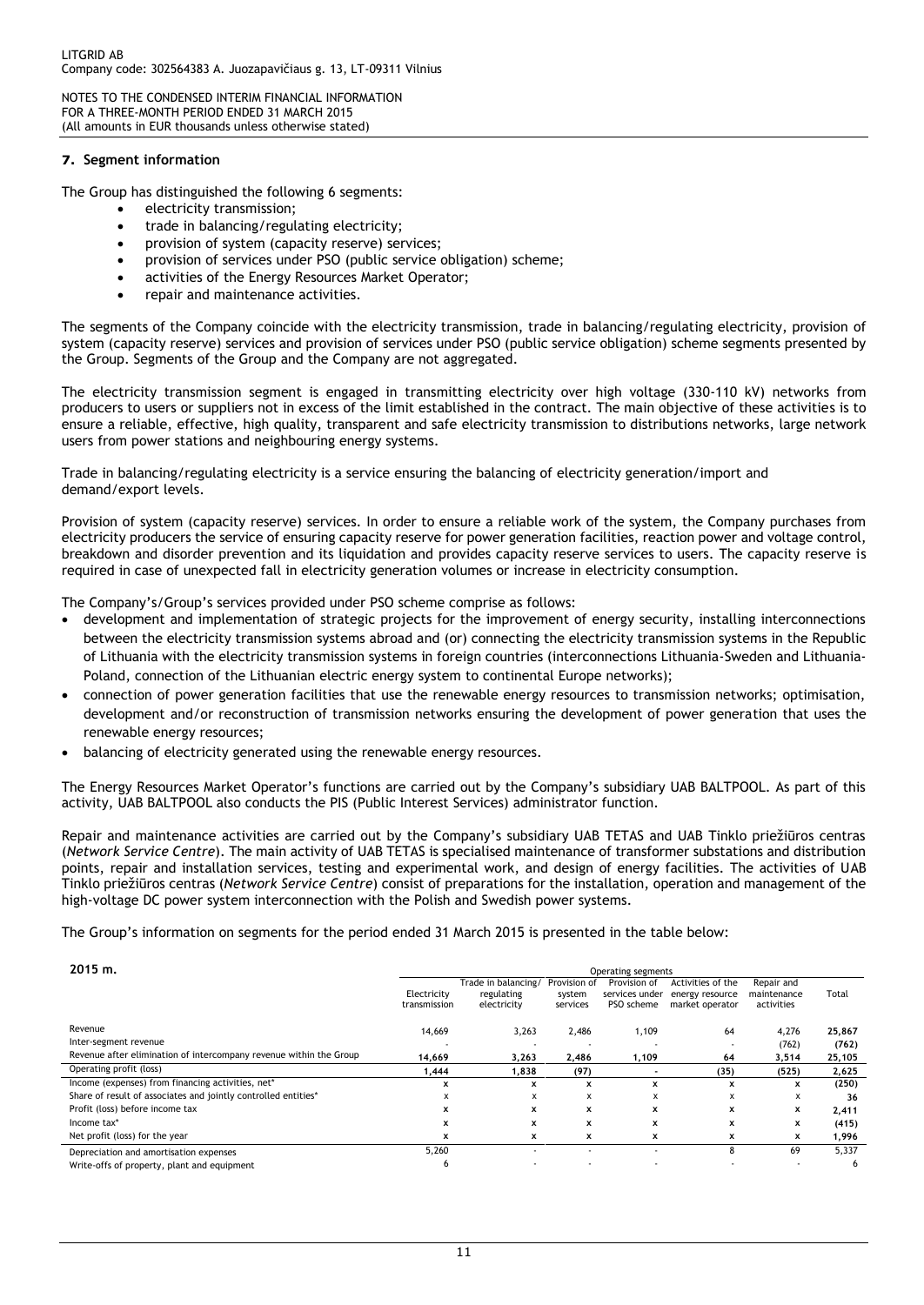#### **7. Segment information**

The Group has distinguished the following 6 segments:

- electricity transmission;
- trade in balancing/regulating electricity;
- provision of system (capacity reserve) services;
- provision of services under PSO (public service obligation) scheme;
- activities of the Energy Resources Market Operator;
- repair and maintenance activities.

The segments of the Company coincide with the electricity transmission, trade in balancing/regulating electricity, provision of system (capacity reserve) services and provision of services under PSO (public service obligation) scheme segments presented by the Group. Segments of the Group and the Company are not aggregated.

The electricity transmission segment is engaged in transmitting electricity over high voltage (330-110 kV) networks from producers to users or suppliers not in excess of the limit established in the contract. The main objective of these activities is to ensure a reliable, effective, high quality, transparent and safe electricity transmission to distributions networks, large network users from power stations and neighbouring energy systems.

Trade in balancing/regulating electricity is a service ensuring the balancing of electricity generation/import and demand/export levels.

Provision of system (capacity reserve) services. In order to ensure a reliable work of the system, the Company purchases from electricity producers the service of ensuring capacity reserve for power generation facilities, reaction power and voltage control, breakdown and disorder prevention and its liquidation and provides capacity reserve services to users. The capacity reserve is required in case of unexpected fall in electricity generation volumes or increase in electricity consumption.

The Company's/Group's services provided under PSO scheme comprise as follows:

- development and implementation of strategic projects for the improvement of energy security, installing interconnections between the electricity transmission systems abroad and (or) connecting the electricity transmission systems in the Republic of Lithuania with the electricity transmission systems in foreign countries (interconnections Lithuania-Sweden and Lithuania-Poland, connection of the Lithuanian electric energy system to continental Europe networks);
- connection of power generation facilities that use the renewable energy resources to transmission networks; optimisation, development and/or reconstruction of transmission networks ensuring the development of power generation that uses the renewable energy resources;
- balancing of electricity generated using the renewable energy resources.

The Energy Resources Market Operator's functions are carried out by the Company's subsidiary UAB BALTPOOL. As part of this activity, UAB BALTPOOL also conducts the PIS (Public Interest Services) administrator function.

Repair and maintenance activities are carried out by the Company's subsidiary UAB TETAS and UAB Tinklo priežiūros centras (*Network Service Centre*). The main activity of UAB TETAS is specialised maintenance of transformer substations and distribution points, repair and installation services, testing and experimental work, and design of energy facilities. The activities of UAB Tinklo priežiūros centras (*Network Service Centre*) consist of preparations for the installation, operation and management of the high-voltage DC power system interconnection with the Polish and Swedish power systems.

The Group's information on segments for the period ended 31 March 2015 is presented in the table below:

| $2015$ m.                                                          | Operating segments          |                                                  |                                    |                                              |                                                         |                                         |        |
|--------------------------------------------------------------------|-----------------------------|--------------------------------------------------|------------------------------------|----------------------------------------------|---------------------------------------------------------|-----------------------------------------|--------|
|                                                                    | Electricity<br>transmission | Trade in balancing/<br>regulating<br>electricity | Provision of<br>system<br>services | Provision of<br>services under<br>PSO scheme | Activities of the<br>energy resource<br>market operator | Repair and<br>maintenance<br>activities | Total  |
| Revenue                                                            | 14,669                      | 3,263                                            | 2,486                              | 1,109                                        | 64                                                      | 4,276                                   | 25,867 |
| Inter-segment revenue                                              |                             | . .                                              | $\overline{\phantom{0}}$           |                                              | $\overline{\phantom{a}}$                                | (762)                                   | (762)  |
| Revenue after elimination of intercompany revenue within the Group | 14.669                      | 3,263                                            | 2,486                              | 1,109                                        | 64                                                      | 3,514                                   | 25,105 |
| Operating profit (loss)                                            | 1,444                       | 1,838                                            | (97)                               |                                              | (35)                                                    | (525)                                   | 2,625  |
| Income (expenses) from financing activities, net*                  | x                           | x                                                | x                                  | x                                            | $\mathbf x$                                             | x                                       | (250)  |
| Share of result of associates and jointly controlled entities*     | X                           | x                                                | x                                  | x                                            | x                                                       | x                                       | 36     |
| Profit (loss) before income tax                                    | X                           | x                                                | x                                  | x                                            | x                                                       | x                                       | 2,411  |
| Income tax*                                                        | ×                           | x                                                | x                                  | x                                            | $\mathbf x$                                             | x                                       | (415)  |
| Net profit (loss) for the year                                     | x                           | x                                                | x                                  | x                                            | x                                                       | x                                       | 1,996  |
| Depreciation and amortisation expenses                             | 5,260                       |                                                  |                                    |                                              | 8                                                       | 69                                      | 5,337  |
| Write-offs of property, plant and equipment                        | b                           |                                                  |                                    |                                              |                                                         | $\overline{\phantom{0}}$                | 6      |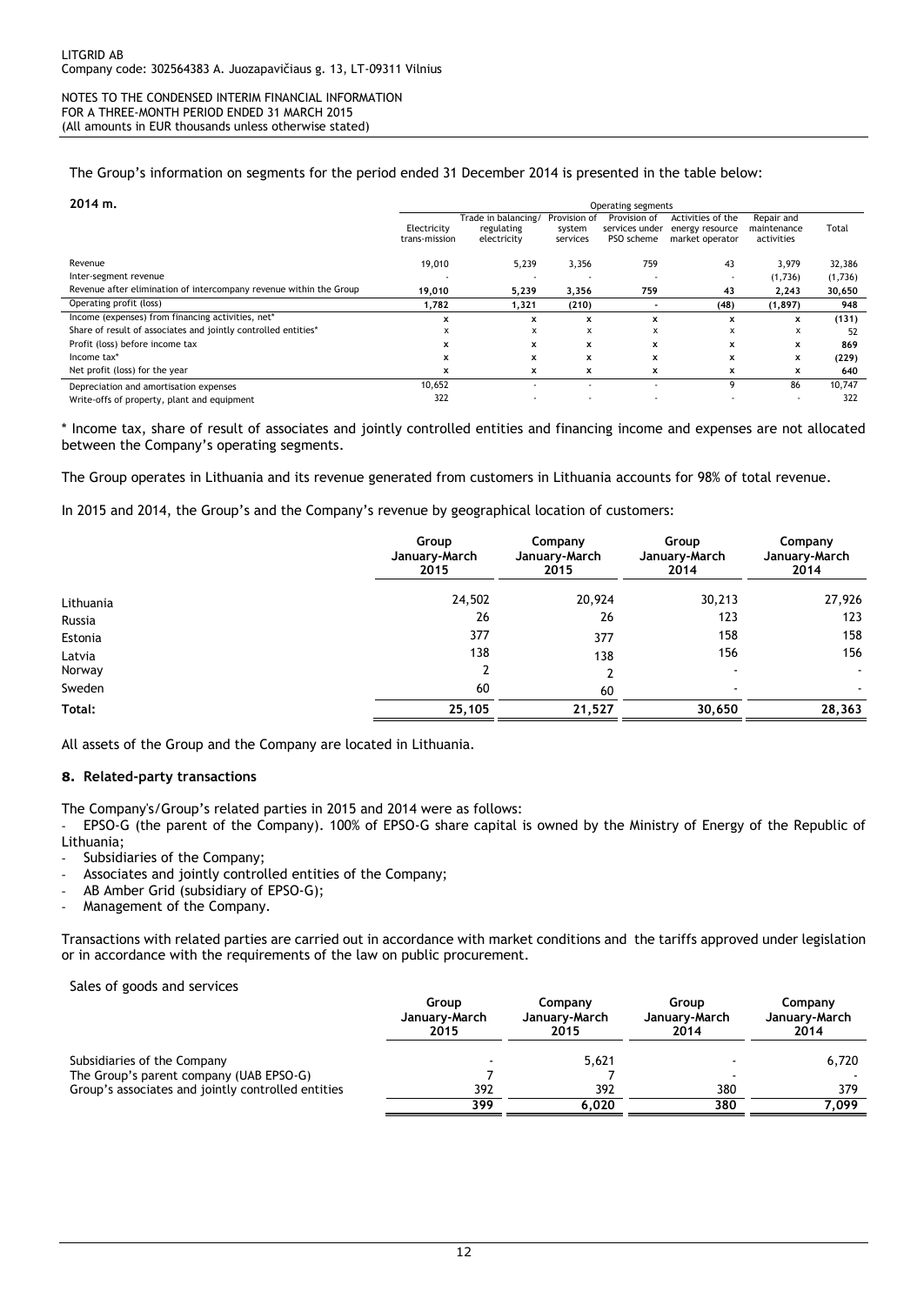The Group's information on segments for the period ended 31 December 2014 is presented in the table below:

| 2014 m.                                                            | Operating segments           |                                                  |                                    |                                              |                                                         |                                         |         |
|--------------------------------------------------------------------|------------------------------|--------------------------------------------------|------------------------------------|----------------------------------------------|---------------------------------------------------------|-----------------------------------------|---------|
|                                                                    | Electricity<br>trans-mission | Trade in balancing/<br>regulating<br>electricity | Provision of<br>system<br>services | Provision of<br>services under<br>PSO scheme | Activities of the<br>energy resource<br>market operator | Repair and<br>maintenance<br>activities | Total   |
| Revenue                                                            | 19,010                       | 5,239                                            | 3,356                              | 759                                          | 43                                                      | 3,979                                   | 32,386  |
| Inter-segment revenue                                              |                              |                                                  |                                    | . .                                          | $\overline{\phantom{a}}$                                | (1,736)                                 | (1,736) |
| Revenue after elimination of intercompany revenue within the Group | 19,010                       | 5,239                                            | 3,356                              | 759                                          | 43                                                      | 2,243                                   | 30,650  |
| Operating profit (loss)                                            | 1,782                        | 1,321                                            | (210)                              |                                              | (48)                                                    | (1, 897)                                | 948     |
| Income (expenses) from financing activities, net*                  | x                            | x                                                | x                                  | x                                            | $\mathbf x$                                             | x                                       | (131)   |
| Share of result of associates and jointly controlled entities*     | x                            | x                                                | x                                  | x                                            | x                                                       | x                                       | 52      |
| Profit (loss) before income tax                                    | x                            | x                                                | $\mathbf x$                        | x                                            | $\mathbf x$                                             | x                                       | 869     |
| Income tax*                                                        | x                            | x                                                | $\mathbf x$                        | x                                            | $\mathbf x$                                             | x                                       | (229)   |
| Net profit (loss) for the year                                     | x                            | x                                                | x                                  | x                                            | x                                                       | x                                       | 640     |
| Depreciation and amortisation expenses                             | 10,652                       |                                                  |                                    | $\overline{\phantom{0}}$                     | q                                                       | 86                                      | 10,747  |
| Write-offs of property, plant and equipment                        | 322                          |                                                  |                                    | $\overline{\phantom{0}}$                     |                                                         | $\sim$                                  | 322     |

\* Income tax, share of result of associates and jointly controlled entities and financing income and expenses are not allocated between the Company's operating segments.

The Group operates in Lithuania and its revenue generated from customers in Lithuania accounts for 98% of total revenue.

In 2015 and 2014, the Group's and the Company's revenue by geographical location of customers:

| Group<br>January-March<br>2015 | Company<br>January-March<br>2015 | Group<br>January-March<br>2014 | Company<br>January-March<br>2014 |
|--------------------------------|----------------------------------|--------------------------------|----------------------------------|
| 24,502                         | 20,924                           | 30,213                         | 27,926                           |
| 26                             | 26                               | 123                            | 123                              |
| 377                            | 377                              | 158                            | 158                              |
| 138                            | 138                              | 156                            | 156                              |
|                                | າ                                | $\overline{\phantom{0}}$       | $\sim$                           |
| 60                             | 60                               | $\overline{\phantom{a}}$       | ۰                                |
| 25,105                         | 21,527                           | 30,650                         | 28,363                           |
|                                |                                  |                                |                                  |

All assets of the Group and the Company are located in Lithuania.

#### **8. Related-party transactions**

The Company's/Group's related parties in 2015 and 2014 were as follows:

- EPSO-G (the parent of the Company). 100% of EPSO-G share capital is owned by the Ministry of Energy of the Republic of Lithuania;

Subsidiaries of the Company;

- Associates and jointly controlled entities of the Company;
- AB Amber Grid (subsidiary of EPSO-G);
- Management of the Company.

Transactions with related parties are carried out in accordance with market conditions and the tariffs approved under legislation or in accordance with the requirements of the law on public procurement.

Sales of goods and services

|                                                    | Group<br>January-March<br>2015 | Companv<br>January-March<br>2015 | Group<br>January-March<br>2014 | Company<br>January-March<br>2014 |
|----------------------------------------------------|--------------------------------|----------------------------------|--------------------------------|----------------------------------|
| Subsidiaries of the Company                        |                                | 5,621                            |                                | 6.720                            |
| The Group's parent company (UAB EPSO-G)            |                                |                                  |                                |                                  |
| Group's associates and jointly controlled entities | 392                            | 392                              | 380                            | 379                              |
|                                                    | 399                            | 6.020                            | 380                            | 7.099                            |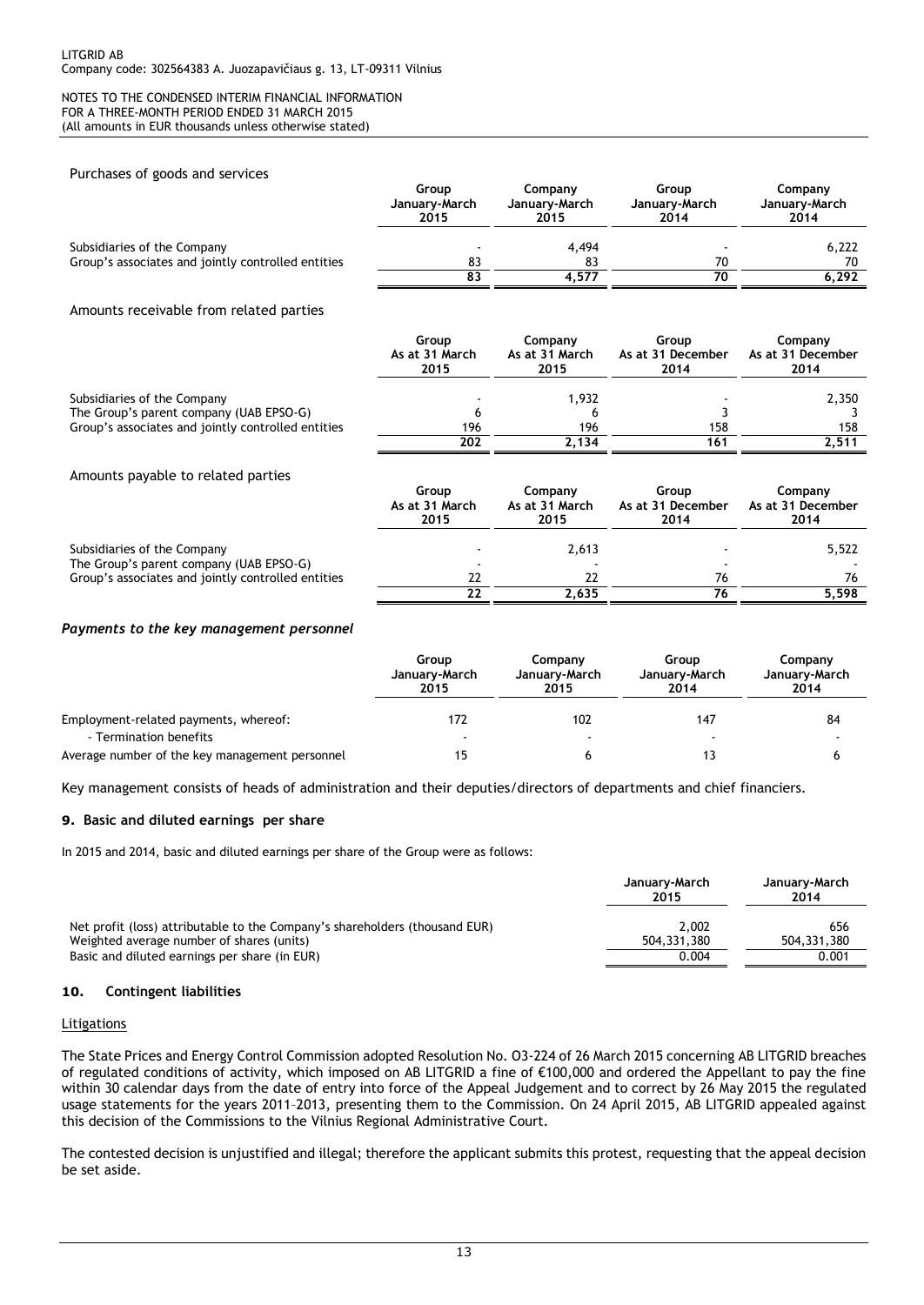#### Purchases of goods and services

| -                                                  | Group<br>January-March<br>2015 | Company<br>January-March<br>2015 | Group<br>January-March<br>2014 | Company<br>January-March<br>2014 |
|----------------------------------------------------|--------------------------------|----------------------------------|--------------------------------|----------------------------------|
| Subsidiaries of the Company                        |                                | 4.494                            |                                | 6,222                            |
| Group's associates and jointly controlled entities | 83                             | 83                               | 70                             | 70                               |
|                                                    | 83                             | 4.577                            | 70                             | 6.292                            |

#### Amounts receivable from related parties

|                                                                        | Group          | Company        | Group             | Company           |
|------------------------------------------------------------------------|----------------|----------------|-------------------|-------------------|
|                                                                        | As at 31 March | As at 31 March | As at 31 December | As at 31 December |
|                                                                        | 2015           | 2015           | 2014              | 2014              |
| Subsidiaries of the Company<br>The Group's parent company (UAB EPSO-G) | h              | 1.932          |                   | 2,350             |
| Group's associates and jointly controlled entities                     | 196            | 196            | 158               | 158               |
|                                                                        | 202            | 2.134          | 161               | 2,511             |
| Amounts payable to related parties                                     | Group          | Company        | Group             | Company           |

|                                                    | As at 31 March<br>2015 | As at 31 March<br>2015 | As at 31 December<br>2014 | As at 31 December<br>2014 |
|----------------------------------------------------|------------------------|------------------------|---------------------------|---------------------------|
| Subsidiaries of the Company                        | -                      | 2.613                  |                           | 5,522                     |
| The Group's parent company (UAB EPSO-G)            |                        |                        |                           |                           |
| Group's associates and jointly controlled entities | 22                     |                        | 76                        | 76                        |
|                                                    | 22                     | 2.635                  |                           | 5.598                     |

#### *Payments to the key management personnel*

|                                                | Group<br>January-March<br>2015 | Company<br>January-March<br>2015 | Group<br>January-March<br>2014 | Company<br>January-March<br>2014 |
|------------------------------------------------|--------------------------------|----------------------------------|--------------------------------|----------------------------------|
| Employment-related payments, whereof:          | 172                            | 102                              | 147                            | 84                               |
| - Termination benefits                         |                                |                                  |                                |                                  |
| Average number of the key management personnel |                                |                                  |                                |                                  |

Key management consists of heads of administration and their deputies/directors of departments and chief financiers.

#### **9. Basic and diluted earnings per share**

In 2015 and 2014, basic and diluted earnings per share of the Group were as follows:

|                                                                             | January-March<br>2015 | January-March<br>2014 |
|-----------------------------------------------------------------------------|-----------------------|-----------------------|
| Net profit (loss) attributable to the Company's shareholders (thousand EUR) | 2.002                 | 656                   |
| Weighted average number of shares (units)                                   | 504.331.380           | 504.331.380           |
| Basic and diluted earnings per share (in EUR)                               | 0.004                 | 0.001                 |

#### **10. Contingent liabilities**

#### **Litigations**

The State Prices and Energy Control Commission adopted Resolution No. O3-224 of 26 March 2015 concerning AB LITGRID breaches of regulated conditions of activity, which imposed on AB LITGRID a fine of €100,000 and ordered the Appellant to pay the fine within 30 calendar days from the date of entry into force of the Appeal Judgement and to correct by 26 May 2015 the regulated usage statements for the years 2011–2013, presenting them to the Commission. On 24 April 2015, AB LITGRID appealed against this decision of the Commissions to the Vilnius Regional Administrative Court.

The contested decision is unjustified and illegal; therefore the applicant submits this protest, requesting that the appeal decision be set aside.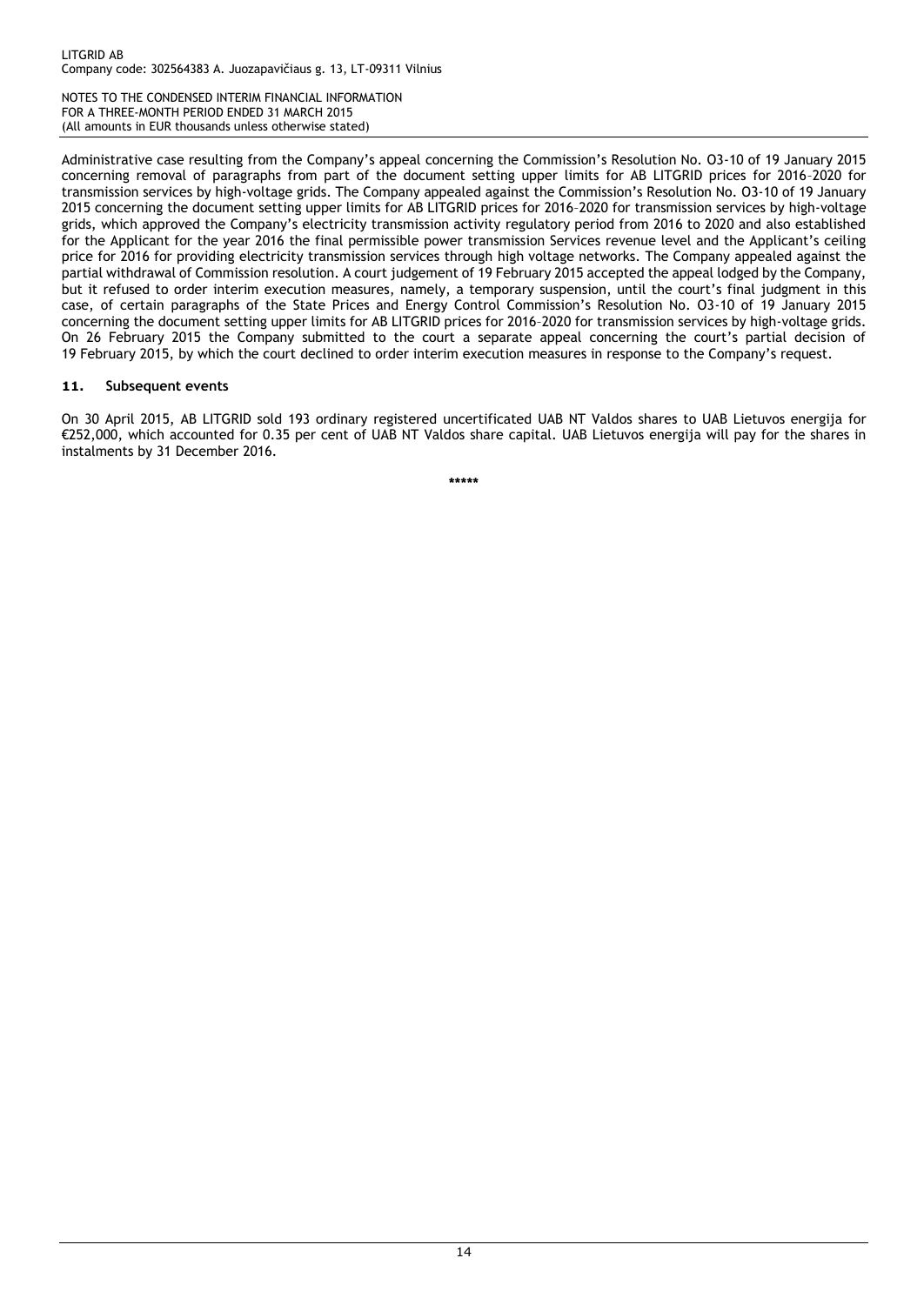Administrative case resulting from the Company's appeal concerning the Commission's Resolution No. O3-10 of 19 January 2015 concerning removal of paragraphs from part of the document setting upper limits for AB LITGRID prices for 2016–2020 for transmission services by high-voltage grids. The Company appealed against the Commission's Resolution No. O3-10 of 19 January 2015 concerning the document setting upper limits for AB LITGRID prices for 2016–2020 for transmission services by high-voltage grids, which approved the Company's electricity transmission activity regulatory period from 2016 to 2020 and also established for the Applicant for the year 2016 the final permissible power transmission Services revenue level and the Applicant's ceiling price for 2016 for providing electricity transmission services through high voltage networks. The Company appealed against the partial withdrawal of Commission resolution. A court judgement of 19 February 2015 accepted the appeal lodged by the Company, but it refused to order interim execution measures, namely, a temporary suspension, until the court's final judgment in this case, of certain paragraphs of the State Prices and Energy Control Commission's Resolution No. O3-10 of 19 January 2015 concerning the document setting upper limits for AB LITGRID prices for 2016–2020 for transmission services by high-voltage grids. On 26 February 2015 the Company submitted to the court a separate appeal concerning the court's partial decision of 19 February 2015, by which the court declined to order interim execution measures in response to the Company's request.

## **11. Subsequent events**

On 30 April 2015, AB LITGRID sold 193 ordinary registered uncertificated UAB NT Valdos shares to UAB Lietuvos energija for €252,000, which accounted for 0.35 per cent of UAB NT Valdos share capital. UAB Lietuvos energija will pay for the shares in instalments by 31 December 2016.

**\*\*\*\*\***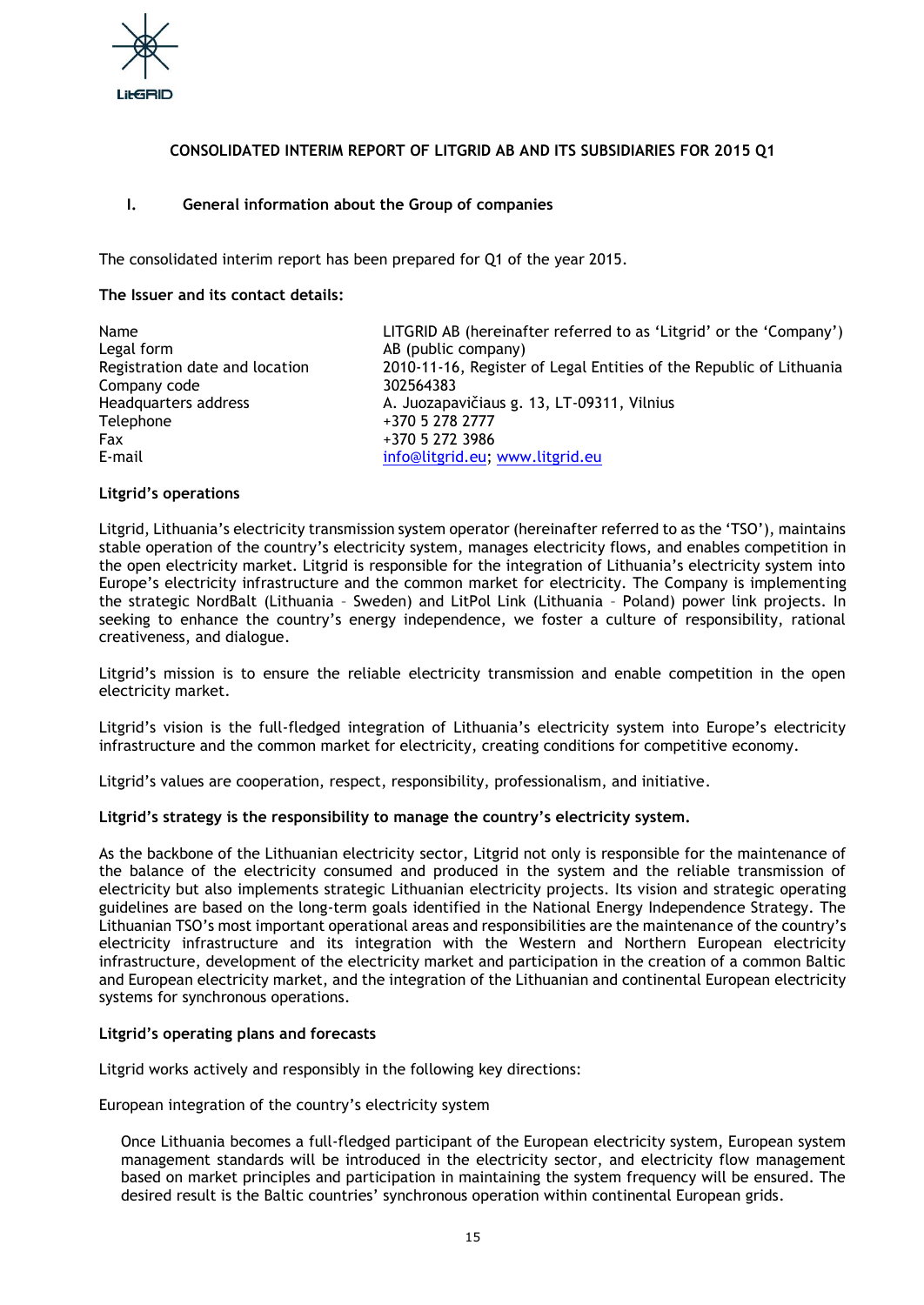

## **CONSOLIDATED INTERIM REPORT OF LITGRID AB AND ITS SUBSIDIARIES FOR 2015 Q1**

## **I. General information about the Group of companies**

The consolidated interim report has been prepared for Q1 of the year 2015.

## **The Issuer and its contact details:**

| Name                           | LITGRID AB (hereinafter referred to as 'Litgrid' or the 'Company')  |
|--------------------------------|---------------------------------------------------------------------|
| Legal form                     | AB (public company)                                                 |
| Registration date and location | 2010-11-16, Register of Legal Entities of the Republic of Lithuania |
| Company code                   | 302564383                                                           |
| Headquarters address           | A. Juozapavičiaus g. 13, LT-09311, Vilnius                          |
| Telephone                      | +370 5 278 2777                                                     |
| <b>Fax</b>                     | +370 5 272 3986                                                     |
| E-mail                         | info@litgrid.eu; www.litgrid.eu                                     |

## **Litgrid's operations**

Litgrid, Lithuania's electricity transmission system operator (hereinafter referred to as the 'TSO'), maintains stable operation of the country's electricity system, manages electricity flows, and enables competition in the open electricity market. Litgrid is responsible for the integration of Lithuania's electricity system into Europe's electricity infrastructure and the common market for electricity. The Company is implementing the strategic NordBalt (Lithuania – Sweden) and LitPol Link (Lithuania – Poland) power link projects. In seeking to enhance the country's energy independence, we foster a culture of responsibility, rational creativeness, and dialogue.

Litgrid's mission is to ensure the reliable electricity transmission and enable competition in the open electricity market.

Litgrid's vision is the full-fledged integration of Lithuania's electricity system into Europe's electricity infrastructure and the common market for electricity, creating conditions for competitive economy.

Litgrid's values are cooperation, respect, responsibility, professionalism, and initiative.

## **Litgrid's strategy is the responsibility to manage the country's electricity system.**

As the backbone of the Lithuanian electricity sector, Litgrid not only is responsible for the maintenance of the balance of the electricity consumed and produced in the system and the reliable transmission of electricity but also implements strategic Lithuanian electricity projects. Its vision and strategic operating guidelines are based on the long-term goals identified in the National Energy Independence Strategy. The Lithuanian TSO's most important operational areas and responsibilities are the maintenance of the country's electricity infrastructure and its integration with the Western and Northern European electricity infrastructure, development of the electricity market and participation in the creation of a common Baltic and European electricity market, and the integration of the Lithuanian and continental European electricity systems for synchronous operations.

## **Litgrid's operating plans and forecasts**

Litgrid works actively and responsibly in the following key directions:

European integration of the country's electricity system

Once Lithuania becomes a full-fledged participant of the European electricity system, European system management standards will be introduced in the electricity sector, and electricity flow management based on market principles and participation in maintaining the system frequency will be ensured. The desired result is the Baltic countries' synchronous operation within continental European grids.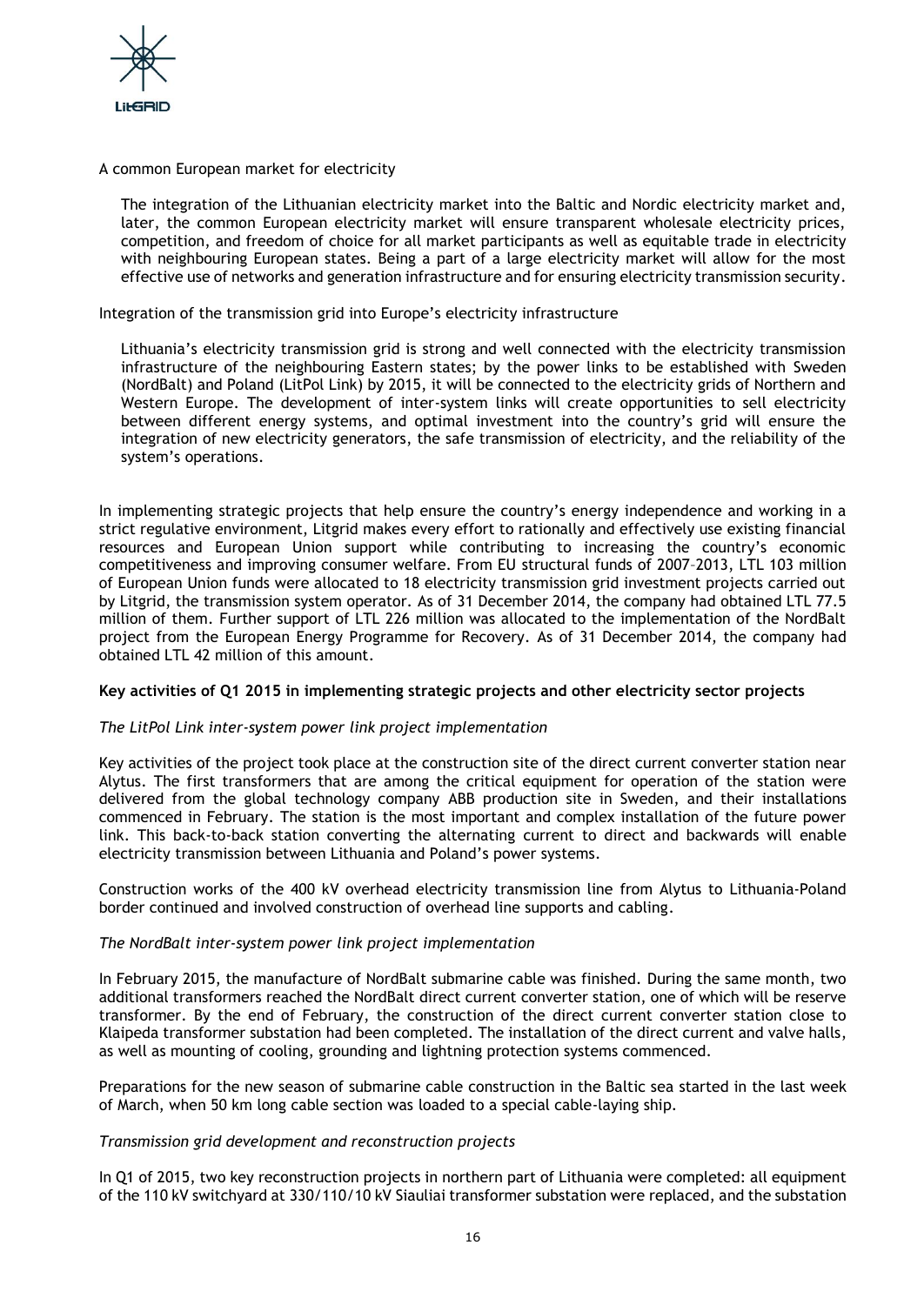

## A common European market for electricity

The integration of the Lithuanian electricity market into the Baltic and Nordic electricity market and, later, the common European electricity market will ensure transparent wholesale electricity prices, competition, and freedom of choice for all market participants as well as equitable trade in electricity with neighbouring European states. Being a part of a large electricity market will allow for the most effective use of networks and generation infrastructure and for ensuring electricity transmission security.

Integration of the transmission grid into Europe's electricity infrastructure

Lithuania's electricity transmission grid is strong and well connected with the electricity transmission infrastructure of the neighbouring Eastern states; by the power links to be established with Sweden (NordBalt) and Poland (LitPol Link) by 2015, it will be connected to the electricity grids of Northern and Western Europe. The development of inter-system links will create opportunities to sell electricity between different energy systems, and optimal investment into the country's grid will ensure the integration of new electricity generators, the safe transmission of electricity, and the reliability of the system's operations.

In implementing strategic projects that help ensure the country's energy independence and working in a strict regulative environment, Litgrid makes every effort to rationally and effectively use existing financial resources and European Union support while contributing to increasing the country's economic competitiveness and improving consumer welfare. From EU structural funds of 2007–2013, LTL 103 million of European Union funds were allocated to 18 electricity transmission grid investment projects carried out by Litgrid, the transmission system operator. As of 31 December 2014, the company had obtained LTL 77.5 million of them. Further support of LTL 226 million was allocated to the implementation of the NordBalt project from the European Energy Programme for Recovery. As of 31 December 2014, the company had obtained LTL 42 million of this amount.

## **Key activities of Q1 2015 in implementing strategic projects and other electricity sector projects**

## *The LitPol Link inter-system power link project implementation*

Key activities of the project took place at the construction site of the direct current converter station near Alytus. The first transformers that are among the critical equipment for operation of the station were delivered from the global technology company ABB production site in Sweden, and their installations commenced in February. The station is the most important and complex installation of the future power link. This back-to-back station converting the alternating current to direct and backwards will enable electricity transmission between Lithuania and Poland's power systems.

Construction works of the 400 kV overhead electricity transmission line from Alytus to Lithuania-Poland border continued and involved construction of overhead line supports and cabling.

## *The NordBalt inter-system power link project implementation*

In February 2015, the manufacture of NordBalt submarine cable was finished. During the same month, two additional transformers reached the NordBalt direct current converter station, one of which will be reserve transformer. By the end of February, the construction of the direct current converter station close to Klaipeda transformer substation had been completed. The installation of the direct current and valve halls, as well as mounting of cooling, grounding and lightning protection systems commenced.

Preparations for the new season of submarine cable construction in the Baltic sea started in the last week of March, when 50 km long cable section was loaded to a special cable-laying ship.

## *Transmission grid development and reconstruction projects*

In Q1 of 2015, two key reconstruction projects in northern part of Lithuania were completed: all equipment of the 110 kV switchyard at 330/110/10 kV Siauliai transformer substation were replaced, and the substation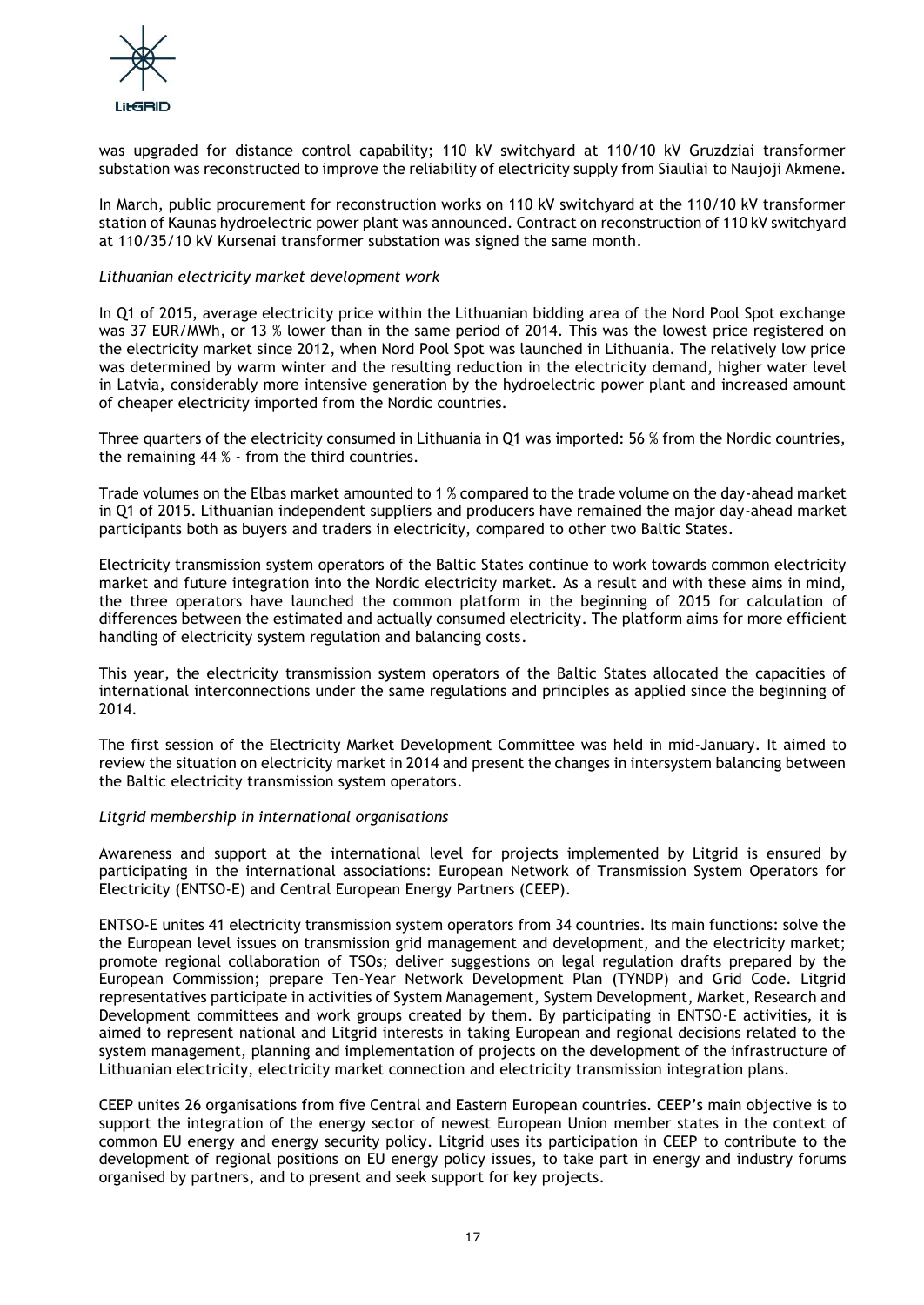

was upgraded for distance control capability; 110 kV switchyard at 110/10 kV Gruzdziai transformer substation was reconstructed to improve the reliability of electricity supply from Siauliai to Naujoji Akmene.

In March, public procurement for reconstruction works on 110 kV switchyard at the 110/10 kV transformer station of Kaunas hydroelectric power plant was announced. Contract on reconstruction of 110 kV switchyard at 110/35/10 kV Kursenai transformer substation was signed the same month.

## *Lithuanian electricity market development work*

In Q1 of 2015, average electricity price within the Lithuanian bidding area of the Nord Pool Spot exchange was 37 EUR/MWh, or 13 % lower than in the same period of 2014. This was the lowest price registered on the electricity market since 2012, when Nord Pool Spot was launched in Lithuania. The relatively low price was determined by warm winter and the resulting reduction in the electricity demand, higher water level in Latvia, considerably more intensive generation by the hydroelectric power plant and increased amount of cheaper electricity imported from the Nordic countries.

Three quarters of the electricity consumed in Lithuania in Q1 was imported: 56 % from the Nordic countries, the remaining 44 % - from the third countries.

Trade volumes on the Elbas market amounted to 1 % compared to the trade volume on the day-ahead market in Q1 of 2015. Lithuanian independent suppliers and producers have remained the major day-ahead market participants both as buyers and traders in electricity, compared to other two Baltic States.

Electricity transmission system operators of the Baltic States continue to work towards common electricity market and future integration into the Nordic electricity market. As a result and with these aims in mind, the three operators have launched the common platform in the beginning of 2015 for calculation of differences between the estimated and actually consumed electricity. The platform aims for more efficient handling of electricity system regulation and balancing costs.

This year, the electricity transmission system operators of the Baltic States allocated the capacities of international interconnections under the same regulations and principles as applied since the beginning of 2014.

The first session of the Electricity Market Development Committee was held in mid-January. It aimed to review the situation on electricity market in 2014 and present the changes in intersystem balancing between the Baltic electricity transmission system operators.

## *Litgrid membership in international organisations*

Awareness and support at the international level for projects implemented by Litgrid is ensured by participating in the international associations: European Network of Transmission System Operators for Electricity (ENTSO-E) and Central European Energy Partners (CEEP).

ENTSO-E unites 41 electricity transmission system operators from 34 countries. Its main functions: solve the the European level issues on transmission grid management and development, and the electricity market; promote regional collaboration of TSOs; deliver suggestions on legal regulation drafts prepared by the European Commission; prepare Ten-Year Network Development Plan (TYNDP) and Grid Code. Litgrid representatives participate in activities of System Management, System Development, Market, Research and Development committees and work groups created by them. By participating in ENTSO-E activities, it is aimed to represent national and Litgrid interests in taking European and regional decisions related to the system management, planning and implementation of projects on the development of the infrastructure of Lithuanian electricity, electricity market connection and electricity transmission integration plans.

CEEP unites 26 organisations from five Central and Eastern European countries. CEEP's main objective is to support the integration of the energy sector of newest European Union member states in the context of common EU energy and energy security policy. Litgrid uses its participation in CEEP to contribute to the development of regional positions on EU energy policy issues, to take part in energy and industry forums organised by partners, and to present and seek support for key projects.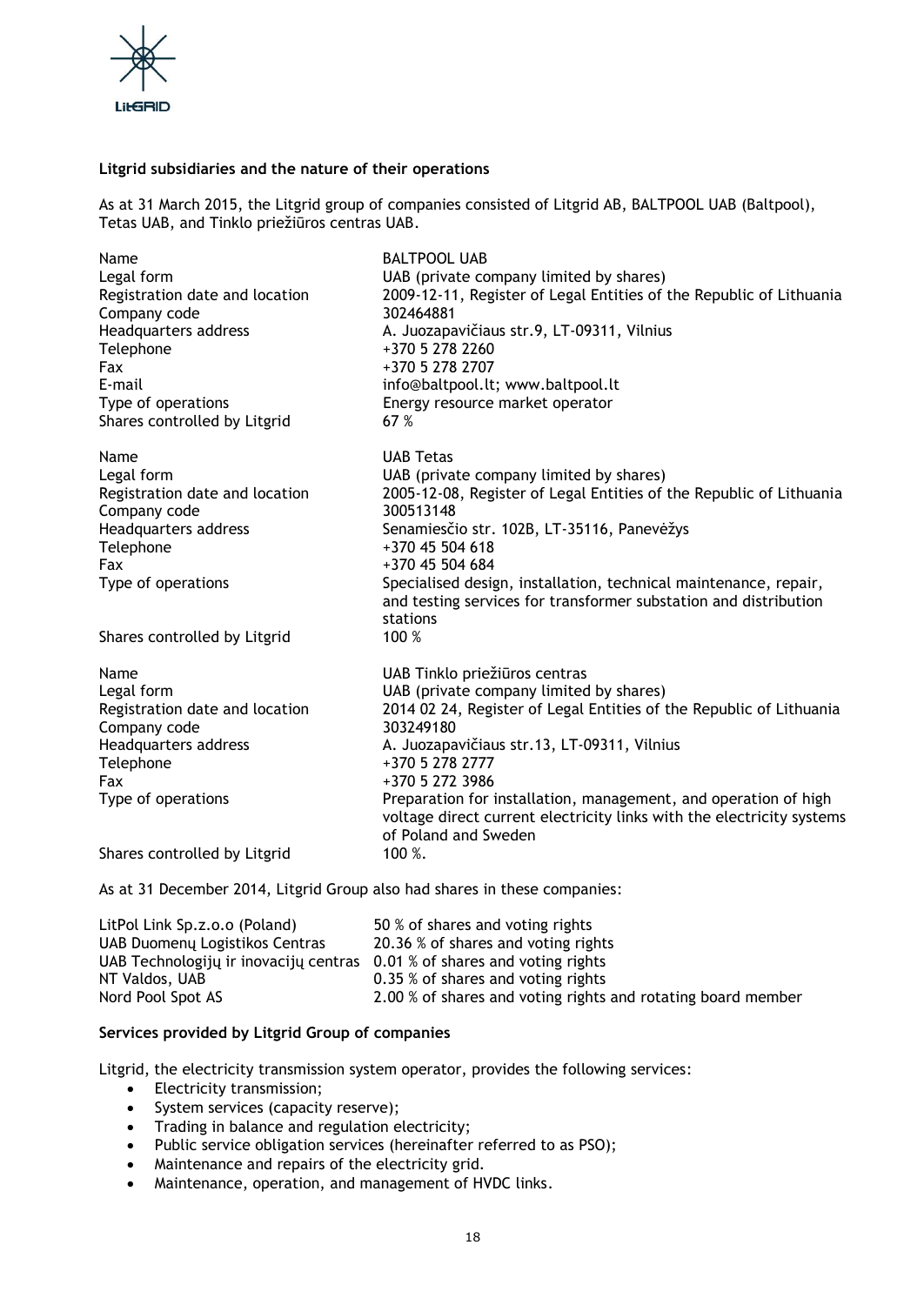

## **Litgrid subsidiaries and the nature of their operations**

As at 31 March 2015, the Litgrid group of companies consisted of Litgrid AB, BALTPOOL UAB (Baltpool), Tetas UAB, and Tinklo priežiūros centras UAB.

| Name                                           | <b>BALTPOOL UAB</b>                                                              |
|------------------------------------------------|----------------------------------------------------------------------------------|
| Legal form                                     | UAB (private company limited by shares)                                          |
| Registration date and location                 | 2009-12-11, Register of Legal Entities of the Republic of Lithuania              |
| Company code                                   | 302464881                                                                        |
| Headquarters address                           | A. Juozapavičiaus str.9, LT-09311, Vilnius                                       |
| Telephone                                      | +370 5 278 2260                                                                  |
| Fax                                            | +370 5 278 2707                                                                  |
| E-mail                                         | info@baltpool.lt; www.baltpool.lt                                                |
| Type of operations                             | Energy resource market operator                                                  |
| Shares controlled by Litgrid                   | 67 %                                                                             |
| Name                                           | <b>UAB Tetas</b>                                                                 |
| Legal form                                     | UAB (private company limited by shares)                                          |
| Registration date and location                 | 2005-12-08, Register of Legal Entities of the Republic of Lithuania              |
| Company code                                   | 300513148                                                                        |
| Headquarters address                           | Senamiesčio str. 102B, LT-35116, Panevėžys                                       |
| Telephone                                      | +370 45 504 618                                                                  |
| Fax                                            | +370 45 504 684                                                                  |
| Type of operations                             | Specialised design, installation, technical maintenance, repair,                 |
|                                                | and testing services for transformer substation and distribution                 |
|                                                | stations                                                                         |
| Shares controlled by Litgrid                   | 100 %                                                                            |
| Name                                           | UAB Tinklo priežiūros centras                                                    |
| Legal form                                     | UAB (private company limited by shares)                                          |
| Registration date and location<br>Company code | 2014 02 24, Register of Legal Entities of the Republic of Lithuania<br>303249180 |
| Headquarters address                           | A. Juozapavičiaus str.13, LT-09311, Vilnius                                      |
| Telephone                                      | +370 5 278 2777                                                                  |
| Fax                                            | +370 5 272 3986                                                                  |
| Type of operations                             | Preparation for installation, management, and operation of high                  |
|                                                | voltage direct current electricity links with the electricity systems            |
|                                                | of Poland and Sweden                                                             |
| Shares controlled by Litgrid                   | 100 %.                                                                           |

As at 31 December 2014, Litgrid Group also had shares in these companies:

| LitPol Link Sp.z.o.o (Poland)         | 50 % of shares and voting rights                             |
|---------------------------------------|--------------------------------------------------------------|
| UAB Duomenų Logistikos Centras        | 20.36 % of shares and voting rights                          |
| UAB Technologijų ir inovacijų centras | 0.01 % of shares and voting rights                           |
| NT Valdos, UAB                        | 0.35 % of shares and voting rights                           |
| Nord Pool Spot AS                     | 2.00 % of shares and voting rights and rotating board member |

## **Services provided by Litgrid Group of companies**

Litgrid, the electricity transmission system operator, provides the following services:

- Electricity transmission;
- System services (capacity reserve);
- Trading in balance and regulation electricity;
- Public service obligation services (hereinafter referred to as PSO);
- Maintenance and repairs of the electricity grid.
- Maintenance, operation, and management of HVDC links.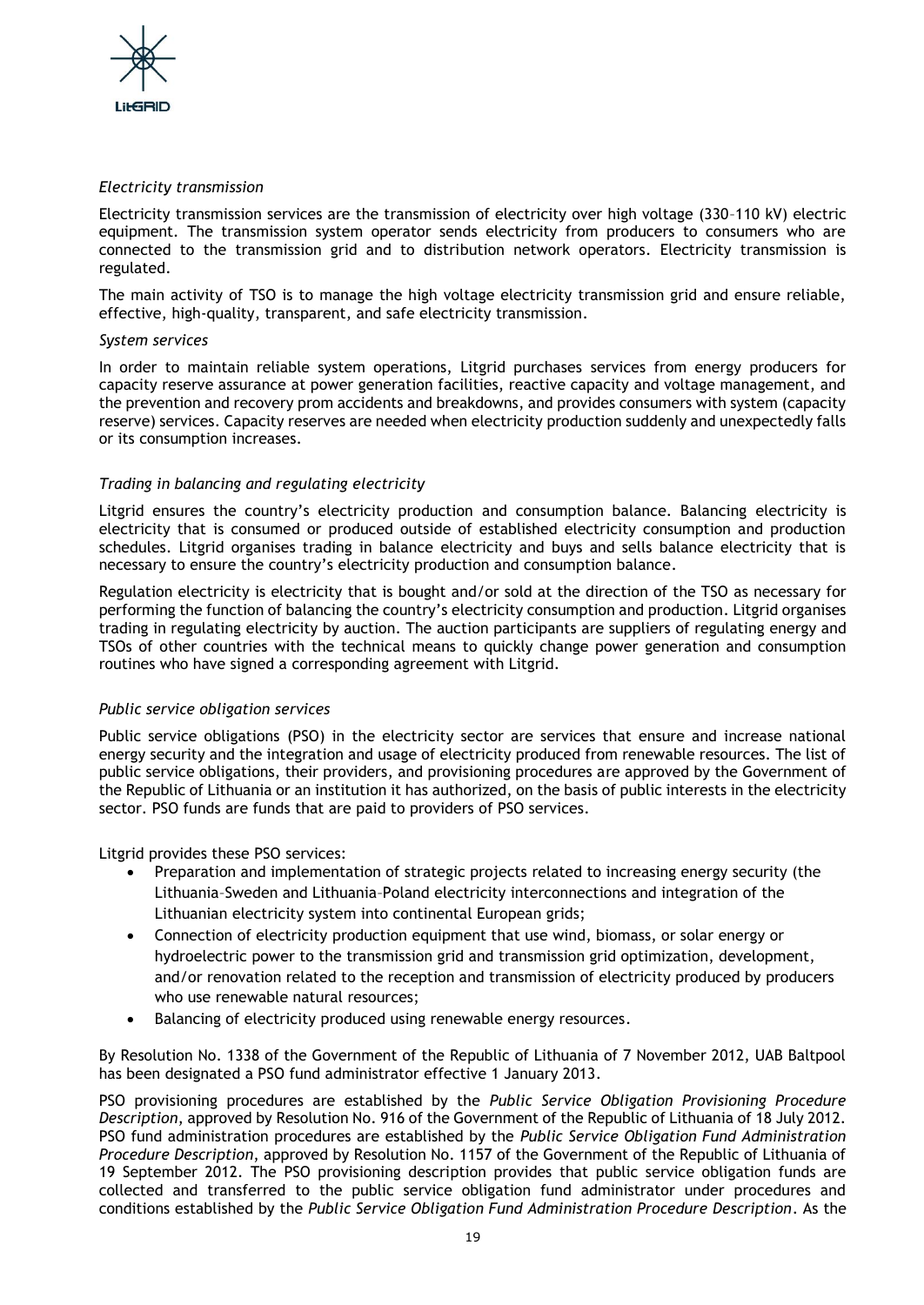

## *Electricity transmission*

Electricity transmission services are the transmission of electricity over high voltage (330–110 kV) electric equipment. The transmission system operator sends electricity from producers to consumers who are connected to the transmission grid and to distribution network operators. Electricity transmission is regulated.

The main activity of TSO is to manage the high voltage electricity transmission grid and ensure reliable, effective, high-quality, transparent, and safe electricity transmission.

## *System services*

In order to maintain reliable system operations, Litgrid purchases services from energy producers for capacity reserve assurance at power generation facilities, reactive capacity and voltage management, and the prevention and recovery prom accidents and breakdowns, and provides consumers with system (capacity reserve) services. Capacity reserves are needed when electricity production suddenly and unexpectedly falls or its consumption increases.

## *Trading in balancing and regulating electricity*

Litgrid ensures the country's electricity production and consumption balance. Balancing electricity is electricity that is consumed or produced outside of established electricity consumption and production schedules. Litgrid organises trading in balance electricity and buys and sells balance electricity that is necessary to ensure the country's electricity production and consumption balance.

Regulation electricity is electricity that is bought and/or sold at the direction of the TSO as necessary for performing the function of balancing the country's electricity consumption and production. Litgrid organises trading in regulating electricity by auction. The auction participants are suppliers of regulating energy and TSOs of other countries with the technical means to quickly change power generation and consumption routines who have signed a corresponding agreement with Litgrid.

## *Public service obligation services*

Public service obligations (PSO) in the electricity sector are services that ensure and increase national energy security and the integration and usage of electricity produced from renewable resources. The list of public service obligations, their providers, and provisioning procedures are approved by the Government of the Republic of Lithuania or an institution it has authorized, on the basis of public interests in the electricity sector. PSO funds are funds that are paid to providers of PSO services.

Litgrid provides these PSO services:

- Preparation and implementation of strategic projects related to increasing energy security (the Lithuania–Sweden and Lithuania–Poland electricity interconnections and integration of the Lithuanian electricity system into continental European grids;
- Connection of electricity production equipment that use wind, biomass, or solar energy or hydroelectric power to the transmission grid and transmission grid optimization, development, and/or renovation related to the reception and transmission of electricity produced by producers who use renewable natural resources;
- Balancing of electricity produced using renewable energy resources.

By Resolution No. 1338 of the Government of the Republic of Lithuania of 7 November 2012, UAB Baltpool has been designated a PSO fund administrator effective 1 January 2013.

PSO provisioning procedures are established by the *Public Service Obligation Provisioning Procedure Description*, approved by Resolution No. 916 of the Government of the Republic of Lithuania of 18 July 2012. PSO fund administration procedures are established by the *Public Service Obligation Fund Administration Procedure Description*, approved by Resolution No. 1157 of the Government of the Republic of Lithuania of 19 September 2012. The PSO provisioning description provides that public service obligation funds are collected and transferred to the public service obligation fund administrator under procedures and conditions established by the *Public Service Obligation Fund Administration Procedure Description*. As the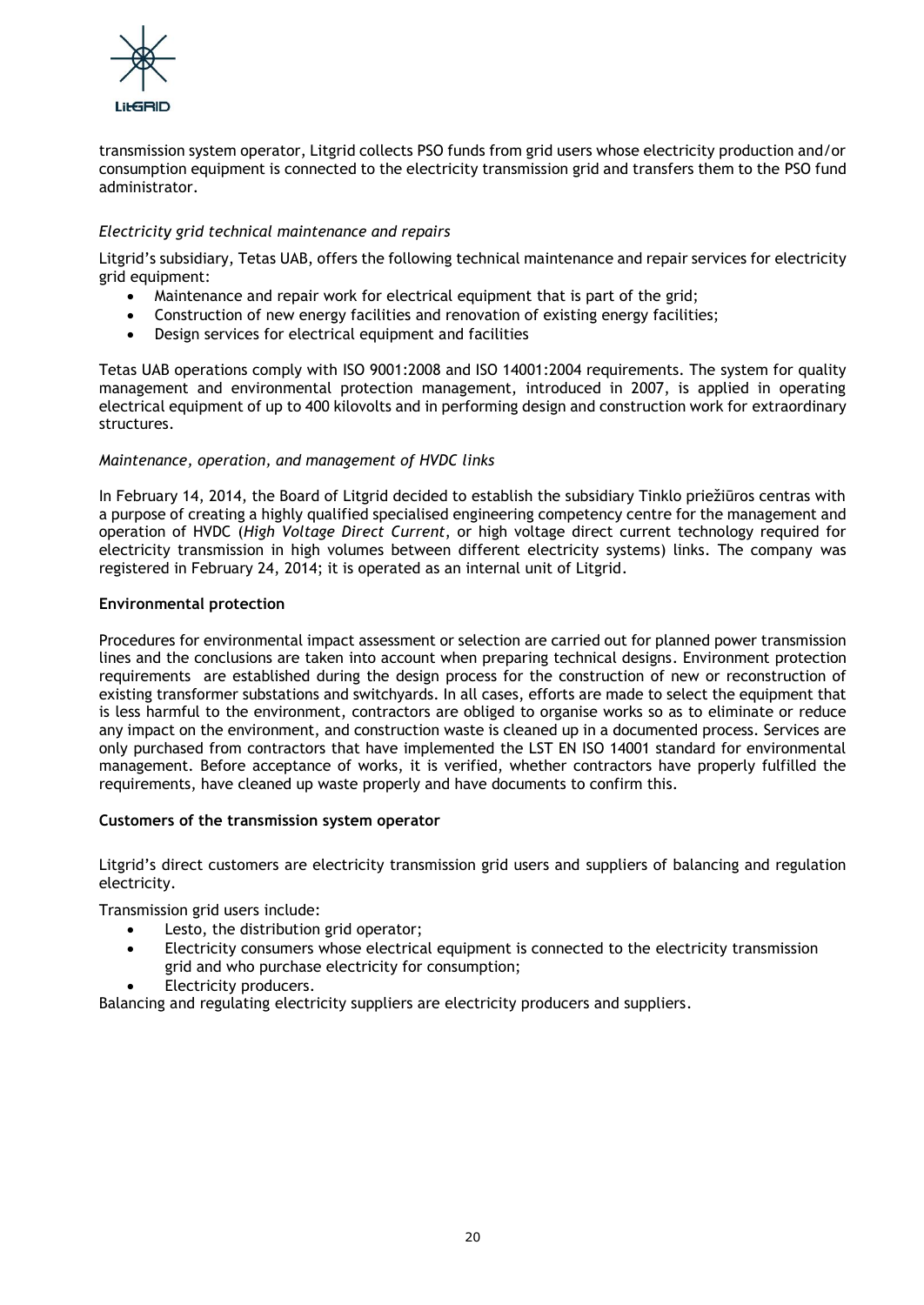

transmission system operator, Litgrid collects PSO funds from grid users whose electricity production and/or consumption equipment is connected to the electricity transmission grid and transfers them to the PSO fund administrator.

## *Electricity grid technical maintenance and repairs*

Litgrid's subsidiary, Tetas UAB, offers the following technical maintenance and repair services for electricity grid equipment:

- Maintenance and repair work for electrical equipment that is part of the grid;
- Construction of new energy facilities and renovation of existing energy facilities;
- Design services for electrical equipment and facilities

Tetas UAB operations comply with ISO 9001:2008 and ISO 14001:2004 requirements. The system for quality management and environmental protection management, introduced in 2007, is applied in operating electrical equipment of up to 400 kilovolts and in performing design and construction work for extraordinary structures.

## *Maintenance, operation, and management of HVDC links*

In February 14, 2014, the Board of Litgrid decided to establish the subsidiary Tinklo priežiūros centras with a purpose of creating a highly qualified specialised engineering competency centre for the management and operation of HVDC (*High Voltage Direct Current*, or high voltage direct current technology required for electricity transmission in high volumes between different electricity systems) links. The company was registered in February 24, 2014; it is operated as an internal unit of Litgrid.

## **Environmental protection**

Procedures for environmental impact assessment or selection are carried out for planned power transmission lines and the conclusions are taken into account when preparing technical designs. Environment protection requirements are established during the design process for the construction of new or reconstruction of existing transformer substations and switchyards. In all cases, efforts are made to select the equipment that is less harmful to the environment, contractors are obliged to organise works so as to eliminate or reduce any impact on the environment, and construction waste is cleaned up in a documented process. Services are only purchased from contractors that have implemented the LST EN ISO 14001 standard for environmental management. Before acceptance of works, it is verified, whether contractors have properly fulfilled the requirements, have cleaned up waste properly and have documents to confirm this.

## **Customers of the transmission system operator**

Litgrid's direct customers are electricity transmission grid users and suppliers of balancing and regulation electricity.

Transmission grid users include:

- Lesto, the distribution grid operator;
- Electricity consumers whose electrical equipment is connected to the electricity transmission grid and who purchase electricity for consumption;
- Electricity producers.

Balancing and regulating electricity suppliers are electricity producers and suppliers.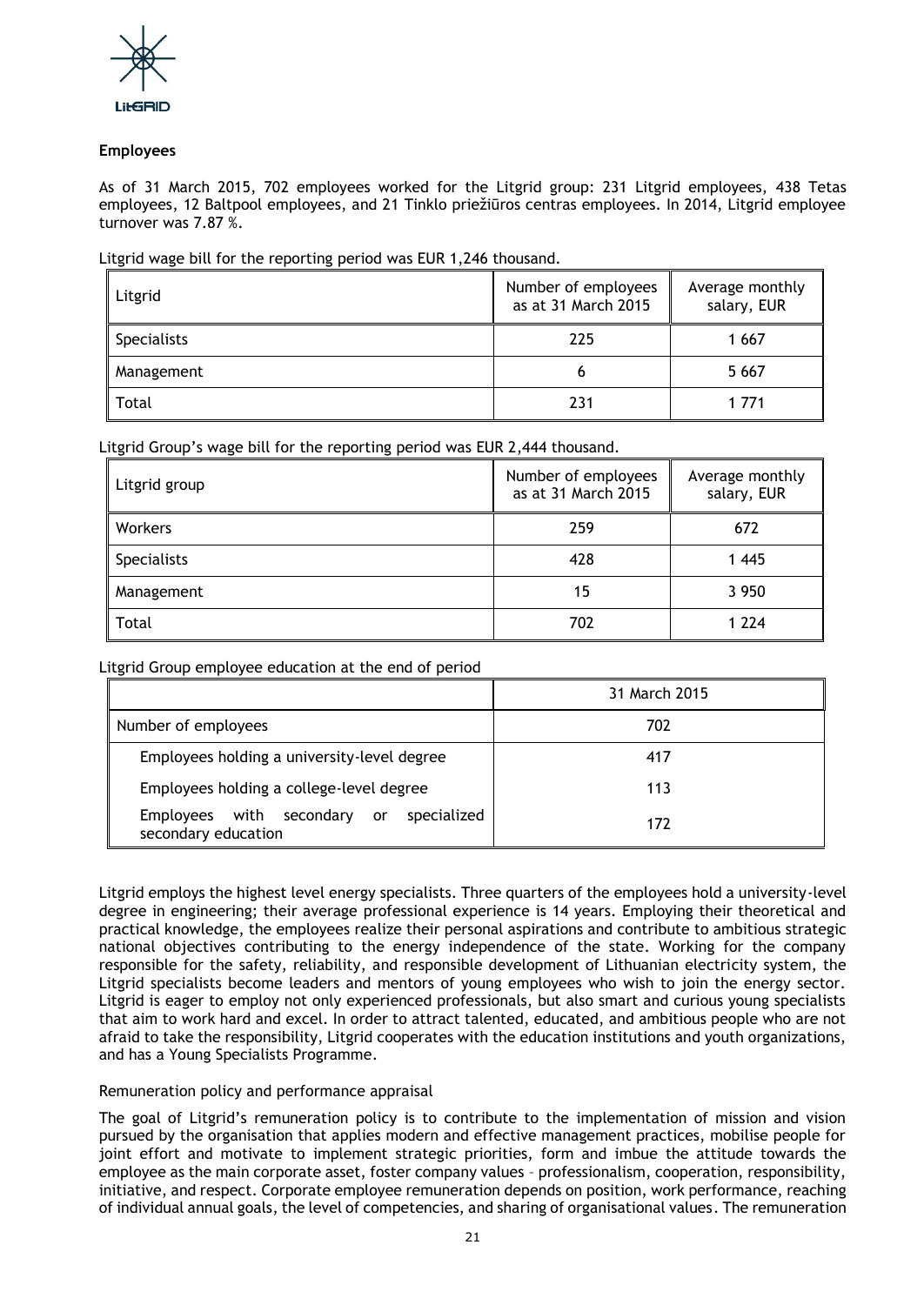

## **Employees**

As of 31 March 2015, 702 employees worked for the Litgrid group: 231 Litgrid employees, 438 Tetas employees, 12 Baltpool employees, and 21 Tinklo priežiūros centras employees. In 2014, Litgrid employee turnover was 7.87 %.

## Litgrid wage bill for the reporting period was EUR 1,246 thousand.

| Litgrid     | Number of employees<br>as at 31 March 2015 | Average monthly<br>salary, EUR |
|-------------|--------------------------------------------|--------------------------------|
| Specialists | 225                                        | 1 667                          |
| Management  | O                                          | 5 6 6 7                        |
| Total       | 231                                        | 1 771                          |

## Litgrid Group's wage bill for the reporting period was EUR 2,444 thousand.

| Litgrid group | Number of employees<br>as at 31 March 2015 | Average monthly<br>salary, EUR |
|---------------|--------------------------------------------|--------------------------------|
| Workers       | 259                                        | 672                            |
| Specialists   | 428                                        | 1445                           |
| Management    | 15                                         | 3 9 5 0                        |
| Total         | 702                                        | 1 2 2 4                        |

## Litgrid Group employee education at the end of period

|                                                                | 31 March 2015 |  |
|----------------------------------------------------------------|---------------|--|
| Number of employees                                            | 702           |  |
| Employees holding a university-level degree                    | 417           |  |
| Employees holding a college-level degree                       | 113           |  |
| Employees with secondary or specialized<br>secondary education | 177           |  |

Litgrid employs the highest level energy specialists. Three quarters of the employees hold a university-level degree in engineering; their average professional experience is 14 years. Employing their theoretical and practical knowledge, the employees realize their personal aspirations and contribute to ambitious strategic national objectives contributing to the energy independence of the state. Working for the company responsible for the safety, reliability, and responsible development of Lithuanian electricity system, the Litgrid specialists become leaders and mentors of young employees who wish to join the energy sector. Litgrid is eager to employ not only experienced professionals, but also smart and curious young specialists that aim to work hard and excel. In order to attract talented, educated, and ambitious people who are not afraid to take the responsibility, Litgrid cooperates with the education institutions and youth organizations, and has a Young Specialists Programme.

## Remuneration policy and performance appraisal

The goal of Litgrid's remuneration policy is to contribute to the implementation of mission and vision pursued by the organisation that applies modern and effective management practices, mobilise people for joint effort and motivate to implement strategic priorities, form and imbue the attitude towards the employee as the main corporate asset, foster company values – professionalism, cooperation, responsibility, initiative, and respect. Corporate employee remuneration depends on position, work performance, reaching of individual annual goals, the level of competencies, and sharing of organisational values. The remuneration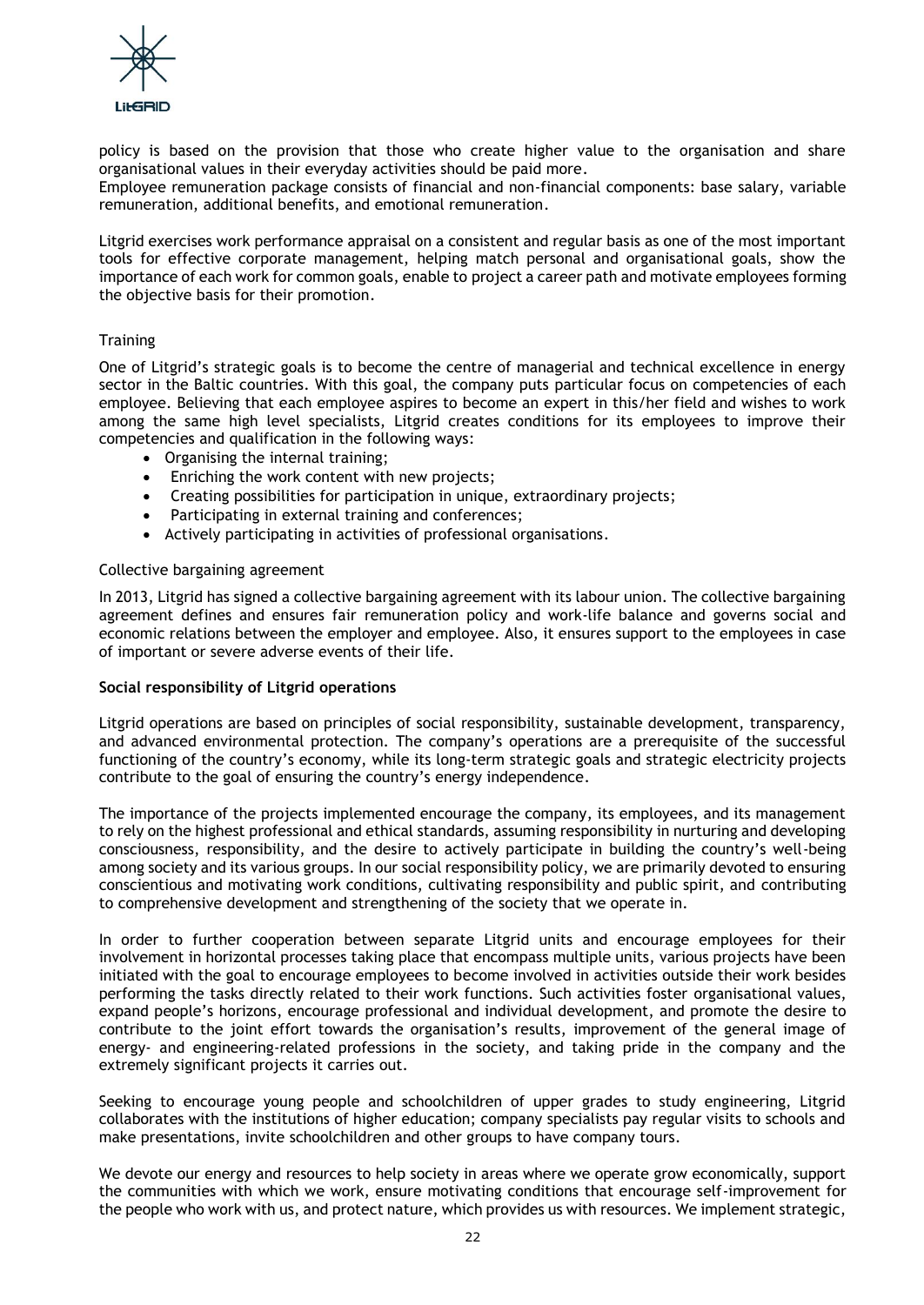

policy is based on the provision that those who create higher value to the organisation and share organisational values in their everyday activities should be paid more.

Employee remuneration package consists of financial and non-financial components: base salary, variable remuneration, additional benefits, and emotional remuneration.

Litgrid exercises work performance appraisal on a consistent and regular basis as one of the most important tools for effective corporate management, helping match personal and organisational goals, show the importance of each work for common goals, enable to project a career path and motivate employees forming the objective basis for their promotion.

## **Training**

One of Litgrid's strategic goals is to become the centre of managerial and technical excellence in energy sector in the Baltic countries. With this goal, the company puts particular focus on competencies of each employee. Believing that each employee aspires to become an expert in this/her field and wishes to work among the same high level specialists, Litgrid creates conditions for its employees to improve their competencies and qualification in the following ways:

- Organising the internal training;
- Enriching the work content with new projects;
- Creating possibilities for participation in unique, extraordinary projects;
- Participating in external training and conferences;
- Actively participating in activities of professional organisations.

## Collective bargaining agreement

In 2013, Litgrid has signed a collective bargaining agreement with its labour union. The collective bargaining agreement defines and ensures fair remuneration policy and work-life balance and governs social and economic relations between the employer and employee. Also, it ensures support to the employees in case of important or severe adverse events of their life.

## **Social responsibility of Litgrid operations**

Litgrid operations are based on principles of social responsibility, sustainable development, transparency, and advanced environmental protection. The company's operations are a prerequisite of the successful functioning of the country's economy, while its long-term strategic goals and strategic electricity projects contribute to the goal of ensuring the country's energy independence.

The importance of the projects implemented encourage the company, its employees, and its management to rely on the highest professional and ethical standards, assuming responsibility in nurturing and developing consciousness, responsibility, and the desire to actively participate in building the country's well-being among society and its various groups. In our social responsibility policy, we are primarily devoted to ensuring conscientious and motivating work conditions, cultivating responsibility and public spirit, and contributing to comprehensive development and strengthening of the society that we operate in.

In order to further cooperation between separate Litgrid units and encourage employees for their involvement in horizontal processes taking place that encompass multiple units, various projects have been initiated with the goal to encourage employees to become involved in activities outside their work besides performing the tasks directly related to their work functions. Such activities foster organisational values, expand people's horizons, encourage professional and individual development, and promote the desire to contribute to the joint effort towards the organisation's results, improvement of the general image of energy- and engineering-related professions in the society, and taking pride in the company and the extremely significant projects it carries out.

Seeking to encourage young people and schoolchildren of upper grades to study engineering, Litgrid collaborates with the institutions of higher education; company specialists pay regular visits to schools and make presentations, invite schoolchildren and other groups to have company tours.

We devote our energy and resources to help society in areas where we operate grow economically, support the communities with which we work, ensure motivating conditions that encourage self-improvement for the people who work with us, and protect nature, which provides us with resources. We implement strategic,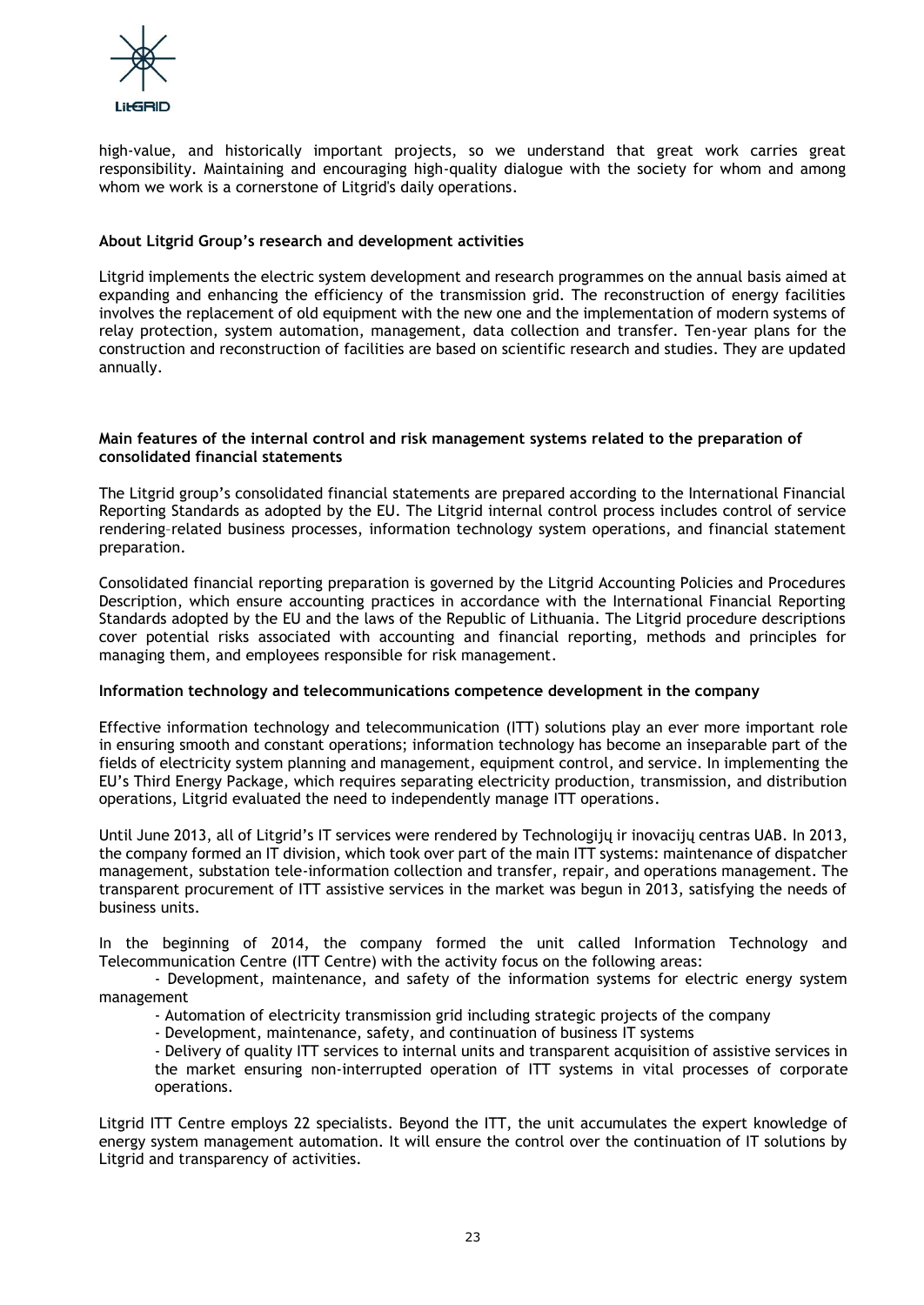

high-value, and historically important projects, so we understand that great work carries great responsibility. Maintaining and encouraging high-quality dialogue with the society for whom and among whom we work is a cornerstone of Litgrid's daily operations.

## **About Litgrid Group's research and development activities**

Litgrid implements the electric system development and research programmes on the annual basis aimed at expanding and enhancing the efficiency of the transmission grid. The reconstruction of energy facilities involves the replacement of old equipment with the new one and the implementation of modern systems of relay protection, system automation, management, data collection and transfer. Ten-year plans for the construction and reconstruction of facilities are based on scientific research and studies. They are updated annually.

## **Main features of the internal control and risk management systems related to the preparation of consolidated financial statements**

The Litgrid group's consolidated financial statements are prepared according to the International Financial Reporting Standards as adopted by the EU. The Litgrid internal control process includes control of service rendering–related business processes, information technology system operations, and financial statement preparation.

Consolidated financial reporting preparation is governed by the Litgrid Accounting Policies and Procedures Description, which ensure accounting practices in accordance with the International Financial Reporting Standards adopted by the EU and the laws of the Republic of Lithuania. The Litgrid procedure descriptions cover potential risks associated with accounting and financial reporting, methods and principles for managing them, and employees responsible for risk management.

## **Information technology and telecommunications competence development in the company**

Effective information technology and telecommunication (ITT) solutions play an ever more important role in ensuring smooth and constant operations; information technology has become an inseparable part of the fields of electricity system planning and management, equipment control, and service. In implementing the EU's Third Energy Package, which requires separating electricity production, transmission, and distribution operations, Litgrid evaluated the need to independently manage ITT operations.

Until June 2013, all of Litgrid's IT services were rendered by Technologijų ir inovacijų centras UAB. In 2013, the company formed an IT division, which took over part of the main ITT systems: maintenance of dispatcher management, substation tele-information collection and transfer, repair, and operations management. The transparent procurement of ITT assistive services in the market was begun in 2013, satisfying the needs of business units.

In the beginning of 2014, the company formed the unit called Information Technology and Telecommunication Centre (ITT Centre) with the activity focus on the following areas:

- Development, maintenance, and safety of the information systems for electric energy system management

- Automation of electricity transmission grid including strategic projects of the company

- Development, maintenance, safety, and continuation of business IT systems

- Delivery of quality ITT services to internal units and transparent acquisition of assistive services in the market ensuring non-interrupted operation of ITT systems in vital processes of corporate operations.

Litgrid ITT Centre employs 22 specialists. Beyond the ITT, the unit accumulates the expert knowledge of energy system management automation. It will ensure the control over the continuation of IT solutions by Litgrid and transparency of activities.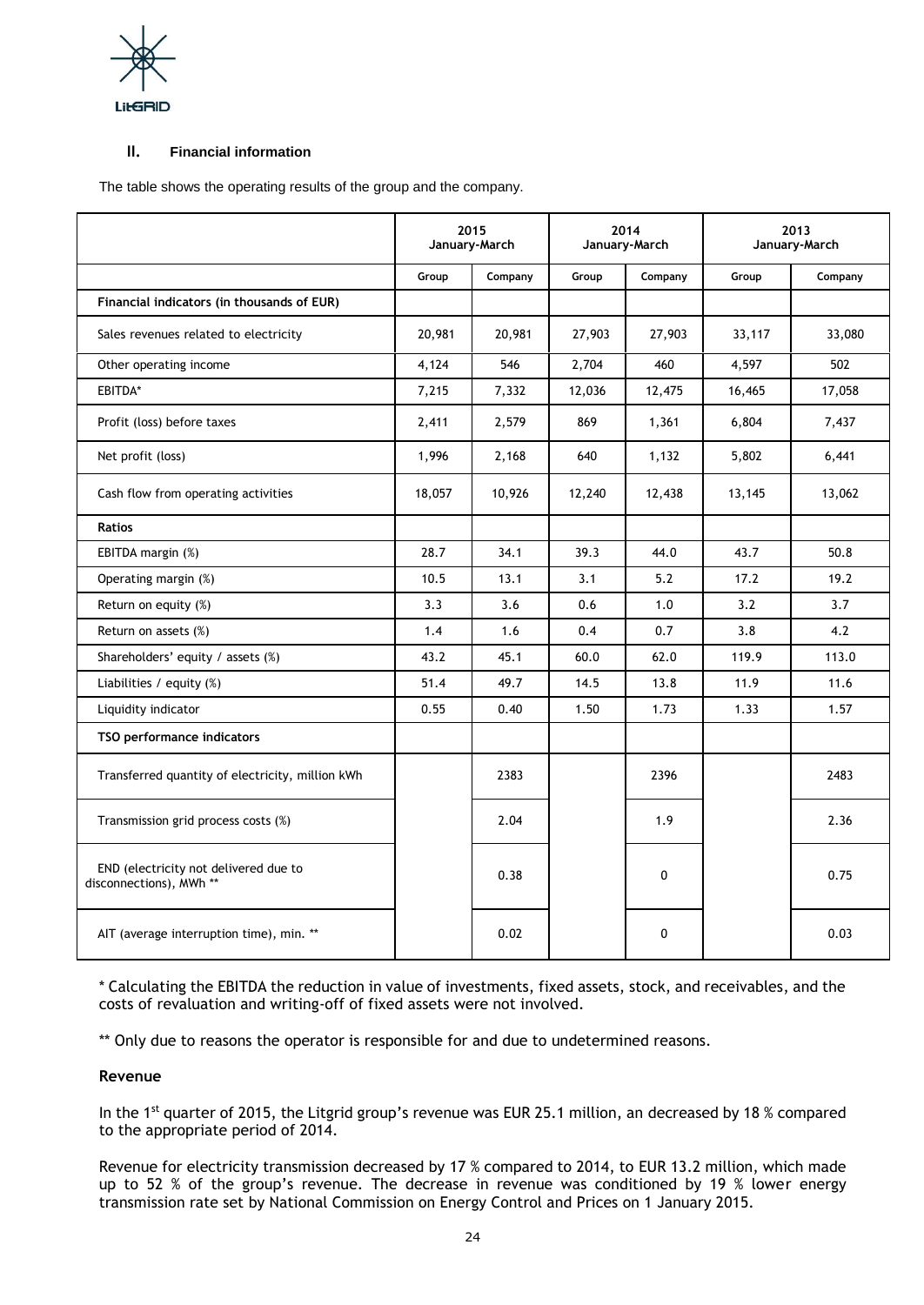

## **II. Financial information**

The table shows the operating results of the group and the company.

|                                                                             | 2015<br>January-March |         | 2014<br>January-March |          | 2013<br>January-March |         |
|-----------------------------------------------------------------------------|-----------------------|---------|-----------------------|----------|-----------------------|---------|
|                                                                             | Group                 | Company | Group                 | Company  | Group                 | Company |
| Financial indicators (in thousands of EUR)                                  |                       |         |                       |          |                       |         |
| Sales revenues related to electricity                                       | 20,981                | 20,981  | 27,903                | 27,903   | 33,117                | 33,080  |
| Other operating income                                                      | 4,124                 | 546     | 2,704                 | 460      | 4,597                 | 502     |
| EBITDA*                                                                     | 7,215                 | 7,332   | 12,036                | 12,475   | 16,465                | 17,058  |
| Profit (loss) before taxes                                                  | 2,411                 | 2,579   | 869                   | 1,361    | 6,804                 | 7,437   |
| Net profit (loss)                                                           | 1,996                 | 2,168   | 640                   | 1,132    | 5,802                 | 6,441   |
| Cash flow from operating activities                                         | 18,057                | 10,926  | 12,240                | 12,438   | 13,145                | 13,062  |
| <b>Ratios</b>                                                               |                       |         |                       |          |                       |         |
| EBITDA margin (%)                                                           | 28.7                  | 34.1    | 39.3                  | 44.0     | 43.7                  | 50.8    |
| Operating margin (%)                                                        | 10.5                  | 13.1    | 3.1                   | 5.2      | 17.2                  | 19.2    |
| Return on equity (%)                                                        | 3.3                   | 3.6     | 0.6                   | 1.0      | 3.2                   | 3.7     |
| Return on assets (%)                                                        | 1.4                   | 1.6     | 0.4                   | 0.7      | 3.8                   | 4.2     |
| Shareholders' equity / assets (%)                                           | 43.2                  | 45.1    | 60.0                  | 62.0     | 119.9                 | 113.0   |
| Liabilities / equity $(\%)$                                                 | 51.4                  | 49.7    | 14.5                  | 13.8     | 11.9                  | 11.6    |
| Liquidity indicator                                                         | 0.55                  | 0.40    | 1.50                  | 1.73     | 1.33                  | 1.57    |
| TSO performance indicators                                                  |                       |         |                       |          |                       |         |
| Transferred quantity of electricity, million kWh                            |                       | 2383    |                       | 2396     |                       | 2483    |
| Transmission grid process costs (%)                                         |                       | 2.04    |                       | 1.9      |                       | 2.36    |
| END (electricity not delivered due to<br>disconnections), MWh <sup>**</sup> |                       | 0.38    |                       | $\Omega$ |                       | 0.75    |
| AIT (average interruption time), min. **                                    |                       | 0.02    |                       | $\Omega$ |                       | 0.03    |

\* Calculating the EBITDA the reduction in value of investments, fixed assets, stock, and receivables, and the costs of revaluation and writing-off of fixed assets were not involved.

\*\* Only due to reasons the operator is responsible for and due to undetermined reasons.

## **Revenue**

In the 1<sup>st</sup> quarter of 2015, the Litgrid group's revenue was EUR 25.1 million, an decreased by 18 % compared to the appropriate period of 2014.

Revenue for electricity transmission decreased by 17 % compared to 2014, to EUR 13.2 million, which made up to 52 % of the group's revenue. The decrease in revenue was conditioned by 19 % lower energy transmission rate set by National Commission on Energy Control and Prices on 1 January 2015.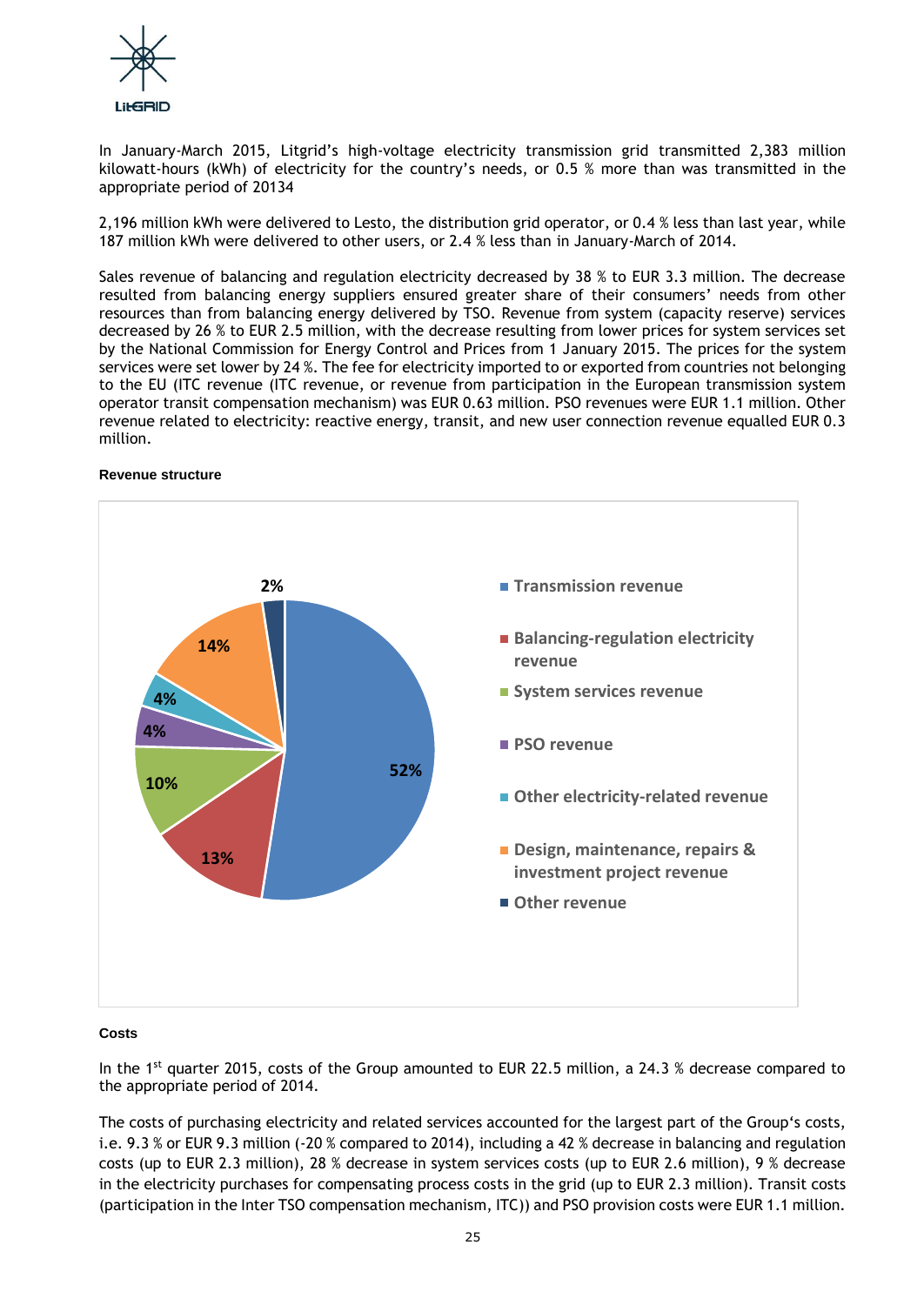

In January-March 2015, Litgrid's high-voltage electricity transmission grid transmitted 2,383 million kilowatt-hours (kWh) of electricity for the country's needs, or 0.5 % more than was transmitted in the appropriate period of 20134

2,196 million kWh were delivered to Lesto, the distribution grid operator, or 0.4 % less than last year, while 187 million kWh were delivered to other users, or 2.4 % less than in January-March of 2014.

Sales revenue of balancing and regulation electricity decreased by 38 % to EUR 3.3 million. The decrease resulted from balancing energy suppliers ensured greater share of their consumers' needs from other resources than from balancing energy delivered by TSO. Revenue from system (capacity reserve) services decreased by 26 % to EUR 2.5 million, with the decrease resulting from lower prices for system services set by the National Commission for Energy Control and Prices from 1 January 2015. The prices for the system services were set lower by 24 %. The fee for electricity imported to or exported from countries not belonging to the EU (ITC revenue (ITC revenue, or revenue from participation in the European transmission system operator transit compensation mechanism) was EUR 0.63 million. PSO revenues were EUR 1.1 million. Other revenue related to electricity: reactive energy, transit, and new user connection revenue equalled EUR 0.3 million.

## **Revenue structure**



## **Costs**

In the 1<sup>st</sup> quarter 2015, costs of the Group amounted to EUR 22.5 million, a 24.3 % decrease compared to the appropriate period of 2014.

The costs of purchasing electricity and related services accounted for the largest part of the Group's costs, i.e. 9.3 % or EUR 9.3 million (-20 % compared to 2014), including a 42 % decrease in balancing and regulation costs (up to EUR 2.3 million), 28 % decrease in system services costs (up to EUR 2.6 million), 9 % decrease in the electricity purchases for compensating process costs in the grid (up to EUR 2.3 million). Transit costs (participation in the Inter TSO compensation mechanism, ITC)) and PSO provision costs were EUR 1.1 million.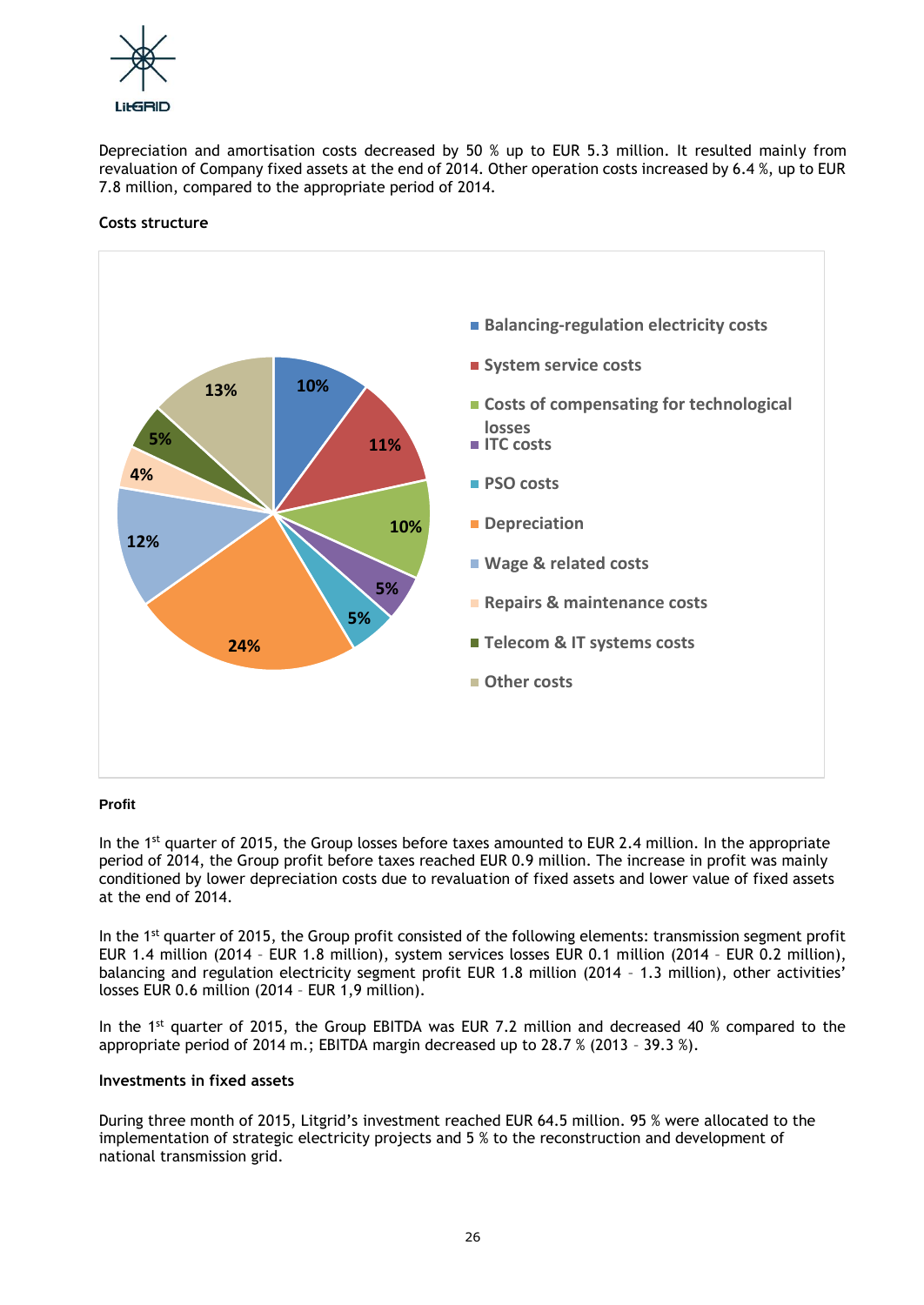

Depreciation and amortisation costs decreased by 50 % up to EUR 5.3 million. It resulted mainly from revaluation of Company fixed assets at the end of 2014. Other operation costs increased by 6.4 %, up to EUR 7.8 million, compared to the appropriate period of 2014.

## **Costs structure**



## **Profit**

In the  $1<sup>st</sup>$  quarter of 2015, the Group losses before taxes amounted to EUR 2.4 million. In the appropriate period of 2014, the Group profit before taxes reached EUR 0.9 million. The increase in profit was mainly conditioned by lower depreciation costs due to revaluation of fixed assets and lower value of fixed assets at the end of 2014.

In the 1<sup>st</sup> quarter of 2015, the Group profit consisted of the following elements: transmission segment profit EUR 1.4 million (2014 – EUR 1.8 million), system services losses EUR 0.1 million (2014 – EUR 0.2 million), balancing and regulation electricity segment profit EUR 1.8 million (2014 – 1.3 million), other activities' losses EUR 0.6 million (2014 – EUR 1,9 million).

In the 1<sup>st</sup> quarter of 2015, the Group EBITDA was EUR 7.2 million and decreased 40 % compared to the appropriate period of 2014 m.; EBITDA margin decreased up to  $28.7\%$  (2013 - 39.3 %).

## **Investments in fixed assets**

During three month of 2015, Litgrid's investment reached EUR 64.5 million. 95 % were allocated to the implementation of strategic electricity projects and 5 % to the reconstruction and development of national transmission grid.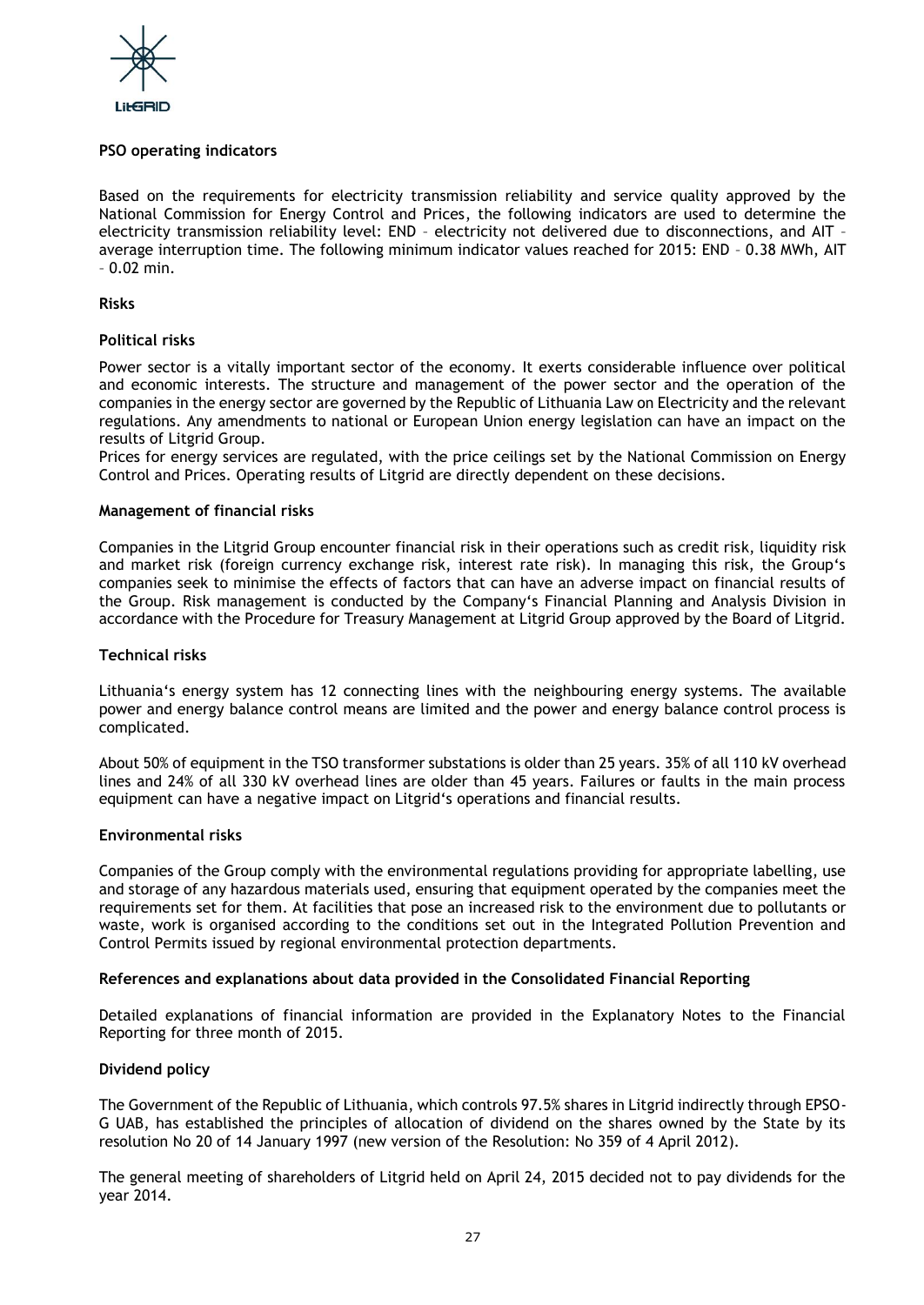

## **PSO operating indicators**

Based on the requirements for electricity transmission reliability and service quality approved by the National Commission for Energy Control and Prices, the following indicators are used to determine the electricity transmission reliability level: END – electricity not delivered due to disconnections, and AIT – average interruption time. The following minimum indicator values reached for 2015: END – 0.38 MWh, AIT  $-0.02$  min.

## **Risks**

## **Political risks**

Power sector is a vitally important sector of the economy. It exerts considerable influence over political and economic interests. The structure and management of the power sector and the operation of the companies in the energy sector are governed by the Republic of Lithuania Law on Electricity and the relevant regulations. Any amendments to national or European Union energy legislation can have an impact on the results of Litgrid Group.

Prices for energy services are regulated, with the price ceilings set by the National Commission on Energy Control and Prices. Operating results of Litgrid are directly dependent on these decisions.

## **Management of financial risks**

Companies in the Litgrid Group encounter financial risk in their operations such as credit risk, liquidity risk and market risk (foreign currency exchange risk, interest rate risk). In managing this risk, the Group's companies seek to minimise the effects of factors that can have an adverse impact on financial results of the Group. Risk management is conducted by the Company's Financial Planning and Analysis Division in accordance with the Procedure for Treasury Management at Litgrid Group approved by the Board of Litgrid.

## **Technical risks**

Lithuania's energy system has 12 connecting lines with the neighbouring energy systems. The available power and energy balance control means are limited and the power and energy balance control process is complicated.

About 50% of equipment in the TSO transformer substations is older than 25 years. 35% of all 110 kV overhead lines and 24% of all 330 kV overhead lines are older than 45 years. Failures or faults in the main process equipment can have a negative impact on Litgrid's operations and financial results.

#### **Environmental risks**

Companies of the Group comply with the environmental regulations providing for appropriate labelling, use and storage of any hazardous materials used, ensuring that equipment operated by the companies meet the requirements set for them. At facilities that pose an increased risk to the environment due to pollutants or waste, work is organised according to the conditions set out in the Integrated Pollution Prevention and Control Permits issued by regional environmental protection departments.

#### **References and explanations about data provided in the Consolidated Financial Reporting**

Detailed explanations of financial information are provided in the Explanatory Notes to the Financial Reporting for three month of 2015.

## **Dividend policy**

The Government of the Republic of Lithuania, which controls 97.5% shares in Litgrid indirectly through EPSO-G UAB, has established the principles of allocation of dividend on the shares owned by the State by its resolution No 20 of 14 January 1997 (new version of the Resolution: No 359 of 4 April 2012).

The general meeting of shareholders of Litgrid held on April 24, 2015 decided not to pay dividends for the year 2014.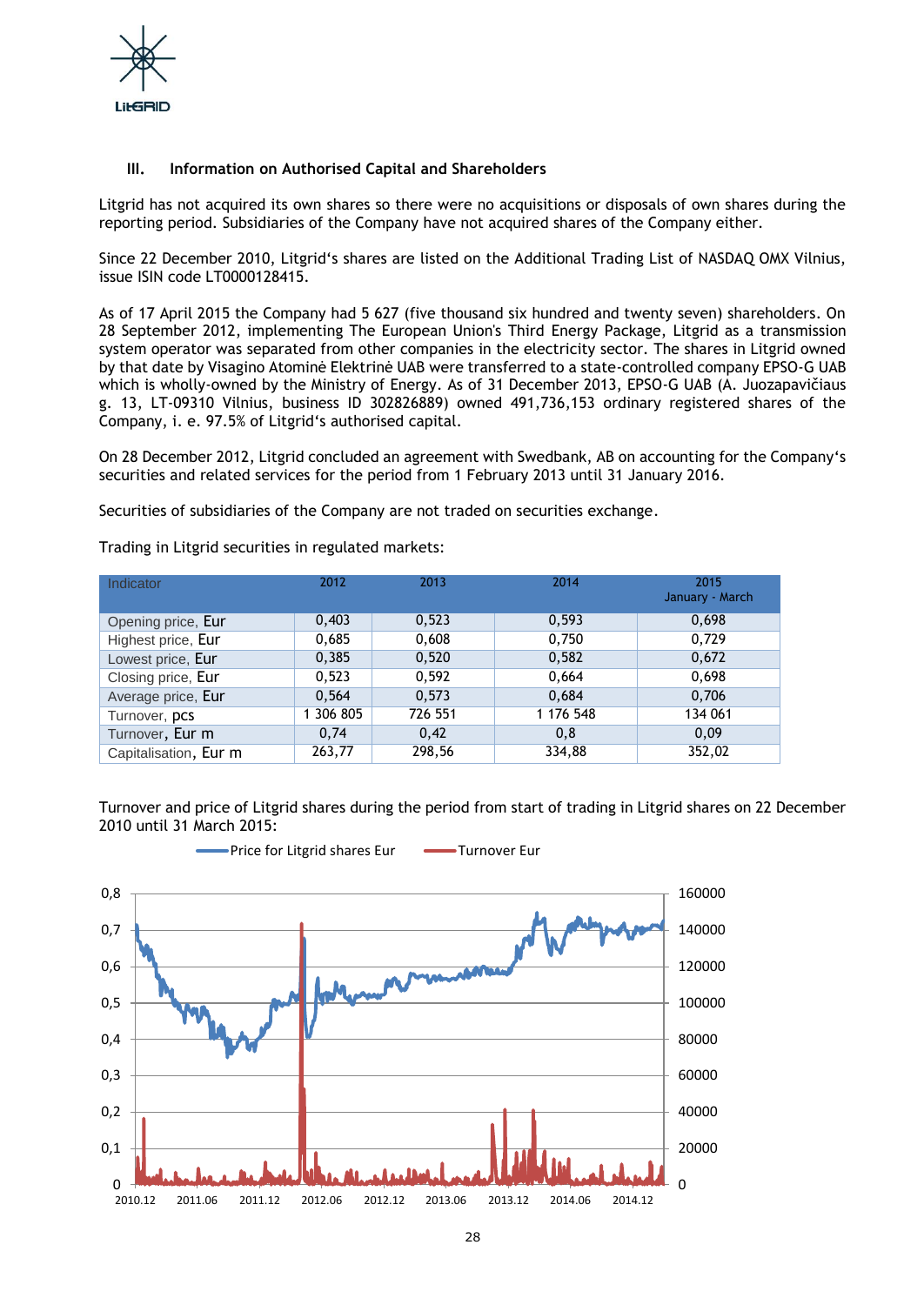

## **III. Information on Authorised Capital and Shareholders**

Litgrid has not acquired its own shares so there were no acquisitions or disposals of own shares during the reporting period. Subsidiaries of the Company have not acquired shares of the Company either.

Since 22 December 2010, Litgrid's shares are listed on the Additional Trading List of NASDAQ OMX Vilnius, issue ISIN code LT0000128415.

As of 17 April 2015 the Company had 5 627 (five thousand six hundred and twenty seven) shareholders. On 28 September 2012, implementing The European Union's Third Energy Package, Litgrid as a transmission system operator was separated from other companies in the electricity sector. The shares in Litgrid owned by that date by Visagino Atominė Elektrinė UAB were transferred to a state-controlled company EPSO-G UAB which is wholly-owned by the Ministry of Energy. As of 31 December 2013, EPSO-G UAB (A. Juozapavičiaus g. 13, LT-09310 Vilnius, business ID 302826889) owned 491,736,153 ordinary registered shares of the Company, i. e. 97.5% of Litgrid's authorised capital.

On 28 December 2012, Litgrid concluded an agreement with Swedbank, AB on accounting for the Company's securities and related services for the period from 1 February 2013 until 31 January 2016.

March

Securities of subsidiaries of the Company are not traded on securities exchange.

| Indicator             | 2012      | 2013    | 2014      | 2015<br>January - Ma |
|-----------------------|-----------|---------|-----------|----------------------|
| Opening price, Eur    | 0,403     | 0,523   | 0,593     | 0,698                |
| Highest price, Eur    | 0,685     | 0,608   | 0,750     | 0,729                |
| Lowest price, Eur     | 0,385     | 0,520   | 0,582     | 0,672                |
| Closing price, Eur    | 0,523     | 0,592   | 0,664     | 0,698                |
| Average price, Eur    | 0,564     | 0,573   | 0,684     | 0,706                |
| Turnover, pcs         | 1 306 805 | 726 551 | 1 176 548 | 134 061              |
| Turnover, Eur m       | 0,74      | 0,42    | 0.8       | 0.09                 |
| Capitalisation, Eur m | 263,77    | 298,56  | 334,88    | 352.02               |

Trading in Litgrid securities in regulated markets:

Turnover and price of Litgrid shares during the period from start of trading in Litgrid shares on 22 December 2010 until 31 March 2015:

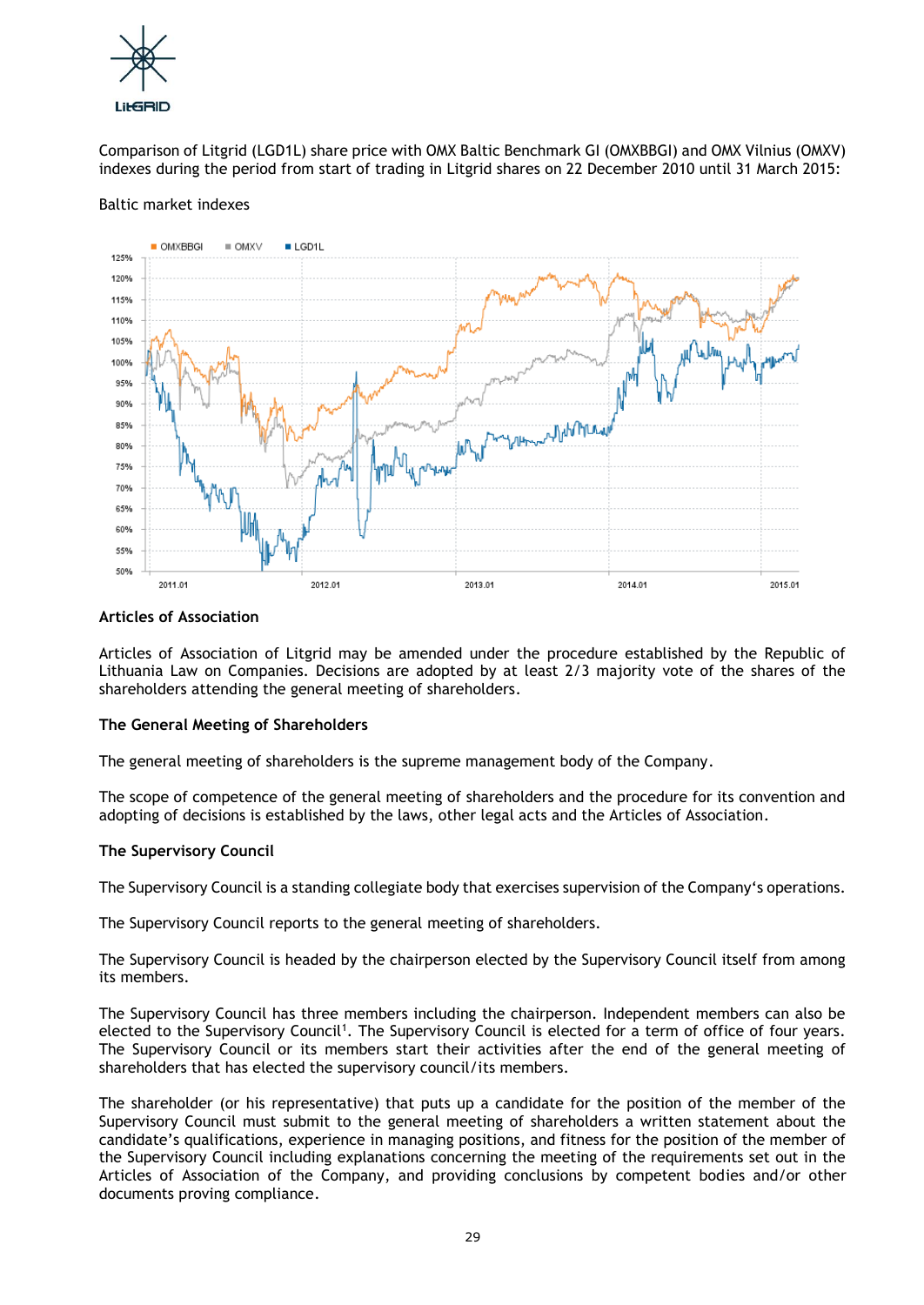

Comparison of Litgrid (LGD1L) share price with OMX Baltic Benchmark GI (OMXBBGI) and OMX Vilnius (OMXV) indexes during the period from start of trading in Litgrid shares on 22 December 2010 until 31 March 2015:

## Baltic market indexes



#### **Articles of Association**

Articles of Association of Litgrid may be amended under the procedure established by the Republic of Lithuania Law on Companies. Decisions are adopted by at least 2/3 majority vote of the shares of the shareholders attending the general meeting of shareholders.

## **The General Meeting of Shareholders**

The general meeting of shareholders is the supreme management body of the Company.

The scope of competence of the general meeting of shareholders and the procedure for its convention and adopting of decisions is established by the laws, other legal acts and the Articles of Association.

## **The Supervisory Council**

The Supervisory Council is a standing collegiate body that exercises supervision of the Company's operations.

The Supervisory Council reports to the general meeting of shareholders.

The Supervisory Council is headed by the chairperson elected by the Supervisory Council itself from among its members.

The Supervisory Council has three members including the chairperson. Independent members can also be elected to the Supervisory Council<sup>1</sup>. The Supervisory Council is elected for a term of office of four years. The Supervisory Council or its members start their activities after the end of the general meeting of shareholders that has elected the supervisory council/its members.

The shareholder (or his representative) that puts up a candidate for the position of the member of the Supervisory Council must submit to the general meeting of shareholders a written statement about the candidate's qualifications, experience in managing positions, and fitness for the position of the member of the Supervisory Council including explanations concerning the meeting of the requirements set out in the Articles of Association of the Company, and providing conclusions by competent bodies and/or other documents proving compliance.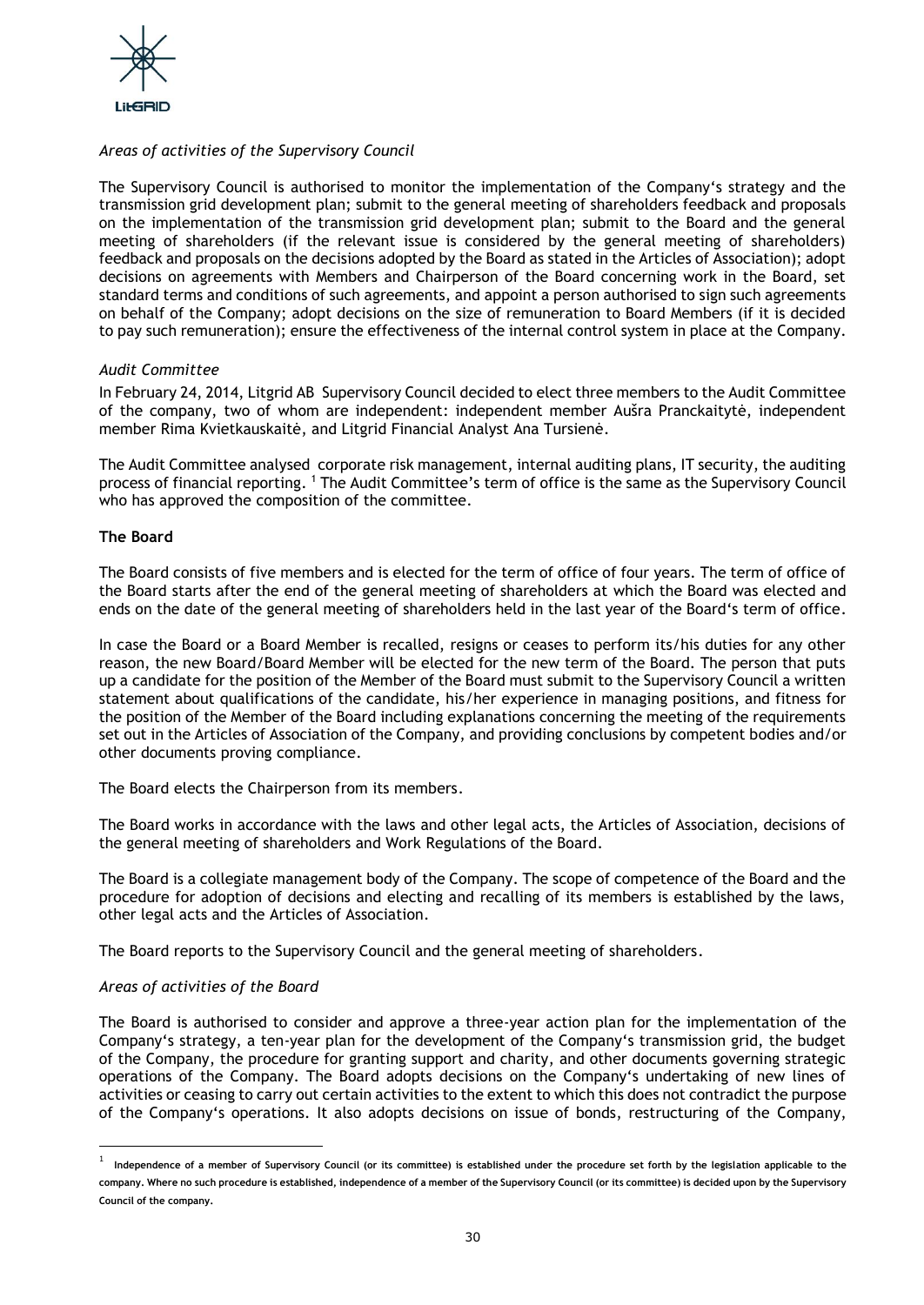

## *Areas of activities of the Supervisory Council*

The Supervisory Council is authorised to monitor the implementation of the Company's strategy and the transmission grid development plan; submit to the general meeting of shareholders feedback and proposals on the implementation of the transmission grid development plan; submit to the Board and the general meeting of shareholders (if the relevant issue is considered by the general meeting of shareholders) feedback and proposals on the decisions adopted by the Board as stated in the Articles of Association); adopt decisions on agreements with Members and Chairperson of the Board concerning work in the Board, set standard terms and conditions of such agreements, and appoint a person authorised to sign such agreements on behalf of the Company; adopt decisions on the size of remuneration to Board Members (if it is decided to pay such remuneration); ensure the effectiveness of the internal control system in place at the Company.

## *Audit Committee*

In February 24, 2014, Litgrid AB Supervisory Council decided to elect three members to the Audit Committee of the company, two of whom are independent: independent member Aušra Pranckaitytė, independent member Rima Kvietkauskaitė, and Litgrid Financial Analyst Ana Tursienė.

The Audit Committee analysed corporate risk management, internal auditing plans, IT security, the auditing process of financial reporting. <sup>1</sup> The Audit Committee's term of office is the same as the Supervisory Council who has approved the composition of the committee.

## **The Board**

The Board consists of five members and is elected for the term of office of four years. The term of office of the Board starts after the end of the general meeting of shareholders at which the Board was elected and ends on the date of the general meeting of shareholders held in the last year of the Board's term of office.

In case the Board or a Board Member is recalled, resigns or ceases to perform its/his duties for any other reason, the new Board/Board Member will be elected for the new term of the Board. The person that puts up a candidate for the position of the Member of the Board must submit to the Supervisory Council a written statement about qualifications of the candidate, his/her experience in managing positions, and fitness for the position of the Member of the Board including explanations concerning the meeting of the requirements set out in the Articles of Association of the Company, and providing conclusions by competent bodies and/or other documents proving compliance.

The Board elects the Chairperson from its members.

The Board works in accordance with the laws and other legal acts, the Articles of Association, decisions of the general meeting of shareholders and Work Regulations of the Board.

The Board is a collegiate management body of the Company. The scope of competence of the Board and the procedure for adoption of decisions and electing and recalling of its members is established by the laws, other legal acts and the Articles of Association.

The Board reports to the Supervisory Council and the general meeting of shareholders.

## *Areas of activities of the Board*

l

The Board is authorised to consider and approve a three-year action plan for the implementation of the Company's strategy, a ten-year plan for the development of the Company's transmission grid, the budget of the Company, the procedure for granting support and charity, and other documents governing strategic operations of the Company. The Board adopts decisions on the Company's undertaking of new lines of activities or ceasing to carry out certain activities to the extent to which this does not contradict the purpose of the Company's operations. It also adopts decisions on issue of bonds, restructuring of the Company,

<sup>&</sup>lt;sup>1</sup> Independence of a member of Supervisory Council (or its committee) is established under the procedure set forth by the legislation applicable to the **company. Where no such procedure is established, independence of a member of the Supervisory Council (or its committee) is decided upon by the Supervisory Council of the company.**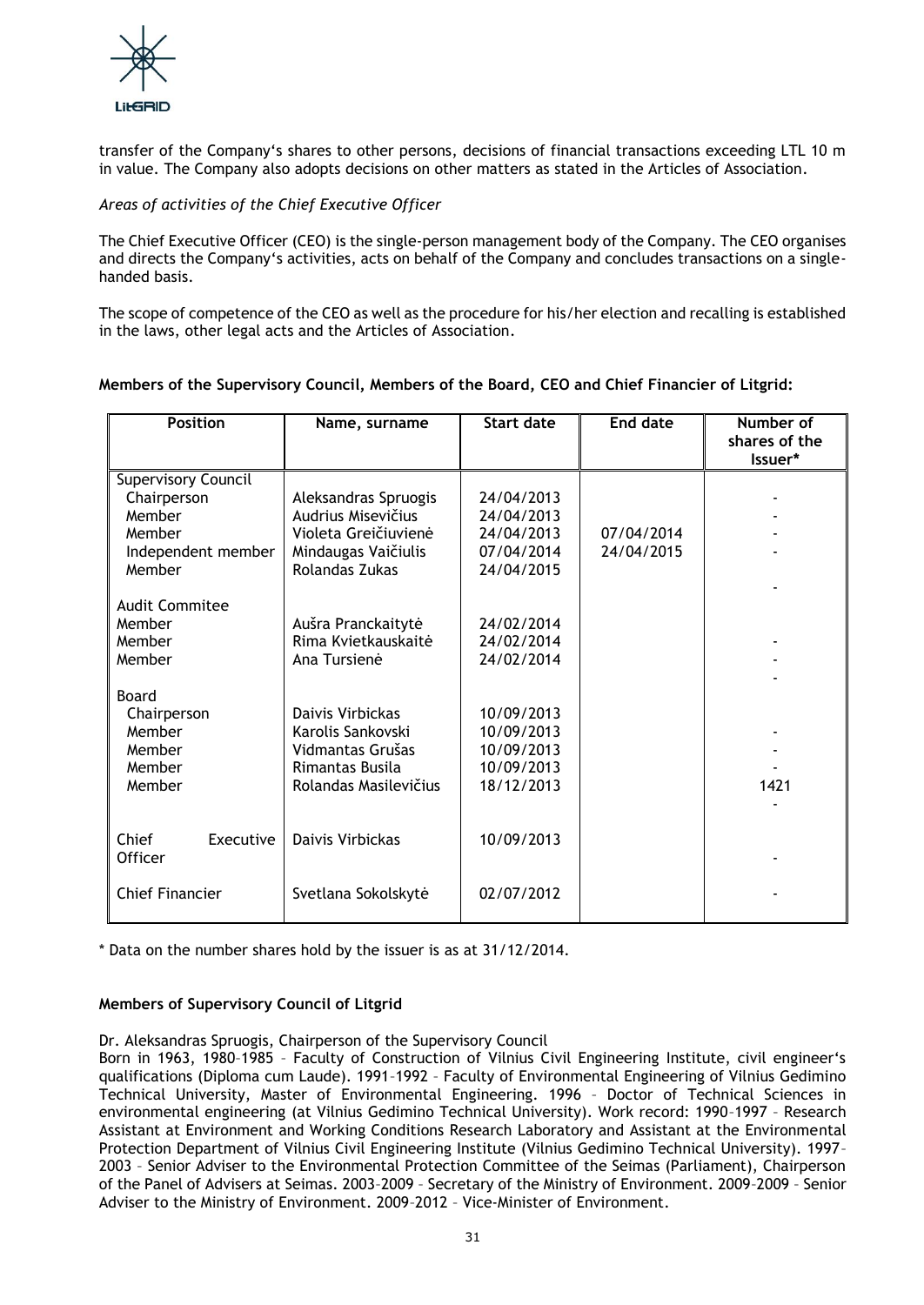

transfer of the Company's shares to other persons, decisions of financial transactions exceeding LTL 10 m in value. The Company also adopts decisions on other matters as stated in the Articles of Association.

## *Areas of activities of the Chief Executive Officer*

The Chief Executive Officer (CEO) is the single-person management body of the Company. The CEO organises and directs the Company's activities, acts on behalf of the Company and concludes transactions on a singlehanded basis.

The scope of competence of the CEO as well as the procedure for his/her election and recalling is established in the laws, other legal acts and the Articles of Association.

| <b>Position</b>                                                                        | Name, surname                                                                                               | <b>Start date</b>                                                  | <b>End date</b>          | Number of<br>shares of the<br>Issuer* |
|----------------------------------------------------------------------------------------|-------------------------------------------------------------------------------------------------------------|--------------------------------------------------------------------|--------------------------|---------------------------------------|
| Supervisory Council<br>Chairperson<br>Member<br>Member<br>Independent member<br>Member | Aleksandras Spruogis<br>Audrius Misevičius<br>Violeta Greičiuvienė<br>Mindaugas Vaičiulis<br>Rolandas Zukas | 24/04/2013<br>24/04/2013<br>24/04/2013<br>07/04/2014<br>24/04/2015 | 07/04/2014<br>24/04/2015 |                                       |
| <b>Audit Commitee</b><br>Member<br>Member<br>Member                                    | Aušra Pranckaitytė<br>Rima Kvietkauskaitė<br>Ana Tursienė                                                   | 24/02/2014<br>24/02/2014<br>24/02/2014                             |                          |                                       |
| Board<br>Chairperson<br>Member<br>Member<br>Member<br>Member                           | Daivis Virbickas<br>Karolis Sankovski<br>Vidmantas Grušas<br>Rimantas Busila<br>Rolandas Masilevičius       | 10/09/2013<br>10/09/2013<br>10/09/2013<br>10/09/2013<br>18/12/2013 |                          | 1421                                  |
| Chief<br>Executive<br>Officer                                                          | Daivis Virbickas                                                                                            | 10/09/2013                                                         |                          |                                       |
| <b>Chief Financier</b>                                                                 | Svetlana Sokolskytė                                                                                         | 02/07/2012                                                         |                          |                                       |

## **Members of the Supervisory Council, Members of the Board, CEO and Chief Financier of Litgrid:**

\* Data on the number shares hold by the issuer is as at 31/12/2014.

## **Members of Supervisory Council of Litgrid**

Dr. Aleksandras Spruogis, Chairperson of the Supervisory Council

Born in 1963, 1980–1985 – Faculty of Construction of Vilnius Civil Engineering Institute, civil engineer's qualifications (Diploma cum Laude). 1991–1992 – Faculty of Environmental Engineering of Vilnius Gedimino Technical University, Master of Environmental Engineering. 1996 – Doctor of Technical Sciences in environmental engineering (at Vilnius Gedimino Technical University). Work record: 1990–1997 – Research Assistant at Environment and Working Conditions Research Laboratory and Assistant at the Environmental Protection Department of Vilnius Civil Engineering Institute (Vilnius Gedimino Technical University). 1997– 2003 – Senior Adviser to the Environmental Protection Committee of the Seimas (Parliament), Chairperson of the Panel of Advisers at Seimas. 2003–2009 – Secretary of the Ministry of Environment. 2009–2009 – Senior Adviser to the Ministry of Environment. 2009–2012 – Vice-Minister of Environment.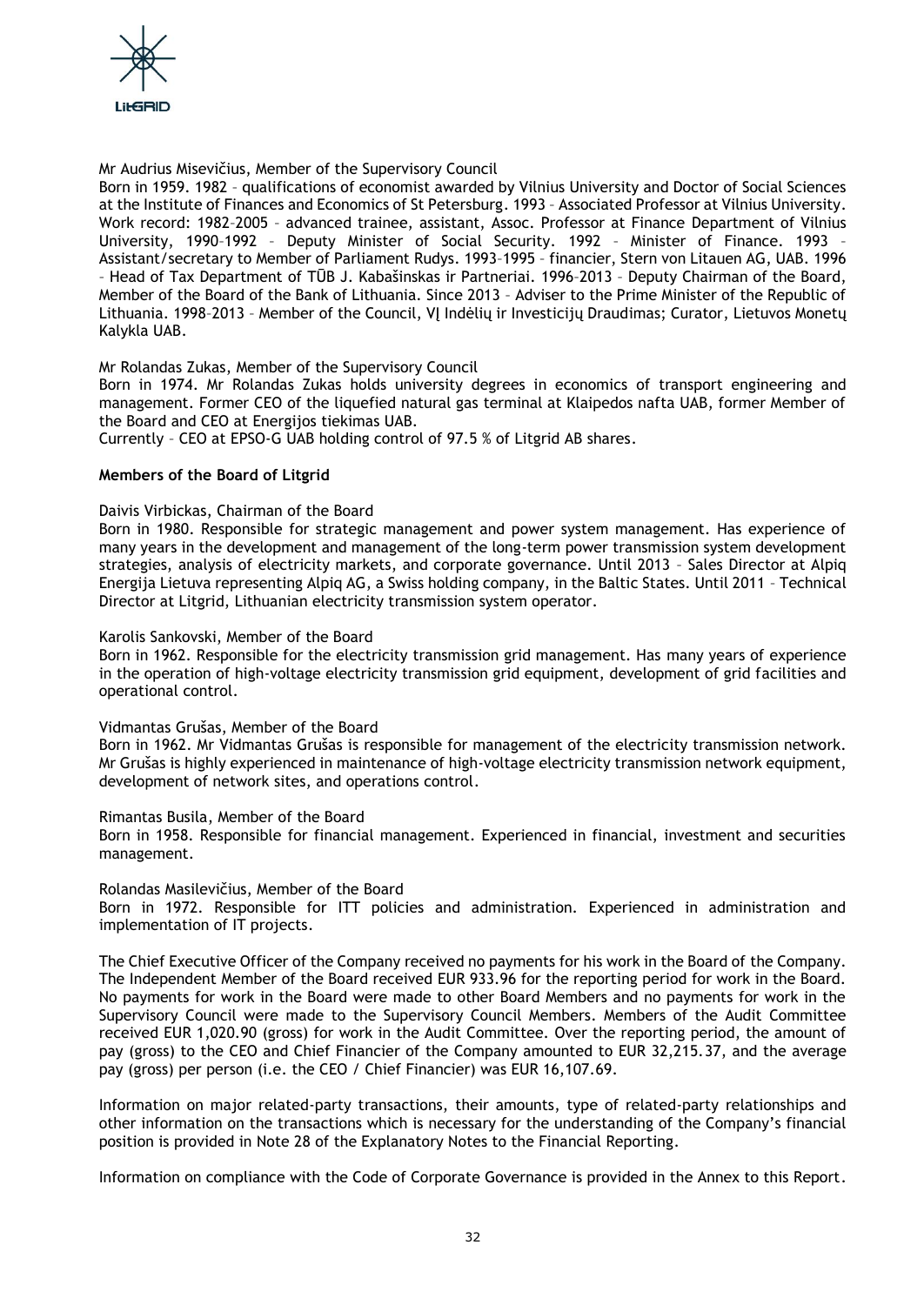

## Mr Audrius Misevičius, Member of the Supervisory Council

Born in 1959. 1982 – qualifications of economist awarded by Vilnius University and Doctor of Social Sciences at the Institute of Finances and Economics of St Petersburg. 1993 – Associated Professor at Vilnius University. Work record: 1982–2005 – advanced trainee, assistant, Assoc. Professor at Finance Department of Vilnius University, 1990–1992 – Deputy Minister of Social Security. 1992 – Minister of Finance. 1993 – Assistant/secretary to Member of Parliament Rudys. 1993–1995 – financier, Stern von Litauen AG, UAB. 1996 – Head of Tax Department of TŪB J. Kabašinskas ir Partneriai. 1996–2013 – Deputy Chairman of the Board, Member of the Board of the Bank of Lithuania. Since 2013 – Adviser to the Prime Minister of the Republic of Lithuania. 1998–2013 – Member of the Council, VĮ Indėlių ir Investicijų Draudimas; Curator, Lietuvos Monetų Kalykla UAB.

Mr Rolandas Zukas, Member of the Supervisory Council

Born in 1974. Mr Rolandas Zukas holds university degrees in economics of transport engineering and management. Former CEO of the liquefied natural gas terminal at Klaipedos nafta UAB, former Member of the Board and CEO at Energijos tiekimas UAB.

Currently – CEO at EPSO-G UAB holding control of 97.5 % of Litgrid AB shares.

## **Members of the Board of Litgrid**

#### Daivis Virbickas, Chairman of the Board

Born in 1980. Responsible for strategic management and power system management. Has experience of many years in the development and management of the long-term power transmission system development strategies, analysis of electricity markets, and corporate governance. Until 2013 – Sales Director at Alpiq Energija Lietuva representing Alpiq AG, a Swiss holding company, in the Baltic States. Until 2011 – Technical Director at Litgrid, Lithuanian electricity transmission system operator.

#### Karolis Sankovski, Member of the Board

Born in 1962. Responsible for the electricity transmission grid management. Has many years of experience in the operation of high-voltage electricity transmission grid equipment, development of grid facilities and operational control.

#### Vidmantas Grušas, Member of the Board

Born in 1962. Mr Vidmantas Grušas is responsible for management of the electricity transmission network. Mr Grušas is highly experienced in maintenance of high-voltage electricity transmission network equipment, development of network sites, and operations control.

Rimantas Busila, Member of the Board

Born in 1958. Responsible for financial management. Experienced in financial, investment and securities management.

## Rolandas Masilevičius, Member of the Board

Born in 1972. Responsible for ITT policies and administration. Experienced in administration and implementation of IT projects.

The Chief Executive Officer of the Company received no payments for his work in the Board of the Company. The Independent Member of the Board received EUR 933.96 for the reporting period for work in the Board. No payments for work in the Board were made to other Board Members and no payments for work in the Supervisory Council were made to the Supervisory Council Members. Members of the Audit Committee received EUR 1,020.90 (gross) for work in the Audit Committee. Over the reporting period, the amount of pay (gross) to the CEO and Chief Financier of the Company amounted to EUR 32,215.37, and the average pay (gross) per person (i.e. the CEO / Chief Financier) was EUR 16,107.69.

Information on major related-party transactions, their amounts, type of related-party relationships and other information on the transactions which is necessary for the understanding of the Company's financial position is provided in Note 28 of the Explanatory Notes to the Financial Reporting.

Information on compliance with the Code of Corporate Governance is provided in the Annex to this Report.